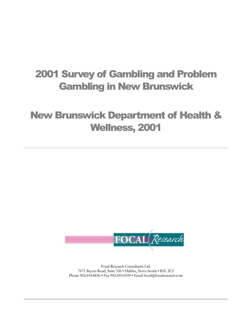# 2001 Survey of Gambling and Problem Gambling in New Brunswick

# New Brunswick Department of Health & Wellness, 2001



Focal Research Consultants Ltd. 7071 Bayers Road, Suite 326 • Halifax, Nova Scotia • B3L 2C2 Phone 902.454.8856 • Fax 902.455.0109 • Email focal@focalresearch.com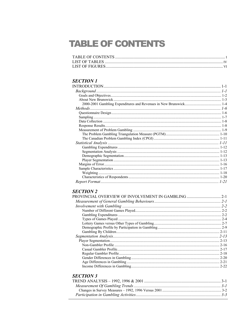# **TABLE OF CONTENTS**

# **SECTION 1**

# **SECTION 2**

| PROVINCIAL OVERVIEW OF INVOLVEMENT IN GAMBLING | $2 - 1$  |
|------------------------------------------------|----------|
|                                                |          |
|                                                | $2 - 2$  |
|                                                | $2 - 2$  |
|                                                | $2 - 2$  |
|                                                | $2 - 4$  |
|                                                |          |
|                                                |          |
|                                                | $2 - 11$ |
|                                                |          |
|                                                | $2 - 13$ |
|                                                | $2 - 16$ |
|                                                |          |
|                                                |          |
|                                                | $2 - 20$ |
|                                                | $2 - 21$ |
|                                                |          |
|                                                |          |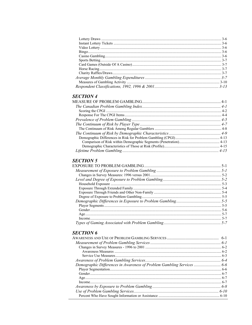# **SECTION 4**

# **SECTION 5**

| Demographic Differences in Awareness of Problem Gambling Services  6-6 |  |
|------------------------------------------------------------------------|--|
|                                                                        |  |
|                                                                        |  |
|                                                                        |  |
|                                                                        |  |
|                                                                        |  |
|                                                                        |  |
|                                                                        |  |
|                                                                        |  |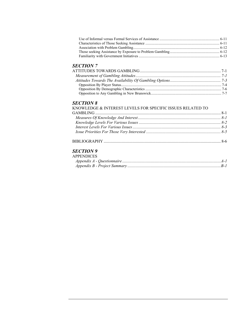## *SECTION 7*

# *SECTION 8*

| KNOWLEDGE & INTEREST LEVELS FOR SPECIFIC ISSUES RELATED TO |  |
|------------------------------------------------------------|--|
|                                                            |  |
|                                                            |  |
|                                                            |  |
|                                                            |  |
|                                                            |  |
|                                                            |  |

| <b>APPENDICES</b> |  |
|-------------------|--|
|                   |  |
|                   |  |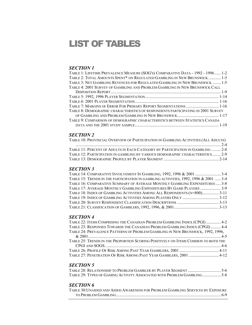# LIST OF TABLES

## *SECTION 1*

| TABLE 1: LIFETIME PREVALENCE MEASURE (SOG'S) COMPARATIVE DATA - 1992 - 1996 1-2  |  |
|----------------------------------------------------------------------------------|--|
| TABLE 2: TOTAL AMOUNTS SPENT* ON REGULATED GAMBLING IN NEW BRUNSWICK  1-5        |  |
| TABLE 3: NET GAMBLING REVENUES FOR REGULATED GAMBLING IN NEW BRUNSWICK  1-5      |  |
| TABLE 4: 2001 SURVEY OF GAMBLING AND PROBLEM GAMBLING IN NEW BRUNSWICK CALL      |  |
|                                                                                  |  |
|                                                                                  |  |
|                                                                                  |  |
|                                                                                  |  |
| TABLE 8: DEMOGRAPHIC CHARACTERISTICS OF RESPONDENTS PARTICIPATING IN 2001 SURVEY |  |
|                                                                                  |  |
| TABLE 9: COMPARISON OF DEMOGRAPHIC CHARACTERISTICS BETWEEN STATISTICS CANADA     |  |
|                                                                                  |  |

### *SECTION 2*

| TABLE 10: PROVINCIAL OVERVIEW OF PARTICIPATION IN GAMBLING ACTIVITIES (ALL ADULTS) |  |
|------------------------------------------------------------------------------------|--|
|                                                                                    |  |
| TABLE 11: PERCENT OF ADULTS IN EACH CATEGORY BY PARTICIPATION IN GAMBLING  2-8     |  |
| TABLE 12: PARTICIPATION IN GAMBLING BY VARIOUS DEMOGRAPHIC CHARACTERISTICS  2-9    |  |
|                                                                                    |  |

## *SECTION 3*

| TABLE 15: TRENDS IN THE PARTICIPATION IN GAMBLING ACTIVITIES, 1992, 1996 & 2001  3-4 |  |
|--------------------------------------------------------------------------------------|--|
| TABLE 16: COMPARATIVE SUMMARY OF AVERAGE MONTHLY GAMBLING EXPENDITURES  3-8          |  |
| TABLE 17: AVERAGE MONTHLY GAMBLING EXPENDITURES BY GAME PLAYERS  3-9                 |  |
| TABLE 18: INDEX OF GAMBLING ACTIVITIES AMONG ALL RESPONDENTS (N=800) 3-11            |  |
|                                                                                      |  |
|                                                                                      |  |
|                                                                                      |  |
|                                                                                      |  |

## *SECTION 4*

| TABLE 22: ITEMS COMPRISING THE CANADIAN PROBLEM GAMBLING INDEX (CPGI)  4-2        |  |
|-----------------------------------------------------------------------------------|--|
| TABLE 23: RESPONSES TOWARDS THE CANADIAN PROBLEM GAMBLING INDEX (CPGI) 4-4        |  |
| TABLE 24: PREVALENCE PATTERNS OF PROBLEM GAMBLING IN NEW BRUNSWICK, 1992, 1996,   |  |
|                                                                                   |  |
| TABLE 25: TRENDS IN THE PROPORTION SCORING POSITIVELY ON ITEMS COMMON TO BOTH THE |  |
|                                                                                   |  |
|                                                                                   |  |
| TABLE 27: PENETRATION OF RISK AMONG PAST YEAR GAMBLERS, 2001  4-12                |  |
|                                                                                   |  |

## *SECTION 5*

| TABLE 29: TYPES OF GAMING ACTIVITY ASSOCIATED WITH PROBLEM GAMBLING 5-8 |  |
|-------------------------------------------------------------------------|--|

| TABLE 30: UNAIDED AND AIDED AWARENESS FOR PROBLEM GAMBLING SERVICES BY EXPOSURE |  |
|---------------------------------------------------------------------------------|--|
|                                                                                 |  |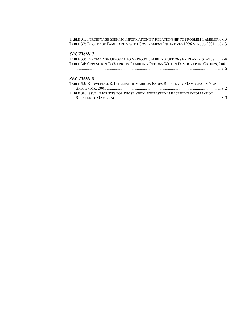TABLE 31: PERCENTAGE SEEKING INFORMATION BY RELATIONSHIP TO PROBLEM GAMBLER 6-13 TABLE 32: DEGREE OF FAMILIARITY WITH GOVERNMENT INITIATIVES 1996 VERSUS 2001 ... 6-13

## *SECTION 7*

| TABLE 33: PERCENTAGE OPPOSED TO VARIOUS GAMBLING OPTIONS BY PLAYER STATUS 7-4    |
|----------------------------------------------------------------------------------|
| TABLE 34: OPPOSITION TO VARIOUS GAMBLING OPTIONS WITHIN DEMOGRAPHIC GROUPS, 2001 |
|                                                                                  |

| TABLE 35: KNOWLEDGE & INTEREST OF VARIOUS ISSUES RELATED TO GAMBLING IN NEW   |  |
|-------------------------------------------------------------------------------|--|
|                                                                               |  |
| TABLE 36: ISSUE PRIORITIES FOR THOSE VERY INTERESTED IN RECEIVING INFORMATION |  |
|                                                                               |  |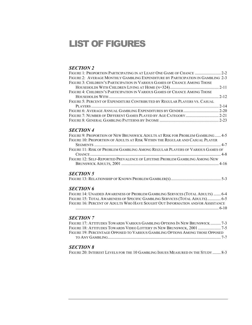# LIST OF FIGURES

## *SECTION 2*

| FIGURE 2: AVERAGE MONTHLY GAMBLING EXPENDITURE BY PARTICIPATION IN GAMBLING 2-3 |  |
|---------------------------------------------------------------------------------|--|
| FIGURE 3: CHILDREN'S PARTICIPATION IN VARIOUS GAMES OF CHANCE AMONG THOSE       |  |
|                                                                                 |  |
| FIGURE 4: CHILDREN'S PARTICIPATION IN VARIOUS GAMES OF CHANCE AMONG THOSE       |  |
|                                                                                 |  |
| FIGURE 5: PERCENT OF EXPENDITURE CONTRIBUTED BY REGULAR PLAYERS VS. CASUAL      |  |
|                                                                                 |  |
|                                                                                 |  |
|                                                                                 |  |
|                                                                                 |  |
|                                                                                 |  |

# *SECTION 4*

| FIGURE 9: PROPORTION OF NEW BRUNSWICK ADULTS AT RISK FOR PROBLEM GAMBLING 4-5 |  |
|-------------------------------------------------------------------------------|--|
| FIGURE 10: PROPORTION OF ADULTS AT RISK WITHIN THE REGULAR AND CASUAL PLAYER  |  |
|                                                                               |  |
| FIGURE 11: RISK OF PROBLEM GAMBLING AMONG REGULAR PLAYERS OF VARIOUS GAMES OF |  |
|                                                                               |  |
| FIGURE 12: SELF-REPORTED PREVALENCE OF LIFETIME PROBLEM GAMBLING AMONG NEW    |  |
|                                                                               |  |
|                                                                               |  |

## *SECTION 5*

|--|--|

# *SECTION 6*

| FIGURE 14: UNAIDED AWARENESS OF PROBLEM GAMBLING SERVICES (TOTAL ADULTS)  6-4  |
|--------------------------------------------------------------------------------|
| FIGURE 15: TOTAL AWARENESS OF SPECIFIC GAMBLING SERVICES (TOTAL ADULTS) 6-5    |
| FIGURE 16: PERCENT OF ADULTS WHO HAVE SOUGHT OUT INFORMATION AND/OR ASSISTANCE |
|                                                                                |

## *SECTION 7*

| FIGURE 17: ATTITUDES TOWARDS VARIOUS GAMBLING OPTIONS IN NEW BRUNSWICK 7-3    |  |
|-------------------------------------------------------------------------------|--|
|                                                                               |  |
| FIGURE 19: PERCENTAGE OPPOSED TO VARIOUS GAMBLING OPTIONS AMONG THOSE OPPOSED |  |
|                                                                               |  |

## *SECTION 8*

FIGURE 20: INTEREST LEVELS FOR THE 10 GAMBLING ISSUES MEASURED IN THE STUDY ........ 8-3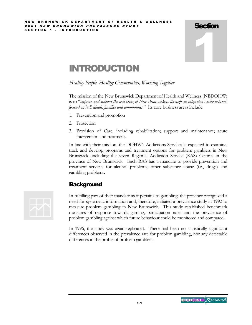

# INTRODUCTION

*Healthy People, Healthy Communities, Working Together*

The mission of the New Brunswick Department of Health and Wellness (NBDOHW) is to "*improve and support the well-being of New Brunswickers through an integrated service network focused on individuals, families and communities.*" Its core business areas include:

- 1. Prevention and promotion
- 2. Protection
- 3. Provision of Care, including rehabilitation; support and maintenance; acute intervention and treatment.

In line with their mission, the DOHW's Addictions Services is expected to examine, track and develop programs and treatment options for problem gamblers in New Brunswick, including the seven Regional Addiction Service (RAS) Centres in the province of New Brunswick. Each RAS has a mandate to provide prevention and treatment services for alcohol problems, other substance abuse (i.e., drugs) and gambling problems.

# **Background**



In fulfilling part of their mandate as it pertains to gambling, the province recognized a need for systematic information and, therefore, initiated a prevalence study in 1992 to measure problem gambling in New Brunswick. This study established benchmark measures of response towards gaming, participation rates and the prevalence of problem gambling against which future behaviour could be monitored and compared.

In 1996, the study was again replicated. There had been no statistically significant differences observed in the prevalence rate for problem gambling, nor any detectable differences in the profile of problem gamblers.

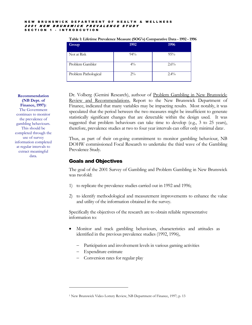| Group                | 1992  | 1996    |
|----------------------|-------|---------|
| Not at Risk          | 94%   | 95%     |
| Problem Gambler      | $4\%$ | 2.6%    |
| Problem Pathological | $2\%$ | $2.4\%$ |

**Table 1: Lifetime Prevalence Measure (SOG's) Comparative Data - 1992 - 1996**

Dr. Volberg (Gemini Research), authour of Problem Gambling in New Brunswick: Review and Recommendations, Report to the New Brunswick Department of Finance, indicated that many variables may be impacting results. Most notably, it was speculated that the period between the two measures might be insufficient to generate statistically significant changes that are detectable within the design used. It was suggested that problem behaviours can take time to develop (e.g., 3 to 25 years), therefore, prevalence studies at two to four year intervals can offer only minimal data1.

Thus, as part of their on-going commitment to monitor gambling behaviour, NB DOHW commissioned Focal Research to undertake the third wave of the Gambling Prevalence Study.

## Goals and Objectives

The goal of the 2001 Survey of Gambling and Problem Gambling in New Brunswick was twofold:

- 1) to replicate the prevalence studies carried out in 1992 and 1996;
- 2) to identify methodological and measurement improvements to enhance the value and utility of the information obtained in the survey.

Specifically the objectives of the research are to obtain reliable representative information to:

- Monitor and track gambling behaviours, characteristics and attitudes as identified in the previous prevalence studies (1992, 1996),
	- Participation and involvement levels in various gaming activities
	- Expenditure estimate

 $\overline{a}$ 

− Conversion rates for regular play

**Recommendation (NB Dept. of Finance, 1997):** The Government continues to monitor the prevalence of gambling behaviours. This should be completed through the use of survey information completed at regular intervals to extract meaningful data.

<sup>1</sup> New Brunswick Video Lottery Review, NB Department of Finance, 1997; p. 13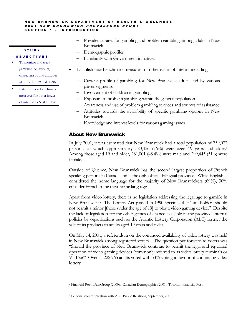- Prevalence rates for gambling and problem gambling among adults in New Brunswick
	- Demographic profiles
	- Familiarity with Government initiatives
- Establish new benchmark measures for other issues of interest including,
	- − Current profile of gambling for New Brunswick adults and by various player segments
	- Involvement of children in gambling
	- Exposure to problem gambling within the general population
	- Awareness and use of problem gambling services and sources of assistance
	- Attitudes towards the availability of specific gambling options in New Brunswick
	- Knowledge and interest levels for various gaming issues

## About New Brunswick

In July 2001, it was estimated that New Brunswick had a total population of 759,072 persons, of which approximately 580,456 (76%) were aged 19 years and older.2 Among those aged 19 and older, 281,001 (48.4%) were male and 299,445 (51.6) were female.

Outside of Quebec, New Brunswick has the second largest proportion of French speaking persons in Canada and is the only official bilingual province. While English is considered the home language for the majority of New Brunswickers (69%), 30% consider French to be their home language.

Apart from video lottery, there is no legislation addressing the legal age to gamble in New Brunswick.3 The Lottery Act passed in 1990 specifies that "site holders should not permit a minor [those under the age of 19] to play a video gaming device." Despite the lack of legislation for the other games of chance available in the province, internal policies by organizations such as the Atlantic Lottery Corporation (ALC) restrict the sale of its products to adults aged 19 years and older.

On May 14, 2001, a referendum on the continued availability of video lottery was held in New Brunswick among registered voters. The question put forward to voters was "Should the province of New Brunswick continue to permit the legal and regulated operation of video gaming devices (commonly referred to as video lottery terminals or VLT's)?" Overall, 222,765 adults voted with 53% voting in favour of continuing video lottery.

 $\overline{a}$ 

## **STUDY**

#### **OBJECTIVES**

- To monitor and track gambling behaviours, characteristic and attitudes identified in 1992 & 1996
- Establish new benchmark measures for other issues of interest to NBDOHW

<sup>2</sup> Financial Post DataGroup (2000). Canadian Demographics 2001. Toronto: Financial Post.

<sup>3</sup> Personal communication with ALC Public Relations, September, 2001.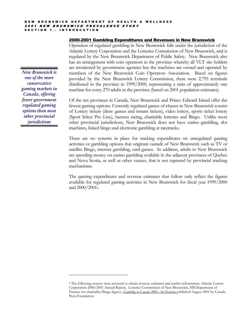### 2000-2001 Gambling Expenditures and Revenues in New Brunswick

Operation of regulated gambling in New Brunswick falls under the jurisdiction of the Atlantic Lottery Corporation and the Lotteries Commission of New Brunswick, and is regulated by the New Brunswick Department of Public Safety. New Brunswick also has an arrangement with coin operators in the province whereby all VLT site holders are monitored by government agencies but the machines are owned and operated by members of the New Brunswick Coin Operators Association. Based on figures provided by the New Brunswick Lottery Commission, there were 2,795 terminals distributed in the province in 1999/2000, representing a ratio of approximately one machine for every 270 adults in the province (based on 2001 population estimates).

Of the ten provinces in Canada, New Brunswick and Prince Edward Island offer the fewest gaming options. Currently regulated games of chance in New Brunswick consist of Lottery tickets (draw games and instant tickets), video lottery, sports ticket lottery (Sport Select Pro Line), harness racing, charitable lotteries and Bingo. Unlike most other provincial jurisdictions, New Brunswick does not have casino gambling, slot machines, linked bingo and electronic gambling at racetracks.

There are no systems in place for tracking expenditures on unregulated gaming activities or gambling options that originate outside of New Brunswick such as TV or satellite Bingo, internet gambling, card games. In addition, adults in New Brunswick are spending money on casino gambling available in the adjacent provinces of Quebec and Nova Scotia, as well as other venues, that is not captured by provincial tracking mechanisms.

The gaming expenditures and revenue estimates that follow only reflect the figures available for regulated gaming activities in New Brunswick for fiscal year 1999/2000 and 2000/20014.

*New Brunswick is one of the more conservative gaming markets in Canada, offering fewer government regulated gaming options than most other provincial jurisdictions*

 $\overline{a}$ 

<sup>4</sup> The following sources were accessed to obtain revenue estimates and market information; Atlantic Lottery Corporation 2000/2001 Annual Report, Lotteries Commission of New Brunswick, NB Department of Finance for charitable/Bingo figures, *Gambling in Canada 2001: An Overview* published August 2001 by Canada West Foundation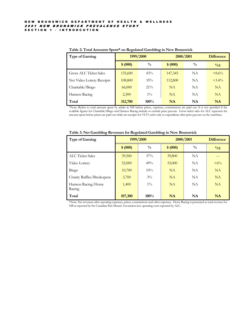| <b>Type of Gaming</b>      | 1999/2000 |               | 2000/2001 |               | <b>Difference</b> |
|----------------------------|-----------|---------------|-----------|---------------|-------------------|
|                            | \$ (000)  | $\frac{0}{0}$ | \$ (000)  | $\frac{0}{0}$ | $\frac{0}{0}$     |
| Gross ALC Ticket Sales     | 135,600   | 43%           | 147,345   | NA            | $+8.6%$           |
| Net Video Lottery Receipts | 108,800   | 35%           | 112,800   | NА            | $+3.4\%$          |
| Charitable/Bingo           | 66,000    | $21\%$        | NA        | NА            | NA                |
| Harness Racing             | 2,300     | $1\%$         | NA        | <b>NA</b>     | <b>NA</b>         |
| Total                      | 312,700   | 100%          | <b>NA</b> | <b>NA</b>     | <b>NA</b>         |

#### **Table 2: Total Amounts Spent\* on Regulated Gambling in New Brunswick**

\*Note: Refers to total amount spent by adults in NB before prizes, expenses, commissions are paid out. It is not specified if the available figures for Charitable/Bingo and Harness Racing include or exclude prize payouts. Gross ticket sales for ALC represent the amount spent before prizes are paid out while net receipts for VLT's refer only to expenditure after prize payouts on the machines.

| <b>Type of Gaming</b>          | 1999/2000 |               | 2000/2001 |               | <b>Difference</b> |
|--------------------------------|-----------|---------------|-----------|---------------|-------------------|
|                                | \$ (000)  | $\frac{0}{0}$ | \$ (000)  | $\frac{0}{0}$ | $\%$ ±            |
| ALC Ticket Sales               | 39,500    | 37%           | 39,800    | NA            |                   |
| Video Lottery                  | 52,000    | 49%           | 55,000    | NA            | $+6\%$            |
| Bingo                          | 10,700    | 10%           | NA        | NA            | NA                |
| Charity Raffles/Breakopens     | 3,700     | $3\%$         | NA        | NA            | NA                |
| Harness Racing/Horse<br>Racing | 1,400     | $1\%$         | <b>NA</b> | NA            | <b>NA</b>         |
| Total                          | 107,300   | 100%          | <b>NA</b> | <b>NA</b>     | <b>NA</b>         |

**Table 3: Net Gambling Revenues for Regulated Gambling in New Brunswick**

\*Note: Net revenues after operating expenses, prizes, commissions and other expenses. Horse Racing is presented as total revenue for NB as reported by the Canadian Pari-Mutuel Association less operating costs reported by ALC.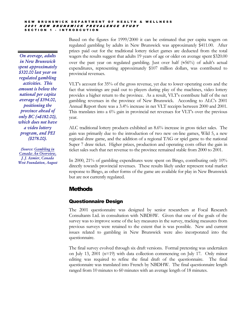*On average, adults in New Brunswick spent approximately \$320.00 last year on regulated gambling activities. This amount is below the national per capita average of \$394.00, positioning the province ahead of only BC (*≈*\$182.00), which does not have a video lottery program, and PEI (\$278.00).*

*(Source: Gambling in Canada: An Overview, J. J. Azmier, Canada West Foundation, August* Based on the figures for 1999/2000 it can be estimated that per capita wagers on regulated gambling by adults in New Brunswick was approximately \$411.00. After prizes paid out for the traditional lottery ticket games are deducted from the total wagers the results suggest that adults 19 years of age or older on average spent \$320.00 over the past year on regulated gambling. Just over half (≈56%) of adult's actual expenditures, representing approximately \$107 million dollars, was contributed to provincial revenues.

VLT's account for 35% of the gross revenue, yet due to lower operating costs and the fact that winnings are paid out to players during play of the machines, video lottery provides a higher return to the province. As a result, VLT's contribute half of the net gambling revenues in the province of New Brunswick. According to ALC's 2001 Annual Report there was a 3.4% increase in net VLT receipts between 2000 and 2001. This translates into a 6% gain in provincial net revenues for VLT's over the previous year.

ALC traditional lottery products exhibited an 8.6% increase in gross ticket sales. The gain was primarily due to the introduction of two new on-line games, Wild 5, a new regional draw game, and the addition of a regional TAG or spiel game to the national Super 7 draw ticket. Higher prizes, production and operating costs offset the gain in ticket sales such that net revenue to the province remained stable from 2000 to 2001.

In 2000, 21% of gambling expenditures were spent on Bingo, contributing only 10% directly towards provincial revenues. These results likely under represent total market response to Bingo, as other forms of the game are available for play in New Brunswick but are not currently regulated.

# **Methods**

## Questionnaire Design

The 2001 questionnaire was designed by senior researchers at Focal Research Consultants Ltd. in consultation with NBDHW. Given that one of the goals of the survey was to improve some of the key measures in the survey, tracking measures from previous surveys were retained to the extent that is was possible. New and current issues related to gambling in New Brunswick were also incorporated into the questionnaire.

The final survey evolved through six draft versions. Formal pretesting was undertaken on July 13, 2001 ( $n=19$ ) with data collection commencing on July 17. Only minor editing was required to refine the final draft of the questionnaire. The final questionnaire was translated into French by NBDHW. The final questionnaire length ranged from 10 minutes to 60 minutes with an average length of 18 minutes.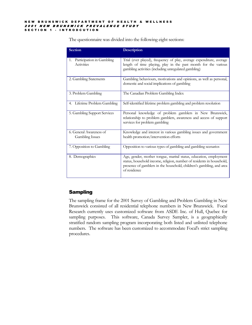The questionnaire was divided into the following eight sections:

| <b>Section</b>                                    | Description                                                                                                                                                                                                                        |
|---------------------------------------------------|------------------------------------------------------------------------------------------------------------------------------------------------------------------------------------------------------------------------------------|
| 1. Participation in Gambling<br>Activities        | Trial (ever played), frequency of play, average expenditure, average<br>length of time playing, play in the past month for the various<br>gambling activities (including unregulated gambling)                                     |
| 2. Gambling Statements                            | Gambling behaviours, motivations and opinions, as well as personal,<br>domestic and social implications of gambling                                                                                                                |
| 3. Problem Gambling                               | The Canadian Problem Gambling Index                                                                                                                                                                                                |
| 4. Lifetime Problem Gambling                      | Self-identified lifetime problem gambling and problem resolution                                                                                                                                                                   |
| 5. Gambling Support Services                      | Personal knowledge of problem gamblers in New Brunswick,<br>relationship to problem gamblers, awareness and access of support<br>services for problem gambling                                                                     |
| 6. General Awareness of<br><b>Gambling Issues</b> | Knowledge and interest in various gambling issues and government<br>health promotion/intervention efforts                                                                                                                          |
| 7. Opposition to Gambling                         | Opposition to various types of gambling and gambling scenarios                                                                                                                                                                     |
| 8. Demographics                                   | Age, gender, mother tongue, marital status, education, employment<br>status, household income, religion, number of residents in household,<br>presence of gamblers in the household, children's gambling, and area<br>of residence |

## Sampling

The sampling frame for the 2001 Survey of Gambling and Problem Gambling in New Brunswick consisted of all residential telephone numbers in New Brunswick. Focal Research currently uses customized software from ASDE Inc. of Hull, Quebec for sampling purposes. This software, Canada Survey Sampler, is a geographically stratified random sampling program incorporating both listed and unlisted telephone numbers. The software has been customized to accommodate Focal's strict sampling procedures.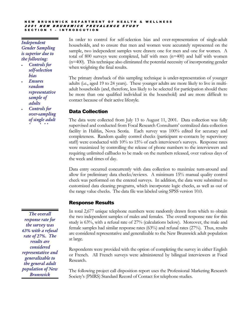*Independent Gender Sampling is superior due to the following:*

- *Controls for self-selection bias* • *Ensures*
- *random representative sample of adults*
- *Controls for over-sampling of single adult h h ld*

*The overall response rate for the survey was 63% with a refusal rate of 27%. The results are considered representative and generalizable to the general adult population of New Brunswick*

In order to control for self-selection bias and over-representation of single-adult households, and to ensure that men and women were accurately represented on the sample, two independent samples were drawn: one for men and one for women. A total of 800 surveys were completed, half with men (n=400) and half with women (n=400). This technique also eliminated the potential necessity of incorporating gender when weighting the final results.

The primary drawback of this sampling technique is under-representation of younger adults (i.e., aged 19 to 24 years). These younger adults are more likely to live in multiadult households (and, therefore, less likely to be selected for participation should there be more than one qualified individual in the household) and are more difficult to contact because of their active lifestyle.

# Data Collection

The data were collected from July 13 to August 11, 2001. Data collection was fully supervised and conducted from Focal Research Consultants' centralized data collection facility in Halifax, Nova Scotia. Each survey was 100% edited for accuracy and completeness. Random quality control checks (participant re-contacts by supervisory staff) were conducted with 10% to 15% of each interviewer's surveys. Response rates were maximized by controlling the release of phone numbers to the interviewers and requiring unlimited callbacks to be made on the numbers released, over various days of the week and times of day.

Data entry occurred concurrently with data collection to maximize turn-around and allow for preliminary data checks/reviews. A minimum 15% manual quality control check was performed on the entered surveys. In addition, the data were submitted to customized data cleaning programs, which incorporate logic checks, as well as out of the range value checks. The data file was labeled using SPSS version 10.0.

# Response Results

In total 2,677 unique telephone numbers were randomly drawn from which to obtain the two independent samples of males and females. The overall response rate for this study is 63%, with a refusal rate of 27% (calculations below). Moreover, the male and female samples had similar response rates (63%) and refusal rates (27%). Thus, results are considered representative and generalizable to the New Brunswick adult population at large.

Respondents were provided with the option of completing the survey in either English or French. All French surveys were administered by bilingual interviewers at Focal Research.

The following project call disposition report uses the Professional Marketing Research Society's (PMRS) Standard Record of Contact for telephone studies.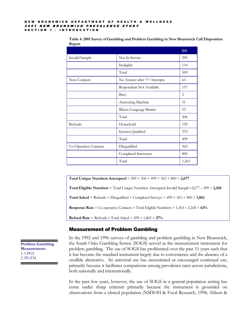**Table 4: 2001 Survey of Gambling and Problem Gambling in New Brunswick Call Disposition Report**

|                       |                             | (n)            |
|-----------------------|-----------------------------|----------------|
| <b>Invalid Sample</b> | Not In Service              | 395            |
|                       | Ineligible                  | 114            |
|                       | Total                       | 509            |
| Non-Contacts          | No Answer after 7+ Attempts | 63             |
|                       | Respondent Not Available    | 157            |
|                       | <b>Busy</b>                 | $\overline{c}$ |
|                       | Answering Machine           | 31             |
|                       | Illness/Language Barrier    | 53             |
|                       | Total                       | 306            |
| Refusals              | Household                   | 129            |
|                       | Known Qualified             | 370            |
|                       | Total                       | 499            |
| Co-Operative Contacts | Disqualified                | 563            |
|                       | Completed Interviews        | 800            |
|                       | Total                       | 1,363          |

**Total Unique Numbers Attempted** = 509 + 306 + 499 + 563 + 800 = **2,677 Total Eligible Numbers** = Total Unique Numbers Attempted-Invalid Sample=2,677 – 509 = **2,168 Total Asked** = Refusals + Disqualified + Completed Surveys =  $499 + 563 + 800 = 1,862$ **Response Rate** = Co-operative Contacts ÷ Total Eligible Numbers = 1,363 ÷ 2,168 = **63% Refusal Rate** = Refusals  $\div$  Total Asked = 499  $\div$  1,862 = 27%

## Measurement of Problem Gambling

In the 1992 and 1996 surveys of gambling and problem gambling in New Brunswick, the South Oaks Gambling Screen (SOGS) served as the measurement instrument for problem gambling. The use of SOGS has proliferated over the past 15 years such that it has become the standard instrument largely due to convenience and the absence of a credible alternative. Its universal use has necessitated or encouraged continued use, primarily because it facilitates comparisons among prevalence rates across jurisdictions, both nationally and internationally.

In the past few years, however, the use of SOGS in a general population setting has come under sharp criticism primarily because the instrument is grounded on observations from a clinical population (NSDOH & Focal Research, 1998; Abbott &

**Problem Gambling Measurement:** 1. CPGI 2. PGTM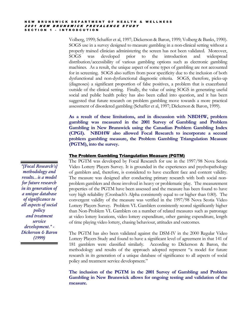Volberg, 1999; Schaffer et al, 1997; Dickerson & Baron, 1999; Volberg & Banks, 1990). SOGS use in a survey designed to measure gambling in a non-clinical setting without a properly trained clinician administering the screen has not been validated. Moreover, SOGS was developed prior to the introduction and widespread distribution/accessibility of various gambling options such as electronic gambling machines. As a result, the unique aspect of some types of gambling are not accounted for in screening. SOGS also suffers from poor specificity due to the inclusion of both dysfunctional and non-dysfunctional diagnostic criteria. SOGS, therefore, picks-up (diagnoses) a significant proportion of false positives, a problem that is exacerbated outside of the clinical setting. Finally, the value of using SOGS in generating useful social and public health policy has also been called into question, and it has been suggested that future research on problem gambling move towards a more practical assessment of disordered gambling (Schaffer et al, 1997; Dickerson & Baron, 1999).

**As a result of these limitations, and in discussion with NBDHW, problem gambling was measured in the 2001 Survey of Gambling and Problem Gambling in New Brunswick using the Canadian Problem Gambling Index (CPGI). NBDHW also allowed Focal Research to incorporate a second problem gambling measure, the Problem Gambling Triangulation Measure (PGTM), into the survey.**

### The Problem Gambling Triangulation Measure (PGTM)

The PGTM was developed by Focal Research for use in the 1997/98 Nova Scotia Video Lottery Players Survey. It is grounded in the experiences and psychopathology of gamblers and, therefore, is considered to have excellent face and content validity. The measure was designed after conducting primary research with both social nonproblem gamblers and those involved in heavy or problematic play. The measurement properties of the PGTM have been assessed and the measure has been found to have very high reliability (Cronbach's Alpha consistently equal to or higher than 0.80). The convergent validity of the measure was verified in the 1997/98 Nova Scotia Video Lottery Players Survey. Problem VL Gamblers consistently scored significantly higher than Non-Problem VL Gamblers on a number of related measures such as patronage at video lottery locations, video lottery expenditure, other gaming expenditure, length of time playing video lottery, chasing behaviour, attitudes and outcomes.

The PGTM has also been validated against the DSM-IV in the 2000 Regular Video Lottery Players Study and found to have a significant level of agreement in that 141 of 181 gamblers were classified similarly. According to Dickerson & Baron, the methodology and results of the approach adopted represent "a model for future research in its generation of a unique database of significance to all aspects of social policy and treatment service development."

**The inclusion of the PGTM in the 2001 Survey of Gambling and Problem Gambling in New Brunswick allows for ongoing testing and validation of the measure.**

*"[Focal Research's] methodology and results… is a model for future research in its generation of a unique database of significance to all aspects of social policy and treatment service development." - Dickerson & Baron (1999)*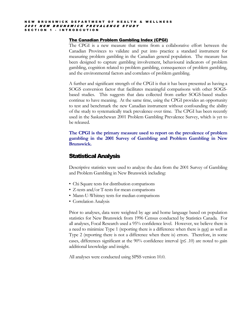#### The Canadian Problem Gambling Index (CPGI)

The CPGI is a new measure that stems from a collaborative effort between the Canadian Provinces to validate and put into practice a standard instrument for measuring problem gambling in the Canadian general population. The measure has been designed to capture gambling involvement, behavioural indicators of problem gambling, cognition related to problem gambling, consequences of problem gambling, and the environmental factors and correlates of problem gambling.

A further and significant strength of the CPGI is that it has been presented as having a SOGS conversion factor that facilitates meaningful comparisons with other SOGSbased studies. This suggests that data collected from earlier SOGS-based studies continue to have meaning. At the same time, using the CPGI provides an opportunity to test and benchmark the new Canadian instrument without confounding the ability of the study to systematically track prevalence over time. The CPGI has been recently used in the Saskatchewan 2001 Problem Gambling Prevalence Survey, which is yet to be released.

**The CPGI is the primary measure used to report on the prevalence of problem gambling in the 2001 Survey of Gambling and Problem Gambling in New Brunswick.**

# Statistical Analysis

Descriptive statistics were used to analyze the data from the 2001 Survey of Gambling and Problem Gambling in New Brunswick including:

- Chi Square tests for distribution comparisons
- Z-tests and/or T-tests for mean comparisons
- Mann-U-Whitney tests for median comparisons
- Correlation Analysis

Prior to analyses, data were weighted by age and home language based on population statistics for New Brunswick from 1996 Census conducted by Statistics Canada. For all analyses, Focal Research used a 95% confidence level. However, we believe there is a need to minimize Type 1 (reporting there is a difference when there is not) as well as Type 2 (reporting there is not a difference when there is) errors. Therefore, in some cases, differences significant at the 90% confidence interval ( $p \leq .10$ ) are noted to gain additional knowledge and insight.

All analyses were conducted using SPSS version 10.0.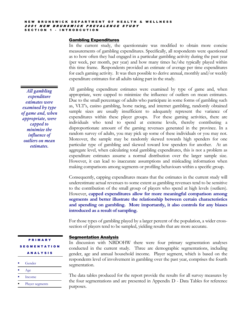#### Gambling Expenditures

In the current study, the questionnaire was modified to obtain more concise measurements of gambling expenditures. Specifically, all respondents were questioned as to how often they had engaged in a particular gambling activity during the past year (per week, per month, per year) and how many times he/she typically played within this time frame. Respondents provided an estimate of average per time expenditures for each gaming activity. It was then possible to derive annual, monthly and/or weekly expenditure estimates for all adults taking part in the study.

*All gambling expenditure estimates were examined by type of game and, when appropriate, were capped to minimize the influence of outliers on mean estimates.*

All gambling expenditure estimates were examined by type of game and, when appropriate, were capped to minimize the influence of outliers on mean estimates. Due to the small percentage of adults who participate in some forms of gambling such as, VLT's, casino gambling, horse racing, and internet gambling, randomly obtained sample sizes are usually insufficient to adequately represent the variance of expenditures within these player groups. For these gaming activities, there are individuals who tend to spend at extreme levels, thereby contributing a disproportionate amount of the gaming revenues generated in the province. In a random survey of adults, you may pick up some of these individuals or you may not. Moreover, the sample may be randomly skewed towards high spenders for one particular type of gambling and skewed toward low spenders for another. At an aggregate level, when calculating total gambling expenditures, this is not a problem as expenditure estimates assume a normal distribution over the larger sample size. However, it can lead to inaccurate assumptions and misleading information when making comparisons among segments or profiling behaviours within a specific group.

Consequently, capping expenditures means that the estimates in the current study will underestimate actual revenues to some extent as gambling revenues tend to be sensitive to the contribution of the small group of players who spend at high levels (outliers). However, **capped expenditures allow for more meaningful comparison among segments and better illustrate the relationship between certain characteristics and spending on gambling. More importantly, it also controls for any biases introduced as a result of sampling.**

For those types of gambling played by a larger percent of the population, a wider crosssection of players tend to be sampled, yielding results that are more accurate.

### Segmentation Analysis

In discussion with NBDOHW there were four primary segmentation analyses conducted in the current study. Three are demographic segmentations, including gender, age and annual household income. Player segment, which is based on the respondents level of involvement in gambling over the past year, comprises the fourth segmentation.

The data tables produced for the report provide the results for all survey measures by the four segmentations and are presented in Appendix D - Data Tables for reference purposes.

# **SEGMENTATION** ANALYSIS Gender Age Income Player segments

PRIMARY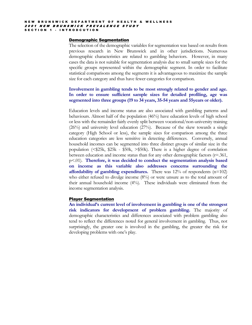### Demographic Segmentation

The selection of the demographic variables for segmentation was based on results from previous research in New Brunswick and in other jurisdictions. Numerous demographic characteristics are related to gambling behaviors. However, in many cases the data is not suitable for segmentation analysis due to small sample sizes for the specific groups represented within the demographic segment. In order to facilitate statistical comparisons among the segments it is advantageous to maximize the sample size for each category and thus have fewer categories for comparison.

## **Involvement in gambling tends to be most strongly related to gender and age. In order to ensure sufficient sample sizes for detailed profiling, age was segmented into three groups (19 to 34 years, 35-54 years and 55years or older).**

Education levels and income status are also associated with gambling patterns and behaviours. Almost half of the population (46%) have education levels of high school or less with the remainder fairly evenly split between vocational/non-university training (26%) and university level education (27%). Because of the skew towards a single category (High School or less), the sample sizes for comparison among the three education categories are less sensitive in detecting differences. Conversely, annual household incomes can be segmented into three distinct groups of similar size in the population  $\leq$ \$25k, \$25k - \$50k,  $\geq$ \$50k). There is a higher degree of correlation between education and income status than for any other demographic factors (r=.361, p<.01). **Therefore, it was decided to conduct the segmentation analysis based on income as this variable also addresses concerns surrounding the affordability of gambling expenditures.** There was 12% of respondents (n=102) who either refused to divulge income  $(8%)$  or were unsure as to the total amount of their annual household income (4%). These individuals were eliminated from the income segmentation analysis.

#### Player Segmentation

**An individual's current level of involvement in gambling is one of the strongest risk indicators for development of problem gambling.** The majority of demographic characteristics and differences associated with problem gambling also tend to reflect the differences noted for general involvement in gambling. Thus, not surprisingly, the greater one is involved in the gambling, the greater the risk for developing problems with one's play.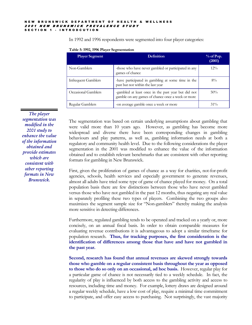In 1992 and 1996 respondents were segmented into four player categories:

| <b>Player Segment</b>      | <b>Definition</b>                                                                                        | $%$ of Pop.<br>(2001) |
|----------------------------|----------------------------------------------------------------------------------------------------------|-----------------------|
| Non-Gamblers               | -those who have never gambled or participated in any<br>games of chance                                  | $12\%$                |
| <b>Infrequent Gamblers</b> | -have participated in gambling at some time in the<br>past but not within the last year                  | $8\%$                 |
| Occasional Gamblers        | -gambled at least once in the past year but did not<br>gamble on any games of chance once a week or more | 50%                   |
| Regular Gamblers           | -on average gamble once a week or more                                                                   | $31\%$                |

#### **Table 5: 1992, 1996 Player Segmentation**

*The player segmentation was modified in the 2001 study to enhance the value of the information obtained and provide estimates which are consistent with other reporting formats in New Brunswick.*

The segmentation was based on certain underlying assumptions about gambling that were valid more than 10 years ago. However, as gambling has become more widespread and diverse there have been corresponding changes in gambling behaviours and play patterns, as well as, gambling information needs at both a regulatory and community health level. Due to the following considerations the player segmentation in the 2001 was modified to enhance the value of the information obtained and to establish relevant benchmarks that are consistent with other reporting formats for gambling in New Brunswick.

First, given the proliferation of games of chance as a way for charities, not-for-profit agencies, schools, health services and especially government to generate revenues, almost all adults have tried some type of game of chance played for money. On a total population basis there are few distinctions between those who have never gambled versus those who have not gambled in the past 12 months, thus negating any real value in separately profiling these two types of players. Combining the two groups also maximizes the segment sample size for "Non-gamblers" thereby making the analysis more sensitive in detecting differences.

Furthermore, regulated gambling tends to be operated and tracked on a yearly or, more concisely, on an annual fiscal basis. In order to obtain comparable measures for evaluating revenue contributions it is advantageous to adopt a similar timeframe for population research. **Thus, for tracking purposes, the first consideration is the identification of differences among those that have and have not gambled in the past year.**

**Second, research has found that annual revenues are skewed strongly towards those who gamble on a regular consistent basis throughout the year as opposed to those who do so only on an occasional, ad hoc basis.** However, regular play for a particular game of chance is not necessarily tied to a weekly schedule. In fact, the regularity of play is influenced by both access to the gambling activity and access to resources, including time and money. For example, lottery draws are designed around a regular weekly schedule, have a low cost of play, require a minimal time commitment to participate, and offer easy access to purchasing. Not surprisingly, the vast majority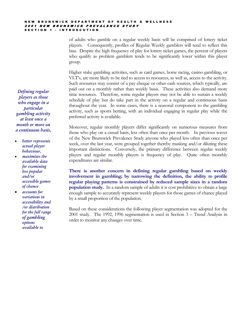of adults who gamble on a regular weekly basis will be comprised of lottery ticket players. Consequently, profiles of Regular Weekly gamblers will tend to reflect this bias. Despite the high frequency of play for lottery ticket games, the percent of players who qualify as problem gamblers tends to be significantly lower within this player group.

Higher stake gambling activities, such as card games, horse racing, casino gambling, or VLT's, are more likely to be tied to access to resources, as well as, access to the activity. Such resources may consist of a pay cheque or other cash sources, which typically, are paid out on a monthly rather than weekly basis. These activities also demand more time resources. Therefore, some regular players may not be able to sustain a weekly schedule of play but do take part in the activity on a regular and continuous basis throughout the year. In some cases, there is a seasonal component to the gambling activity, such as sports betting, with an individual engaging in regular play while the preferred activity is available.

Moreover, regular monthly players differ significantly on numerous measures from those who play on a casual basis, less often than once per month. In previous waves of the New Brunswick Prevalence Study anyone who played less often than once per week, over the last year, were grouped together thereby masking and/or diluting these important distinctions. Conversely, the primary difference between regular weekly players and regular monthly players is frequency of play. Quite often monthly expenditures are similar.

**There is another concern in defining regular gambling based on weekly involvement in gambling; by narrowing the definition, the ability to profile regular playing patterns is constrained by reduced sample sizes in a random population study.** In a random sample of adults it is cost prohibitive to obtain a large enough sample to accurately represent weekly players for those games of chance played by a small proportion of the population.

Based on these considerations the following player segmentation was adopted for the 2001 study. The 1992, 1996 segmentation is used in Section 3 – Trend Analysis in order to monitor any changes over time.

*Defining regular players as those who engage in a particular gambling activity at least once a month or more on a continuous basis,*

- *better represents actual player behaviour,*
- *maximizes the available data for examining less popular and/or accessible games of chance*
- *accounts for variations in accessibility and /or distribution for the full range of gambling options available to*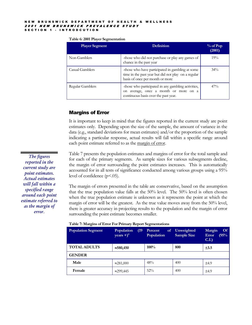|  |  | Table 6: 2001 Player Segmentation |  |
|--|--|-----------------------------------|--|
|  |  |                                   |  |

| <b>Player Segment</b> | <b>Definition</b>                                                                                                                          | $%$ of Pop<br>(2001) |
|-----------------------|--------------------------------------------------------------------------------------------------------------------------------------------|----------------------|
| Non-Gamblers          | -those who did not purchase or play any games of<br>chance in the past year                                                                | 19%                  |
| Casual Gamblers       | -those who have participated in gambling at some<br>time in the past year but did not play on a regular<br>basis of once per month or more | $34\%$               |
| Regular Gamblers      | -those who participated in any gambling activities,<br>average, once a month or more on a<br>on<br>continuous basis over the past year.    | $47\%$               |

## Margins of Error

It is important to keep in mind that the figures reported in the current study are point estimates only. Depending upon the size of the sample, the amount of variance in the data (e.g., standard deviations for mean estimates) and/or the proportion of the sample indicating a particular response, actual results will fall within a specific range around each point estimate referred to as the margin of error.

Table 7 presents the population estimates and margins of error for the total sample and for each of the primary segments. As sample sizes for various subsegments decline, the margin of error surrounding the point estimates increases. This is automatically accounted for in all tests of significance conducted among various groups using a 95% level of confidence  $(p<.05)$ .

The margin of errors presented in the table are conservative, based on the assumption that the true population value falls at the 50% level. The 50% level is often chosen when the true population estimate is unknown as it represents the point at which the margin of error will be the greatest. As the true value moves away from the 50% level, there is greater accuracy in projecting results to the population and the margin of error surrounding the point estimate becomes smaller.

| <b>Population Segment</b> | (19)<br>Population<br>years + $)$ * | Percent<br>Population | of Unweighted<br><b>Sample Size</b> | <b>Of</b><br>Margin<br>(95%<br>Error<br>C.I.) |
|---------------------------|-------------------------------------|-----------------------|-------------------------------------|-----------------------------------------------|
| <b>TOTAL ADULTS</b>       | $\approx 580,450$                   | 100%                  | 800                                 | $\pm 3.5$                                     |
| <b>GENDER</b>             |                                     |                       |                                     |                                               |
| Male                      | $\approx$ 281,000                   | 48%                   | 400                                 | ±4.9                                          |
| Female                    | $\approx$ 299,445                   | 52%                   | 400                                 | ±4.9                                          |

#### **Table 7: Margins of Error For Primary Report Segmentations**

*The figures reported in the current study are point estimates. Actual estimates will fall within a specified range around each point estimate referred to as the margin of error.*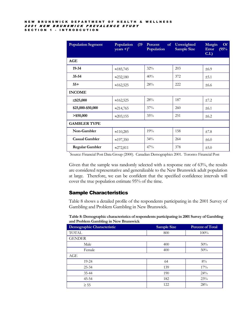| <b>Population Segment</b> | Population<br>(19)<br>years $+)^*$ | Percent<br>of<br>Population | Unweighted<br><b>Sample Size</b> | Of<br>Margin<br>Error<br>(95%<br>C.I.) |
|---------------------------|------------------------------------|-----------------------------|----------------------------------|----------------------------------------|
| AGE                       |                                    |                             |                                  |                                        |
| 19-34                     | $\approx 185,745$                  | 32%                         | 203                              | ±6.9                                   |
| $35 - 54$                 | $\approx$ 232,180                  | 40%                         | 372                              | $\pm$ 5.1                              |
| $55+$                     | $\approx 162,525$                  | 28%                         | 222                              | ±6.6                                   |
| <b>INCOME</b>             |                                    |                             |                                  |                                        |
| $\leq$ \$25,000           | $\approx 162,525$                  | 28%                         | 187                              | ±7.2                                   |
| \$25,000-\$50,000         | $\approx$ 214,765                  | 37%                         | 260                              | $\pm 6.1$                              |
| $>$ \$50,000              | $\approx 203,155$                  | 35%                         | 251                              | $\pm 6.2$                              |
| <b>GAMBLER TYPE</b>       |                                    |                             |                                  |                                        |
| Non-Gambler               | $\approx$ 110,285                  | 19%                         | 158                              | ±7.8                                   |
| <b>Casual Gambler</b>     | $\approx$ 197,350                  | 34%                         | 264                              | ±6.0                                   |
| <b>Regular Gambler</b>    | $\approx$ 272,811                  | 47%                         | 378                              | $\pm$ 5.0                              |

\* Source: Financial Post Data Group (2000). Canadian Demographics 2001. Toronto: Financial Post

Given that the sample was randomly selected with a response rate of 63%, the results are considered representative and generalizable to the New Brunswick adult population at large. Therefore, we can be confident that the specified confidence intervals will cover the true population estimate 95% of the time.

## Sample Characteristics

Table 8 shows a detailed profile of the respondents participating in the 2001 Survey of Gambling and Problem Gambling in New Brunswick.

| Table 8: Demographic characteristics of respondents participating in 2001 Survey of Gambling |  |
|----------------------------------------------------------------------------------------------|--|
| and Problem Gambling in New Brunswick                                                        |  |

| Demographic Characteristic | Sample Size | <b>Percent of Total</b> |  |
|----------------------------|-------------|-------------------------|--|
| <b>TOTAL</b>               | 800         | $100\%$                 |  |
| <b>GENDER</b>              |             |                         |  |
| Male                       | 400         | 50%                     |  |
| Female                     | 400         | 50%                     |  |
| AGE                        |             |                         |  |
| 19-24                      | 64          | $8\%$                   |  |
| $25 - 34$                  | 139         | 17%                     |  |
| $35 - 44$                  | 190         | 24%                     |  |
| $45 - 54$                  | 182         | 23%                     |  |
| $\geq 55$                  | 122         | 28%                     |  |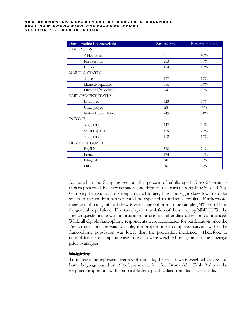| Demographic Characteristic | <b>Sample Size</b> | <b>Percent of Total</b> |  |
|----------------------------|--------------------|-------------------------|--|
| <b>EDUCATION</b>           |                    |                         |  |
| $\leq$ H.S. Grad.          | 381                | 48%                     |  |
| Post Second.               | 263                | 33%                     |  |
| University                 | 154                | 19%                     |  |
| MARITAL STATUS             |                    |                         |  |
| Single                     | 137                | $17\%$                  |  |
| Married/Separated          | 586                | 74%                     |  |
| Divorced/Widowed           | 74                 | $9\%$                   |  |
| <b>EMPLOYMENT STATUS</b>   |                    |                         |  |
| Employed                   | 523                | 65%                     |  |
| Unemployed                 | 28                 | $4\%$                   |  |
| Not in Labour Force        | 249                | 31%                     |  |
| <b>INCOME</b>              |                    |                         |  |
| $\leq$ \$50,000            | 447                | 64%                     |  |
| \$50,001-\$70,000          | 139                | 20%                     |  |
| $\geq$ \$70,000            | 112                | 16%                     |  |
| HOME LANGUAGE              |                    |                         |  |
| English                    | 590                | 74%                     |  |
| French                     | 174                | $22\%$                  |  |
| Bilingual                  | 20                 | $3\%$                   |  |
| Other                      | 16                 | $2\%$                   |  |

As noted in the Sampling section, the percent of adults aged 19 to 24 years is underrepresented by approximately one-third in the current sample (8% vs. 12%). Gambling behaviours are strongly related to age, thus, the slight skew towards older adults in the random sample could be expected to influence results. Furthermore, there was also a significant skew towards anglophones in the sample (74% vs. 64% in the general population). Due to delays in translation of the survey by NBDOHW, the French questionnaire was not available for use until after data collection commenced. While all eligible francophone respondents were recontacted for participation once the French questionnaire was available, the proportion of completed surveys within the francophone population was lower than the population incidence. Therefore, to control for these sampling biases, the data were weighted by age and home language prior to analyses.

#### **Weighting**

To increase the representativeness of the data, the results were weighted by age and home language based on 1996 Census data for New Brunswick. Table 9 shows the weighted proportions with comparable demographic data from Statistics Canada.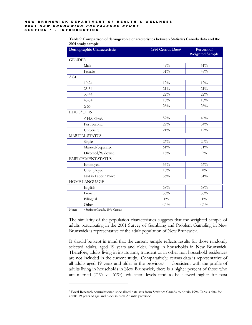**Table 9: Comparison of demographic characteristics between Statistics Canada data and the 2001 study sample**

| Demographic Characteristic | 1996 Census Data <sup>a</sup> | Percent of<br><b>Weighted Sample</b> |
|----------------------------|-------------------------------|--------------------------------------|
| <b>GENDER</b>              |                               |                                      |
| Male                       | 49%                           | 51%                                  |
| Female                     | 51%                           | 49%                                  |
| <b>AGE</b>                 |                               |                                      |
| 19-24                      | 12%                           | 12%                                  |
| $25 - 34$                  | $21\%$                        | $21\%$                               |
| 35-44                      | $22\%$                        | $22\%$                               |
| 45-54                      | 18%                           | 18%                                  |
| $\geq 55$                  | 28%                           | 28%                                  |
| <b>EDUCATION</b>           |                               |                                      |
| $\leq$ H.S. Grad.          | 52%                           | 46%                                  |
| Post Second.               | 27%                           | 34%                                  |
| University                 | $21\%$                        | 19%                                  |
| <b>MARITAL STATUS</b>      |                               |                                      |
| Single                     | 26%                           | 20%                                  |
| Married/Separated          | 61%                           | 71%                                  |
| Divorced/Widowed           | 13%                           | $9\%$                                |
| <b>EMPLOYMENT STATUS</b>   |                               |                                      |
| Employed                   | $55\%$                        | 66%                                  |
| Unemployed                 | 10%                           | $4\%$                                |
| Not in Labour Force        | 35%                           | $31\%$                               |
| <b>HOME LANGUAGE</b>       |                               |                                      |
| English                    | 68%                           | 68%                                  |
| French                     | 30%                           | 30%                                  |
| Bilingual                  | $1\%$                         | $1\%$                                |
| Other                      | $<$ 1%                        | $<$ 1%                               |

Notes: <sup>a</sup> Statistics Canada, 1996 Census.

 $\overline{a}$ 

The similarity of the population characteristics suggests that the weighted sample of adults participating in the 2001 Survey of Gambling and Problem Gambling in New Brunswick is representative of the adult population of New Brunswick.

It should be kept in mind that the current sample reflects results for those randomly selected adults, aged 19 years and older, living in households in New Brunswick. Therefore, adults living in institutions, transient or in other non-household residences are not included in the current study. Comparatively, census data is representative of all adults aged 19 years and older in the province.5 Consistent with the profile of adults living in households in New Brunswick, there is a higher percent of those who are married (71% vs. 61%), education levels tend to be skewed higher for post

<sup>5</sup> Focal Research commissioned specialized data sets from Statistics Canada to obtain 1996 Census data for adults 19 years of age and older in each Atlantic province.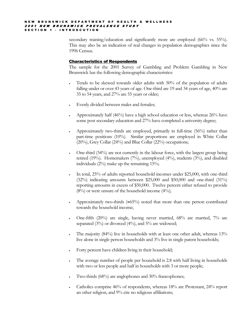secondary training/education and significantly more are employed (66% vs. 55%). This may also be an indication of real changes in population demographics since the 1996 Census.

### Characteristics of Respondents

The sample for the 2001 Survey of Gambling and Problem Gambling in New Brunswick has the following demographic characteristics:

- Tends to be skewed towards older adults with 50% of the population of adults falling under or over 43 years of age. One-third are 19 and 34 years of age, 40% are 35 to 54 years, and 27% are 55 years or older;
- Evenly divided between males and females;
- Approximately half (46%) have a high school education or less, whereas 26% have some post secondary education and 27% have completed a university degree;
- Approximately two-thirds are employed, primarily in full-time (56%) rather than part-time positions (10%). Similar proportions are employed in White Collar (20%), Grey Collar (24%) and Blue Collar (22%) occupations;
- One-third  $(34%)$  are not currently in the labour force, with the largest group being retired (19%). Homemakers (7%), unemployed (4%), students (3%), and disabled individuals  $(2\%)$  make up the remaining 15%;
- In total, 25% of adults reported household incomes under \$25,000, with one-third (32%) indicating amounts between \$25,000 and \$50,000 and one-third (31%) reporting amounts in excess of \$50,000. Twelve percent either refused to provide  $(8\%)$  or were unsure of the household income  $(4\%)$ ;
- Approximately two-thirds  $(\approx 65\%)$  noted that more than one person contributed towards the household income;
- One-fifth (20%) are single, having never married, 68% are married, 7% are separated (3%) or divorced (4%), and 5% are widowed;
- The majority (84%) live in households with at least one other adult, whereas 13% live alone in single person households and 3% live in single parent households;
- Forty percent have children living in their household;
- The average number of people per household is 2.8 with half living in households with two or less people and half in households with 3 or more people;
- Two-thirds (68%) are anglophones and 30% francophones;
- Catholics comprise 46% of respondents, whereas 18% are Protestant, 24% report an other religion, and 9% cite no religious affiliations;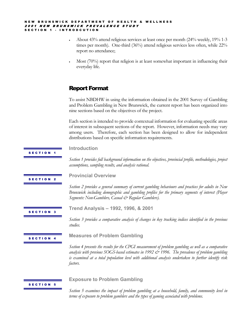- About 43% attend religious services at least once per month (24% weekly, 19% 1-3 times per month). One-third (36%) attend religious services less often, while 22% report no attendance;
- Most (70%) report that religion is at least somewhat important in influencing their everyday life.

# Report Format

To assist NBDHW in using the information obtained in the 2001 Survey of Gambling and Problem Gambling in New Brunswick, the current report has been organized into nine sections based on the objectives of the project.

Each section is intended to provide contextual information for evaluating specific areas of interest in subsequent sections of the report. However, information needs may vary among users. Therefore, each section has been designed to allow for independent distributions based on specific information requirements.

| <b>Introduction</b>                                                                                                                                                                                                                                                                                                                           |
|-----------------------------------------------------------------------------------------------------------------------------------------------------------------------------------------------------------------------------------------------------------------------------------------------------------------------------------------------|
| Section 1 provides full background information on the objectives, provincial profile, methodologies, project<br>assumptions, sampling results, and analysis rational.                                                                                                                                                                         |
| <b>Provincial Overview</b>                                                                                                                                                                                                                                                                                                                    |
| Section 2 provides a general summary of current gambling behaviours and practices for adults in New<br>Brunswick including demographic and gambling profiles for the primary segments of interest (Player<br>Segments: Non-Gamblers, Casual & Regular Gamblers).                                                                              |
| Trend Analysis - 1992, 1996, & 2001                                                                                                                                                                                                                                                                                                           |
| Section 3 provides a comparative analysis of changes in key tracking indices identified in the previous<br>studies.                                                                                                                                                                                                                           |
| <b>Measures of Problem Gambling</b>                                                                                                                                                                                                                                                                                                           |
| Section 4 presents the results for the CPGI measurement of problem gambling as well as a comparative<br>analysis with previous SOGS-based estimates in 1992 $\mathcal{C}$ 1996. The prevalence of problem gambling<br>is examined at a total population level with additional analysis undertaken to further identify risk<br><i>factors.</i> |
|                                                                                                                                                                                                                                                                                                                                               |

## SECTION<sub>5</sub>

### **Exposure to Problem Gambling**

*Section 5 examines the impact of problem gambling at a household, family, and community level in terms of exposure to problem gamblers and the types of gaming associated with problems.*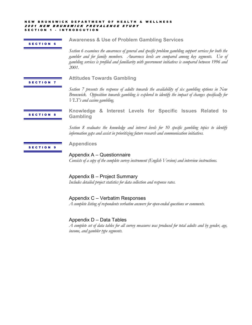| <b>SECTION</b> | <b>Awareness &amp; Use of Problem Gambling Services</b>                                                                                                                                                                                                                                                                |  |  |  |  |
|----------------|------------------------------------------------------------------------------------------------------------------------------------------------------------------------------------------------------------------------------------------------------------------------------------------------------------------------|--|--|--|--|
|                | Section 6 examines the awareness of general and specific problem gambling support services for both the<br>gambler and for family members. Awareness levels are compared among key segments. Use of<br>gambling services is profiled and familiarity with government initiatives is compared between 1996 and<br>2001. |  |  |  |  |
| ECTION         | <b>Attitudes Towards Gambling</b>                                                                                                                                                                                                                                                                                      |  |  |  |  |
|                | Section 7 presents the response of adults towards the availability of six gambling options in New<br>Brunswick. Opposition towards gambling is explored to identify the impact of changes specifically for<br>VLT's and casino gambling.                                                                               |  |  |  |  |
|                | Knowledge & Interest Levels for Specific Issues Related<br>to<br>Gambling                                                                                                                                                                                                                                              |  |  |  |  |
|                | Section 8 evaluates the knowledge and interest levels for 10 specific gambling topics to identify<br>information gaps and assist in prioritizing future research and communication initiatives.                                                                                                                        |  |  |  |  |
|                | <b>Appendices</b>                                                                                                                                                                                                                                                                                                      |  |  |  |  |
|                | Appendix A - Questionnaire<br>Consists of a copy of the complete survey instrument (English Version) and interview instructions.                                                                                                                                                                                       |  |  |  |  |

# Appendix B – Project Summary *Includes detailed project statistics for data collection and response rates.*

## Appendix C – Verbatim Responses

*A complete listing of respondents verbatim answers for open-ended questions or comments.*

# Appendix D – Data Tables

*A complete set of data tables for all survey measures was produced for total adults and by gender, age, income, and gambler type segments.*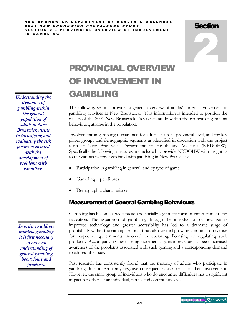

# PROVINCIAL OVERVIEW OF INVOLVEMENT IN GAMBLING

The following section provides a general overview of adults' current involvement in gambling activities in New Brunswick. This information is intended to position the results of the 2001 New Brunswick Prevalence study within the context of gambling behaviours, at large in the population.

Involvement in gambling is examined for adults at a total provincial level, and for key player groups and demographic segments as identified in discussion with the project team at New Brunswick Department of Health and Wellness (NBDOHW). Specifically the following measures are included to provide NBDOHW with insight as to the various factors associated with gambling in New Brunswick:

- Participation in gambling in general and by type of game
- Gambling expenditures
- Demographic characteristics

# Measurement of General Gambling Behaviours

Gambling has become a widespread and socially legitimate form of entertainment and recreation. The expansion of gambling, through the introduction of new games improved technology and greater accessibility has led to a dramatic surge of profitability within the gaming sector. It has also yielded growing amounts of revenue for respective governments involved in operating, licensing or regulating such products. Accompanying these strong incremental gains in revenue has been increased awareness of the problems associated with such gaming and a corresponding demand to address the issue.

Past research has consistently found that the majority of adults who participate in gambling do not report any negative consequences as a result of their involvement. However, the small group of individuals who do encounter difficulties has a significant impact for others at an individual, family and community level.

*In order to address problem gambling it is first necessary to have an understanding of general gambling behaviours and practices.*

*Understanding the dynamics of gambling within the general population of adults in New Brunswick assists in identifying and evaluating the risk factors associated with the development of problems with gambling.*

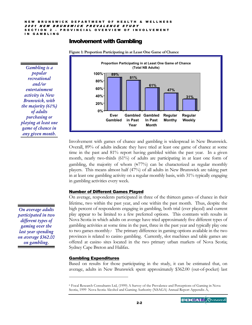# Involvement with Gambling



**89% 81% 61% 47% 31% 0% 20% 40% 60% 80% 100% Ever Gambled Gambled Gambled in Past Year In Past Month Regular Monthy Regular Weekly Proportion Participating in at Least One Game of Chance (Total NB Adults)**

Involvement with games of chance and gambling is widespread in New Brunswick. Overall, 89% of adults indicate they have tried at least one game of chance at some time in the past and 81% report having gambled within the past year. In a given month, nearly two-thirds (61%) of adults are participating in at least one form of gambling, the majority of whom  $(\approx 77\%)$  can be characterized as regular monthly players. This means almost half (47%) of all adults in New Brunswick are taking part in at least one gambling activity on a regular monthly basis, with 31% typically engaging in gambling activities every week.

## Number of Different Games Played

On average, respondents participated in three of the thirteen games of chance in their lifetime, two within the past year, and one within the past month. Thus, despite the high percent of respondents engaging in gambling, both trial (ever played) and current play appear to be limited to a few preferred options. This contrasts with results in Nova Scotia in which adults on average have tried approximately five different types of gambling activities at some time in the past, three in the past year and typically play one to two games monthly.6 The primary difference in gaming options available in the two provinces is related to casino gambling. Currently, slot machines and table games are offered at casino sites located in the two primary urban markets of Nova Scotia; Sydney Cape Breton and Halifax.

## Gambling Expenditures

 $\overline{a}$ 

Based on results for those participating in the study, it can be estimated that, on average, adults in New Brunswick spent approximately \$362.00 (out-of-pocket) last

2-2

**FOCAE** Research

*Gambling is a popular recreational and/or entertainment activity in New Brunswick, with the majority (61%) of adults purchasing or playing at least one game of chance in any given month.*

*On average adults participated in two different types of gaming over the last year spending on average \$362.00 on gambling.*

<sup>6</sup> Focal Research Consultants Ltd, (1999) A Survey of the Prevalence and Perceptions of Gaming in Nova Scotia, 1999 Nova Scotia Alcohol and Gaming Authority (NSAGA) Annual Report Appendix A,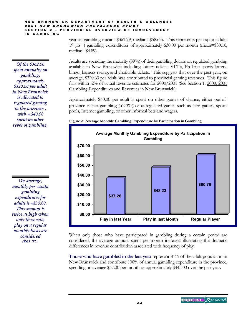year on gambling (mean=\$361.79, median=\$58.65). This represents per capita (adults 19 yrs+) gambling expenditures of approximately \$30.00 per month (mean=\$30.16, median=\$4.89).

Adults are spending the majority (89%) of their gambling dollars on regulated gambling available in New Brunswick including lottery tickets, VLT's, ProLine sports lottery, bingo, harness racing, and charitable tickets. This suggests that over the past year, on average, \$320.63 per adult, was contributed to provincial gaming revenues. This figure falls within .2% of actual revenue estimates for 2000/2001 (See Section 1: 2000, 2001 Gambling Expenditures and Revenues in New Brunswick).

Approximately \$40.00 per adult is spent on other games of chance, either out-ofprovince casino gambling  $(\approx 2-3\%)$  or unregulated games such as card games, sports pools, Internet gambling, or other informal bets and wagers.

**Figure 2: Average Monthly Gambling Expenditure by Participation in Gambling**



When only those who have participated in gambling during a certain period are considered, the average amount spent per month increases illustrating the dramatic differences in revenue contribution associated with frequency of play.

**Those who have gambled in the last year** represent 81% of the adult population in New Brunswick and contribute 100% of annual gambling expenditure in the province, spending on average \$37.00 per month or approximately \$445.00 over the past year.

*Of the \$362.00 spent annually on gambling, approximately \$320.00 per adult in New Brunswick is allocated to regulated gaming in the province , with* ≈ *\$40.00 spent on other types of gambling.*

*On average, monthly per capita gambling expenditures for adults is* ≈*\$30.00. This amount is twice as high when only those who play on a regular monthly basis are considered (\$61 00)*

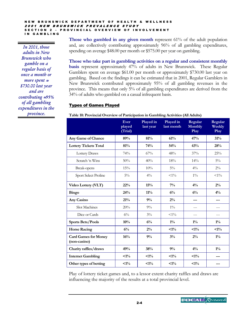*In 2001, those adults in New Brunswick who gamble on a regular basis of once a month or more spent* <sup>≈</sup> *\$730.00 last year and are contributing* ≈*95% of all gambling expenditures in the province.*

**Those who gambled in any given month** represent 61% of the adult population and, are collectively contributing approximately 96% of all gambling expenditures, spending on average \$48.00 per month or \$575.00 per year on gambling.

**Those who take part in gambling activities on a regular and consistent monthly basis** represent approximately 47% of adults in New Brunswick. These Regular Gamblers spent on average \$61.00 per month or approximately \$730.00 last year on gambling. Based on the findings it can be estimated that in 2001, Regular Gamblers in New Brunswick contributed approximately 95% of all gambling revenues in the province. This means that only 5% of all gambling expenditures are derived from the 34% of adults who gambled on a casual infrequent basis.

## Types of Games Played

|                                             | Ever<br>played<br>(Trial) | Played in<br>last year | Played in<br>last month | Regular<br><b>Monthly</b><br>Play | Regular<br>Weekly<br>Play |
|---------------------------------------------|---------------------------|------------------------|-------------------------|-----------------------------------|---------------------------|
| Any Game of Chance                          | 89%                       | 81%                    | 61%                     | 47%                               | 31%                       |
| <b>Lottery Tickets Total</b>                | 81%                       | 74%                    | 54%                     | 43%                               | 28%                       |
| Lottery Draws                               | 74%                       | 67%                    | 48%                     | 37%                               | 25%                       |
| Scratch 'n Wins                             | 50%                       | 40%                    | 18%                     | 14%                               | $5\%$                     |
| Break-opens                                 | 15%                       | 10%                    | $5\%$                   | $4\%$                             | $2\%$                     |
| Sport Select Proline                        | $5\%$                     | $4\frac{0}{0}$         | $<1\%$                  | $1\%$                             | $<1\%$                    |
| Video Lottery (VLT)                         | 22%                       | 15%                    | $7\%$                   | $4\%$                             | $2\%$                     |
| <b>Bingo</b>                                | 24%                       | $11\%$                 | $6\%$                   | 6%                                | $4\%$                     |
| Any Casino                                  | 21%                       | 9%                     | $2\%$                   | ---                               |                           |
| Slot Machines                               | 20%                       | $9\%$                  | $1\%$                   |                                   | ---                       |
| Dice or Cards                               | $6\%$                     | $3\%$                  | $<1\%$                  | ---                               | $---$                     |
| <b>Sports Bets/Pools</b>                    | 10%                       | 6%                     | $1\%$                   | $1\%$                             | $1\%$                     |
| <b>Horse Racing</b>                         | 6%                        | $2\%$                  | $<1\%$                  | $<1\%$                            | $<1\%$                    |
| <b>Card Games for Money</b><br>(non-casino) | 16%                       | 9%                     | $3\%$                   | $2\%$                             | $1\%$                     |
| Charity raffles/draws                       | 49%                       | 38%                    | 9%                      | $4\%$                             | $1\%$                     |
| <b>Internet Gambling</b>                    | $<1\%$                    | $<1\%$                 | $<1\%$                  | $<1\%$                            |                           |
| Other types of betting                      | $<1\%$                    | $<1\%$                 | $<1\%$                  | $<1\%$                            |                           |

**Table 10: Provincial Overview of Participation in Gambling Activities (All Adults)**

Play of lottery ticket games and, to a lessor extent charity raffles and draws are influencing the majority of the results at a total provincial level.

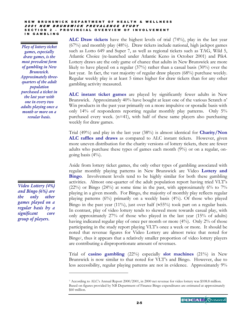*Play of lottery ticket games, especially draw games, is the most prevalent form of gambling in New Brunswick. Approximately threequarters of the adult population purchased a ticket in the last year with one in every two adults playing once a month or more on a regular basis.*

*Video Lottery (4%) and Bingo (6%) are the only other games played on a regular basis by a significant core group of players.*

 $\overline{a}$ 

**ALC Draw tickets** have the highest levels of trial (74%), play in the last year (67%) and monthly play (48%). Draw tickets include national, high jackpot games such as Lotto 649 and Super 7, as well as regional tickets such as TAG, Wild 5, Atlantic Choice (re-launched under Atlantic Keno in October 2001) and Pik4. Lottery draws are the only game of chance that adults in New Brunswick are more likely to have played on a regular (37%) rather than a casual basis (30%) over the last year. In fact, the vast majority of regular draw players (68%) purchase weekly. Regular weekly play is at least 5 times higher for draw tickets than for any other gambling activity measured.

**ALC instant ticket games** are played by significantly fewer adults in New Brunswick. Approximately 40% have bought at least one of the various Scratch n' Win products in the past year primarily on a more impulsive or sporadic basis with only 14% of respondents reporting regular monthly play patterns. Only 5% purchased every week.  $(n=41)$ , with half of these same players also purchasing weekly for draw games.

Trial (49%) and play in the last year (38%) is almost identical for **Charity/Non ALC raffles and draws** as compared to ALC instant tickets. However, given more uneven distribution for the charity versions of lottery tickets, there are fewer adults who purchase these types of games each month (9%) or on a regular, ongoing basis (4%).

Aside from lottery ticket games, the only other types of gambling associated with regular monthly playing patterns in New Brunswick are Video **Lottery and Bingo**. Involvement levels tend to be highly similar for both these gambling activities. Almost one-quarter of the adult population report having tried VLT's  $(22%)$  or Bingo  $(24%)$  at some time in the past, with approximately 6% to 7% playing in a given month. For Bingo, the majority of monthly play reflects regular playing patterns (6%) primarily on a weekly basis (4%). Of those who played Bingo in the past year (11%), just over half ( $\approx$ 55%) took part on a regular basis. In contrast, play of video lottery tends to skewed more towards casual play, with only approximately 27% of those who played in the last year (15% of adults) having indicated regular play of once per month or more (4%). Only 2% of those participating in the study report playing VLT's once a week or more. It should be noted that revenue figures for Video Lottery are almost twice that noted for Bingo7, thus it appears that a relatively smaller proportion of video lottery players are contributing a disproportionate amount of revenues.

Trial of **casino gambling** (22%) especially **slot machines** (21%) in New Brunswick is now similar to that noted for VLT's and Bingo. However, due to less accessibility, regular playing patterns are not in evidence. Approximately 9%

<sup>7</sup> According to ALC's Annual Report 2000/2001, in 2000 net revenue for video lottery was \$108.8 million. Based on figures provided by NB Department of Finance Bingo expenditures are estimated at approximately \$60 million.

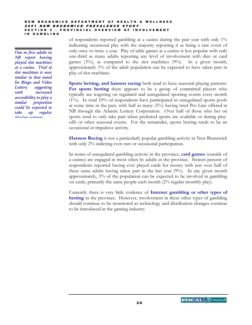*One in five adults in NB report having played slot machines at a casino. Trial of slot machines is now similar to that noted for Bingo and Video Lottery suggesting with increased accessibility to play a similar proportion could be expected to take up regular playing patterns*

of respondents reported gambling at a casino during the past year with only 1% indicating occasional play with the majority reporting it as being a rare event of only once or twice a year. Play of table games at a casino is less popular with only one-third as many adults reporting any level of involvement with dice or card games  $(3\%)$ , as compared to the slot machines  $(9\%)$ . In a given month, approximately 1% of the adult population can be expected to have taken part in play of slot machines.

**Sports betting, and harness racing** both tend to have seasonal playing patterns. **For sports betting** there appears to be a group of committed players who typically are wagering on regulated and unregulated sporting events every month (1%). In total 10% of respondents have participated in unregulated sports pools at some time in the past, with half as many (5%) having tried Pro Line offered in NB through the Atlantic Lottery Corporation. Over half of those who bet on sports tend to only take part when preferred sports are available or during playoffs or other seasonal events. For the remainder, sports betting tends to be an occasional or impulsive activity.

**Harness Racing** is not a particularly popular gambling activity in New Brunswick with only 2% indicting even rare or occasional participation.

In terms of unregulated gambling activity in the province, **card games** (outside of a casino) are engaged in most often by adults in the province. Sixteen percent of respondents reported having ever played cards for money with just over half of these same adults having taken part in the last year (9%). In any given month approximately, 3% of the population can be expected to be involved in gambling on cards, primarily the same people each month (2% regular monthly play).

Currently there is very little evidence of **Internet gambling or other types of betting** in the province. However, involvement in these other types of gambling should continue to be monitored as technology and distribution changes continue to be introduced in the gaming industry.

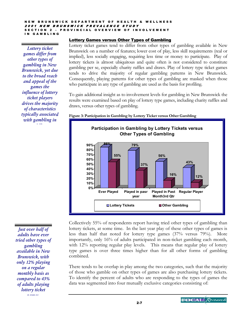*Lottery ticket games differ from other types of gambling in New Brunswick, yet due to the broad reach and appeal of the games the influence of lottery ticket players drives the majority of characteristics typically associated with gambling in*

*NB*

## Lottery Games versus Other Types of Gambling

Lottery ticket games tend to differ from other types of gambling available in New Brunswick on a number of features; lower cost of play, less skill requirements (real or implied), less socially engaging, requiring less time or money to participate. Play of lottery tickets is almost ubiquitous and quite often is not considered to constitute gambling per se, especially charity raffles and draws. Play of lottery type ticket games tends to drive the majority of regular gambling patterns in New Brunswick. Consequently, playing patterns for other types of gambling are masked when those who participate in any type of gambling are used as the basis for profiling.

To gain additional insight as to involvement levels for gambling in New Brunswick the results were examined based on play of lottery type games, including charity raffles and draws, versus other types of gambling.

#### **Figure 3: Participation in Gambling by Lottery Ticket versus Other Gambling**



Collectively 55% of respondents report having tried other types of gambling than lottery tickets, at some time. In the last year play of these other types of games is less than half that noted for lottery type games (37% versus 79%). More importantly, only 16% of adults participated in non-ticket gambling each month, with 12% reporting regular play levels. This means that regular play of lottery type games is over three times higher than for all other forms of gambling combined.

There tends to be overlap in play among the two categories, such that the majority of those who gamble on other types of games are also purchasing lottery tickets. To identify the percent of adults who are responding to the types of games the data was segmented into four mutually exclusive categories consisting of:

*Just over half of adults have ever tried other types of gambling available in New Brunswick, with only 12% playing on a regular monthly basis as compared to 43% of adults playing lottery ticket games*

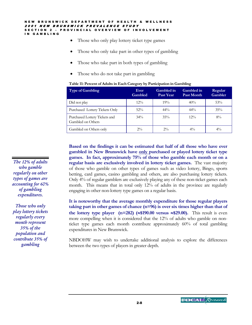- Those who only play lottery ticket type games
- Those who only take part in other types of gambling
- Those who take part in both types of gambling
- Those who do not take part in gambling

| <b>Type of Gambling</b>                            | Ever<br>Gambled | Gambled in<br>Past Year | Gambled in<br>Past Month | Regular<br>Gambler |
|----------------------------------------------------|-----------------|-------------------------|--------------------------|--------------------|
| Did not play                                       | $12\%$          | $19\%$                  | 40%                      | 53%                |
| Purchased Lottery Tickets Only                     | $52\%$          | $44\%$                  | $44\%$                   | $35\%$             |
| Purchased Lottery Tickets and<br>Gambled on Others | $34\%$          | $35\%$                  | $12\%$                   | $8\%$              |
| Gambled on Others only                             | $2\%$           | $2\%$                   | $4\%$                    | $4\%$              |

**Table 11: Percent of Adults in Each Category by Participation in Gambling**

**Based on the findings it can be estimated that half of all those who have ever gambled in New Brunswick have only purchased or played lottery ticket type games. In fact, approximately 75% of those who gamble each month or on a regular basis are exclusively involved in lottery ticket games.** The vast majority of those who gamble on other types of games such as video lottery, Bingo, sports betting, card games, casino gambling and others, are also purchasing lottery tickets. Only 4% of regular gamblers are exclusively playing any of these non-ticket games each month. This means that in total only 12% of adults in the province are regularly engaging in other non-lottery type games on a regular basis.

**It is noteworthy that the average monthly expenditure for those regular players taking part in other games of chance (n=96) is over six times higher than that of the lottery type player (n=282) (** $\approx$ **\$190.00 versus**  $\approx$ **\$29.00).** This result is even more compelling when it is considered that the 12% of adults who gamble on nonticket type games each month contribute approximately 60% of total gambling expenditures in New Brunswick.

NBDOHW may wish to undertake additional analysis to explore the differences between the two types of players in greater depth.



*The 12% of adults who gamble regularly on other types of games are accounting for 60% of gambling expenditures.*

*Those who only play lottery tickets regularly every month represent 35% of the population and contribute 35% of gambling*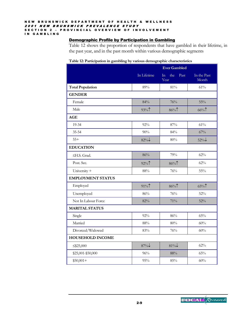## Demographic Profile by Participation in Gambling

Table 12 shows the proportion of respondents that have gambled in their lifetime, in the past year, and in the past month within various demographic segments

## **Table 12: Participation in gambling by various demographic characteristics**

|                          | <b>Ever Gambled</b> |                           |                      |  |
|--------------------------|---------------------|---------------------------|----------------------|--|
|                          | In Lifetime         | In<br>the<br>Past<br>Year | In the Past<br>Month |  |
| <b>Total Population</b>  | 89%                 | 81%                       | 61%                  |  |
| <b>GENDER</b>            |                     |                           |                      |  |
| Female                   | 84%                 | 76%                       | 55%                  |  |
| Male                     | 93%1                | $86\%$                    | $66\%$               |  |
| <b>AGE</b>               |                     |                           |                      |  |
| 19-34                    | 92%                 | 87%                       | 61%                  |  |
| 35-54                    | 90%                 | 84%                       | 67%                  |  |
| $55+$                    | $82\%$              | 80%                       | $52\%$               |  |
| <b>EDUCATION</b>         |                     |                           |                      |  |
| ≤H.S. Grad.              | 86%                 | 79%                       | 62%                  |  |
| Post. Sec.               | $92\%$              | $86\%$                    | 62%                  |  |
| University +             | 88%                 | 76%                       | $55\%$               |  |
| <b>EMPLOYMENT STATUS</b> |                     |                           |                      |  |
| Employed                 | $91\%$              | 86%                       | $65\%$               |  |
| Unemployed               | 86%                 | 76%                       | 52%                  |  |
| Not In Labour Force      | 82%                 | 71%                       | 52%                  |  |
| <b>MARITAL STATUS</b>    |                     |                           |                      |  |
| Single                   | 92%                 | 86%                       | 65%                  |  |
| Married                  | 88%                 | 80%                       | 60%                  |  |
| Divorced/Widowed         | 83%                 | 76%                       | 60%                  |  |
| <b>HOUSEHOLD INCOME</b>  |                     |                           |                      |  |
| $\leq$ \$25,000          | $87\%$              | $81\%$                    | 62%                  |  |
| \$25,001-\$50,000        | 96%                 | 88%                       | 65%                  |  |
| $$50,001+$               | 95%                 | 85%                       | 60%                  |  |

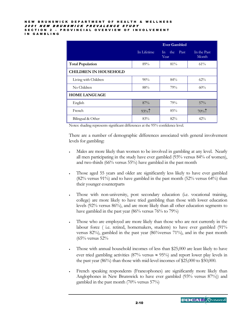|                              | <b>Ever Gambled</b> |                     |                      |  |  |
|------------------------------|---------------------|---------------------|----------------------|--|--|
|                              | In Lifetime         | In the Past<br>Year | In the Past<br>Month |  |  |
| <b>Total Population</b>      | 89%                 | 81%                 | $61\%$               |  |  |
| <b>CHILDREN IN HOUSEHOLD</b> |                     |                     |                      |  |  |
| Living with Children         | $90\%$              | 84%                 | 62%                  |  |  |
| No Children                  | 88%                 | 79%                 | 60%                  |  |  |
| <b>HOME LANGUAGE</b>         |                     |                     |                      |  |  |
| English                      | 87%                 | 79%                 | $57\%$               |  |  |
| French                       | $93\%$              | 85%                 | $70\%$               |  |  |
| Bilingual & Other            | 83%                 | 82%                 | 42%                  |  |  |

Notes: shading represents significant differences at the 95% confidence level.

There are a number of demographic differences associated with general involvement levels for gambling:

- Males are more likely than women to be involved in gambling at any level. Nearly all men participating in the study have ever gambled (93% versus 84% of women), and two-thirds (66% versus 55%) have gambled in the past month
- Those aged 55 years and older are significantly less likely to have ever gambled  $(82\%$  versus  $91\%)$  and to have gambled in the past month  $(52\%$  versus  $64\%)$  than their younger counterparts
- Those with non-university, post secondary education (i.e. vocational training, college) are more likely to have tried gambling than those with lower education levels (92% versus 86%), and are more likely than all other education segments to have gambled in the past year (86% versus 76% to 79%)
- Those who are employed are more likely than those who are not currently in the labour force (i.e. retired, homemakers, students) to have ever gambled  $(91\%$ versus 82%), gambled in the past year (86%versus 71%), and in the past month  $(65% \text{ versus } 52%$
- Those with annual household incomes of less than \$25,000 are least likely to have ever tried gambling activities (87% versus  $\approx$  95%) and report lower play levels in the past year (86%) than those with mid-level incomes of \$25,000 to \$50,000.
- French speaking respondents (Francophones) are significantly more likely than Anglophones in New Brunswick to have ever gambled (93% versus 87%)) and gambled in the past month (70% versus 57%)

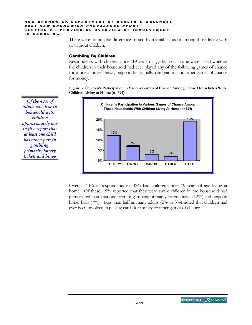There were no notable differences noted by marital status or among those living with or without children.

## Gambling By Children

Respondents with children under 19 years of age living at home were asked whether the children in their household had ever played any of the following games of chance for money: lottery draws, bingo in bingo halls, card games, and other games of chance for money.

**Figure 3: Children's Participation in Various Games of Chance Among Those Households With Children Living at Home (n=324)**

*Of the 40% of adults who live in household with children approximately one in five report that at least one child has taken part in gambling, primarily lottery tickets and bingo*



Overall, 40% of respondents (n=324) had children under 19 years of age living at home. Of these, 19% reported that they were aware children in the household had participated in at least one form of gambling primarily lottery draws (12%) and bingo in bingo halls (7%). Less than half as many adults (2% to 3%) noted that children had ever been involved in playing cards for money or other games of chance.

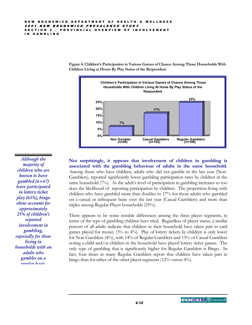

**Figure 4: Children's Participation in Various Games of Chance Among Those Households With Children Living at Home By Play Status of the Respondent**

**Not surprisingly, it appears that involvement of children in gambling is associated with the gambling behaviour of adults in the same household.** Among those who have children, adults who did not gamble in the last year (Non-Gamblers), reported significantly lower gambling participation rates by children in the same household (7%). As the adult's level of participation in gambling increases so too does the likelihood of reporting participation by children. The proportion living with children who have gambled more than doubles to 17% for those adults who gambled on a casual or infrequent basis over the last year (Casual Gamblers) and more than triples among Regular Player households (25%).

There appears to be some notable differences among the three player segments, in terms of the type of gambling children have tried. Regardless of player status, a similar percent of all adults indicate that children in their household have taken part in card games played for money (3% to 4%). Play of lottery tickets by children is only lower for Non Gamblers (4%), with 14% of Regular Gamblers and 13% of Casual Gamblers noting a child and/or children in the household have played lottery ticket games. The only type of gambling that is significantly higher for Regular Gamblers is Bingo. In fact, four times as many Regular Gamblers report that children have taken part in bingo than for either of the other player segments (12% versus 4%).

*Although the majority of children who are known to have gambled (n=67) have participated in lottery ticket play (63%), bingo alone accounts for approximately 25% of children's reported involvement in gambling, especially for those living in households with an adults who gambles on a regular basis*

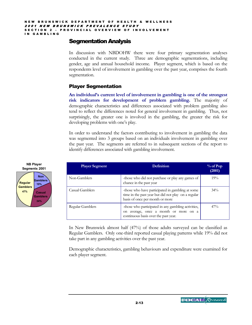## Segmentation Analysis

In discussion with NBDOHW there were four primary segmentation analyses conducted in the current study. Three are demographic segmentations, including gender, age and annual household income. Player segment, which is based on the respondents level of involvement in gambling over the past year, comprises the fourth segmentation.

## Player Segmentation

**An individual's current level of involvement in gambling is one of the strongest risk indicators for development of problem gambling.** The majority of demographic characteristics and differences associated with problem gambling also tend to reflect the differences noted for general involvement in gambling. Thus, not surprisingly, the greater one is involved in the gambling, the greater the risk for developing problems with one's play.

In order to understand the factors contributing to involvement in gambling the data was segmented into 3 groups based on an individuals involvement in gambling over the past year. The segments are referred to in subsequent sections of the report to identify differences associated with gambling involvement.

| <b>Player Segment</b> | <b>Definition</b>                                                                                                                          | $%$ of Pop<br>(2001) |
|-----------------------|--------------------------------------------------------------------------------------------------------------------------------------------|----------------------|
| Non-Gamblers          | -those who did not purchase or play any games of<br>chance in the past year                                                                | 19%                  |
| Casual Gamblers       | -those who have participated in gambling at some<br>time in the past year but did not play on a regular<br>basis of once per month or more | $34\%$               |
| Regular Gamblers      | -those who participated in any gambling activities,<br>average, once a month or more on a<br>on<br>continuous basis over the past year.    | $47\%$               |

In New Brunswick almost half (47%) of those adults surveyed can be classified as Regular Gamblers. Only one-third reported casual playing patterns while 19% did not take part in any gambling activities over the past year.

Demographic characteristics, gambling behaviours and expenditure were examined for each player segment.



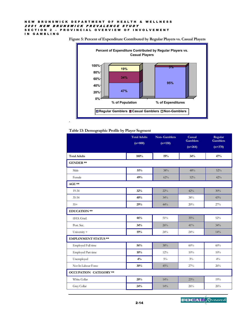

**Figure 5: Percent of Expenditure Contributed by Regular Players vs. Casual Players**

#### **Table 13: Demographic Profile by Player Segment**

.

|       |        | $(n=264)$ | $(n=378)$ |
|-------|--------|-----------|-----------|
| 100%  | 19%    | 34%       | 47%       |
|       |        |           |           |
| 51%   | 38%    | 48%       | 52%       |
| 49%   | 62%    | 52%       | 42%       |
|       |        |           |           |
| 32%   | $22\%$ | 42%       | 30%       |
| 40%   | 34%    | 38%       | 43%       |
| 29%   | 44%    | 20%       | 27%       |
|       |        |           |           |
| 46%   | $51\%$ | 35%       | 52%       |
| 34%   | 26%    | 41%       | 34%       |
| 19%   | 24%    | 24%       | 14%       |
|       |        |           |           |
| 56%   | 38%    | 60%       | 60%       |
| 10%   | 12%    | 10%       | 10%       |
| $4\%$ | $5\%$  | $3\%$     | $4\%$     |
| 30%   | 45%    | 27%       | 26%       |
|       |        |           |           |
| 20%   | 14%    | 23%       | 19%       |
| 24%   | 14%    | 26%       | 26%       |
|       |        |           |           |

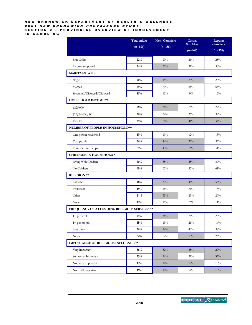|                                              | <b>Total Adults</b> | <b>Non-Gamblers</b> | Casual<br><b>Gamblers</b> | Regular<br><b>Gamblers</b> |
|----------------------------------------------|---------------------|---------------------|---------------------------|----------------------------|
|                                              | $(n=800)$           | $(n=158)$           | $(n=264)$                 | $(n=378)$                  |
|                                              |                     |                     |                           |                            |
| <b>Blue Collar</b>                           | 22%                 | 20%                 | 21%                       | 25%                        |
| Income Supported                             | 34%                 | 51%                 | 31%                       | 30%                        |
| <b>MARITAL STATUS</b>                        |                     |                     |                           |                            |
| Single                                       | 20%                 | 15%                 | 23%                       | 20%                        |
| Married                                      | 69%                 | 70%                 | 68%                       | 68%                        |
| Separated/Divorced/Widowed                   | $11\%$              | 15%                 | $9\%$                     | 12%                        |
| <b>HOUSEHOLD INCOME **</b>                   |                     |                     |                           |                            |
| $\leq$ \$25,000                              | 28%                 | 38%                 | 24%                       | 27%                        |
| \$25,001-\$50,000                            | 36%                 | 34%                 | 35%                       | 39%                        |
| $$50,001+$                                   | 35%                 | 28%                 | 41%                       | 34%                        |
| NUMBER OF PEOPLE IN HOUSEHOLD**              |                     |                     |                           |                            |
| One person household                         | 13%                 | 13%                 | 12%                       | 13%                        |
| Two people                                   | 36%                 | 44%                 | 32%                       | 36%                        |
| Three or more people                         | 51%                 | 43%                 | 56%                       | 51%                        |
| <b>CHILDREN IN HOUSEHOLD*</b>                |                     |                     |                           |                            |
| Living With Children                         | 40%                 | 35%                 | 45%                       | 39%                        |
| No Children                                  | 60%                 | $65\%$              | 55%                       | 61%                        |
| <b>RELIGION</b> **                           |                     |                     |                           |                            |
| Catholic                                     | 46%                 | 31%                 | 44%                       | 53%                        |
| Protestant                                   | 18%                 | 18%                 | 21%                       | 15%                        |
| Other                                        | 24%                 | 35%                 | 25%                       | 20%                        |
| None                                         | 10%                 | $11\%$              | $7\%$                     | $11\%$                     |
| FREQUENCY OF ATTENDING RELIGIOUS SERVICES ** |                     |                     |                           |                            |
| $1+$ per week                                | 24%                 | 36%                 | 24%                       | 20%                        |
| $1+$ per month                               | 18%                 | $19\%$              | $21\%$                    | $16\%$                     |
| Less often                                   | 36%                 | 24%                 | 40%                       | 38%                        |
| Never                                        | 22%                 | $22\%$              | 15%                       | 26%                        |
| IMPORTANCE OF RELIGIOUS INFLUENCE $\ast\ast$ |                     |                     |                           |                            |
| Very Important                               | 36%                 | 52%                 | 38%                       | 29%                        |
| Somewhat Important                           | 33%                 | 26%                 | 31%                       | 37%                        |
| Not Very Important                           | 15%                 | 10%                 | 17%                       | 15%                        |
| Not at all Important                         | 16%                 | $10\%$              | $14\%$                    | 19%                        |

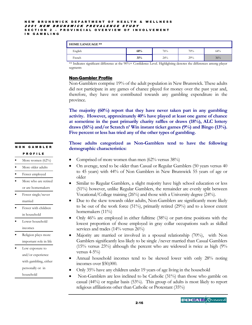| <b>HOME LANGUAGE **</b> |     |     |     |     |  |
|-------------------------|-----|-----|-----|-----|--|
| English                 | 68% | 76% | 70% | 64% |  |
| French                  | 31% | 24% | 29% | 36% |  |

\*\* Indicates significant difference at the 90%+ Confidence Level. Highlighting denotes the differences among player segments

## Non-Gambler Profile

Non-Gamblers comprise 19% of the adult population in New Brunswick. These adults did not participate in any games of chance played for money over the past year and, therefore, they have not contributed towards any gambling expenditure in the province.

**The majority (60%) report that they have never taken part in any gambling activity. However, approximately 40% have played at least one game of chance at sometime in the past primarily charity raffles or draws (18%), ALC lottery draws (16%) and/or Scratch n' Win instant ticket games (9%) and Bingo (13%). Five percent or less has tried any of the other types of gambling.**

## **Those adults categorized as Non-Gamblers tend to have the following demographic characteristics:**

- Comprised of more women than men (62% versus 38%)
- On average, tend to be older than Casual or Regular Gamblers (50 years versus 40 to 45 years) with 44% of Non Gamblers in New Brunswick 55 years of age or older
- Similar to Regular Gamblers, a slight majority have high school education or less (51%) however, unlike Regular Gamblers, the remainder are evenly split between Vocational/College training (26%) and those with a University degree (24%).
- Due to the skew towards older adults, Non-Gamblers are significantly more likely to be out of the work force (51%), primarily retired (29%) and to a lessor extent homemakers (11%)
- Only 46% are employed in either fulltime (38%) or part-time positions with the lowest proportion of those employed in gray collar occupations such as skilled services and trades (14% versus 26%)
- Majority are married or involved in a spousal relationship (70%), with Non Gamblers significantly less likely to be single /never married than Casual Gamblers  $(15\%$  versus 23%) although the percent who are widowed is twice as high  $(9\%$ versus  $4-5\%$
- Annual household incomes tend to be skewed lower with only 28% noting incomes over \$50,000.
- Only 35% have any children under 19 years of age living in the household
- Non-Gamblers are less inclined to be Catholic (31%) than those who gamble on casual (44%) or regular basis (53%). This group of adults is most likely to report religious affiliations other than Catholic or Protestant (35%)

## NON GAMBLER PROFILE

- More women (62%)
- More older adults
- Fewer employed
- More who are retired or are homemakers
- Fewer single/never married
- Fewer with children in household
- Lower household incomes
- Religion plays more important role in life
- Low exposure to and/or experience with gambling, either personally or in household

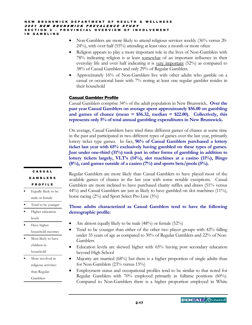- Non-Gamblers are more likely to attend religious services weekly (36% versus 20- 24%), with over half (55%) attending at least once a month or more often
- Religion appears to play a more important role in the lives of Non-Gamblers with 78% indicating religion is at least somewhat of an important influence in their everyday life and over half indicating it is very important (52%) as compared to 38% of Casual Gamblers and only 29% of Regular Gamblers.
- Approximately 16% of Non-Gamblers live with other adults who gamble on a casual or occasional basis with 7% noting at least one regular gambler resides in their household

## Casual Gambler Profile

Casual Gamblers comprise 34% of the adult population in New Brunswick**. Over the past year Casual Gamblers on average spent approximately \$56.00 on gambling and games of chance (mean = \$56.32, median = \$22.00). Collectively, this represents only 5% of total annual gambling expenditures in New Brunswick.**

On average, Casual Gamblers have tried three different games of chance at some time in the past and participated in two different types of games over the last year, primarily lottery ticket type games. In fact, **96% of Casual Gamblers purchased a lottery ticket last year with 65% exclusively having gambled on these types of games. Just under one-third (31%) took part in other forms of gambling in addition to lottery tickets largely, VLT's (14%), slot machines at a casino (11%), Bingo (8%), card games outside of a casino (7%) and sports bets/pools (5%).**

## CASUAL

## GAMBLERS

## PROFILE

- Equally likely to be male or female
- Tend to be younger
- Higher education levels
- Have higher household incomes
- Most likely to have children in household
- More involved in religious activities than Regular Gamblers

Regular Gamblers are more likely than Casual Gamblers to have played most of the available games of chance in the last year with some notable exceptions. Casual Gamblers are more inclined to have purchased charity raffles and draws (51% versus 44%) and Casual Gamblers are just as likely to have gambled on slot machines (11%), horse racing (2%) and Sport Select Pro Line (3%)

## **Those adults characterized as Casual Gamblers tend to have the following demographic profile:**

- Are almost equally likely to be male (48%) or female (52%)
- Tend to be younger than either of the other two player groups with 42% falling under 35 years of age as compared to 30% of Regular Gamblers and 22% of Non-Gamblers
- Education levels are skewed higher with 65% having post secondary education beyond High School
- Majority are married (68%) but there is a higher proportion of single adults than for Non-Gamblers (23% versus 15%)
- Employment status and occupational profiles tend to be similar to that noted for Regular Gamblers with 70% employed primarily in fulltime positions (60%). Compared to Non-Gamblers there is a higher proportion employed in White

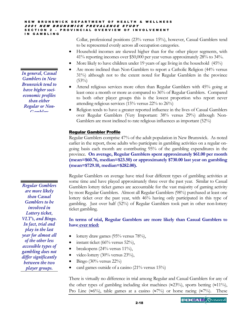Collar, professional positions (23% versus 15%), however, Casual Gamblers tend to be represented evenly across all occupation categories.

- Household incomes are skewed higher than for the other player segments, with 41% reporting incomes over \$50,000 per year versus approximately 28% to 34%.
- More likely to have children under 19 years of age living in the household (45%)
- Are more inclined than Non-Gamblers to report a Catholic Religion (44% versus 31%) although not to the extent noted for Regular Gamblers in the province  $(53%)$
- Attend religious services more often than Regular Gamblers with 45% going at least once a month or more as compared to 36% of Regular Gamblers. Compared to both other player groups this is the lowest proportion who report never attending religious services (15% versus 22% to 26%)
- Religion tends to have a greater reported influence in the lives of Casual Gamblers over Regular Gamblers (Very Important: 38% versus 29%) although Non-Gamblers are most inclined to rate religious influences as important (52%)

## Regular Gambler Profile

Regular Gamblers comprise 47% of the adult population in New Brunswick. As noted earlier in the report, those adults who participate in gambling activities on a regular ongoing basis each month are contributing 95% of the gambling expenditures in the province. **On average, Regular Gamblers spent approximately \$61.00 per month (mean=\$60.76, median=\$23.50) or approximately \$730.00 last year on gambling (mean=\$729.10, median=\$282.00).**

Regular Gamblers on average have tried four different types of gambling activities at some time and have played approximately three over the past year. Similar to Casual Gamblers lottery ticket games are accountable for the vast majority of gaming activity by most Regular Gamblers. Almost all Regular Gamblers (98%) purchased at least one lottery ticket over the past year, with 46% having only participated in this type of gambling. Just over half (52%) of Regular Gamblers took part in other non-lottery ticket gambling.

## **In terms of trial, Regular Gamblers are more likely than Casual Gamblers to have ever tried:**

- lottery draw games (95% versus 78%),
- instant ticket  $(66\%$  versus 52%),
- breakopens (24% versus 11%),
- video lottery (30% versus 23%),
- Bingo  $(30\%$  versus  $22\%)$
- card games outside of a casino  $(21\% \text{ versus } 15\%)$

There is virtually no difference in trial among Regular and Casual Gamblers for any of the other types of gambling including slot machines ( $\approx$ 23%), sports betting ( $\approx$ 11%), Pro Line (≈6%), table games at a casino (≈7%) or horse racing (≈7%). These

*In general, Casual Gamblers in New Brunswick tend to have higher socieconomic profiles than either Regular or Non-Gamblers*

*Regular Gsmblers are more likely than Casual Gamblers to be involved in Lottery ticket, VLT's, and Bingo. In fact, trial and play in the last year for almost all of the other less accessible types of gambling does not differ significantly between the two player groups.*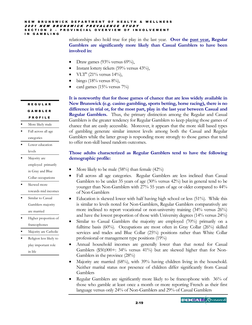relationships also hold true for play in the last year. **Over the past year, Regular Gamblers are significantly more likely than Casual Gamblers to have been involved in:**

- Draw games (93% versus 69%),
- Instant lottery tickets (59% versus 43%),
- VLT" (21% versus  $14\%$ ),
- bingo (18% versus  $8\%$ ),
- card games (15% versus 7%)

**It is noteworthy that for those games of chance that are less widely available in New Brunswick (e.g. casino gambling, sports betting, horse racing), there is no difference in trial or, for the most part, play in the last year between Casual and Regular Gamblers.** Thus, the primary distinction among the Regular and Casual Gamblers is the greater tendency for Regular Gamblers to keep playing those games of chance that are easily accessible. Moreover, it appears that the more skill based types of gambling generate similar interest levels among both the Casual and Regular Gamblers while the latter group is responding more strongly to those games that tend to offer non-skill based random outcomes.

## **Those adults characterized as Regular Gamblers tend to have the following demographic profile:**

- More likely to be male (58%) than female (42%)
- Fall across all age categories. Regular Gamblers are less inclined than Casual Gamblers to be under 35 years of age (30% versus 42%) but in general tend to be younger than Non-Gamblers with 27% 55 years of age or older compared to 44% of Non-Gamblers
- Education is skewed lower with half having high school or less (51%). While this is similar to levels noted for Non-Gamblers, Regular Gamblers comparatively are more inclined to report vocational or non-university training (34% versus 26%) and have the lowest proportion of those with University degrees (14% versus 24%)
- Similar to Casual Gamblers the majority are employed (70%) primarily on a fulltime basis (60%). Occupations are most often in Gray Collar (26%) skilled services and trades and Blue Collar (25%) positions rather than White Collar professional or management type positions (19%)
- Annual household incomes are generally lower than that noted for Casual Gamblers (\$50,000+: 34% versus 41%) but are skewed higher than for Non-Gamblers in the province (28%)
- Majority are married (68%), with 39% having children living in the household. Neither marital status nor presence of children differ significantly from Casual Gamblers
- Regular Gamblers are significantly more likely to be francophone with 36% of those who gamble at least once a month or more reporting French as their first language versus only 24% of Non-Gamblers and 29% of Casual Gamblers

## REGULAR GAMBLER

- PROFILE
- More likely male
- Fall across all age categories
- Lower education levels
- Majority are employed primarily in Gray and Blue Collar occupations
- Skewed more towards mid incomes
- Similar to Casual Gamblers majority are married
- Higher proportion of francophones
- Majority are Catholic
- Religion less likely to play important role in life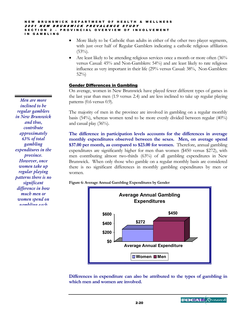- More likely to be Catholic than adults in either of the other two player segments, with just over half of Regular Gamblers indicating a catholic religious affiliation  $(53\%)$ .
- Are least likely to be attending religious services once a month or more often  $(36\%$ versus Casual: 45% and Non-Gamblers: 54%) and are least likely to rate religious influence as very important in their life (29% versus Casual: 38%, Non-Gamblers: 52%)

## Gender Differences in Gambling

On average, women in New Brunswick have played fewer different types of games in the last year than men (1.9 versus 2.4) and are less inclined to take up regular playing patterns (0.6 versus 0.9).

The majority of men in the province are involved in gambling on a regular monthly basis (54%), whereas women tend to be more evenly divided between regular (40%) and casual play (36%).

**The difference in participation levels accounts for the differences in average monthly expenditures observed between the sexes. Men, on average spend \$37.00 per month, as compared to \$23.00 for women.** Therefore, annual gambling expenditures are significantly higher for men than women (\$450 versus \$272), with men contributing almost two-thirds (63%) of all gambling expenditures in New Brunswick. When only those who gamble on a regular monthly basis are considered there is no significant differences in monthly gambling expenditures by men or women.

**Figure 6: Average Annual Gambling Expenditures by Gender**



**Differences in expenditure can also be attributed to the types of gambling in which men and women are involved.**



*Men are more inclined to be regular gamblers in New Brunswick and thus, contribute approximately 63% of total gambling expenditures in the province. However, once women take up regular playing patterns there is no significant difference in how much men or women spend on gambling each*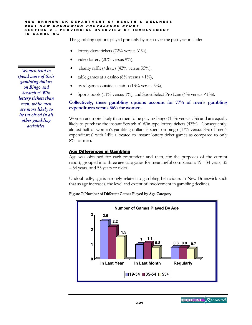The gambling options played primarily by men over the past year include:

- lottery draw tickets  $(72\% \text{ versus } 61\%).$
- video lottery (20% versus 9%),
- charity raffles/draws (42% versus 35%),
- table games at a casino  $(6\%$  versus  $\leq 1\%$ ),
- card games outside a casino (13% versus 5%),
- Sports pools (11% versus 1%), and Sport Select Pro Line (4% versus  $\leq 1\%$ ).

## **Collectively, these gambling options account for 77% of men's gambling expenditures versus 36% for women.**

Women are more likely than men to be playing bingo (15% versus 7%) and are equally likely to purchase the instant Scratch n' Win type lottery tickets (43%). Consequently, almost half of women's gambling dollars is spent on bingo (47% versus 8% of men's expenditures) with 14% allocated to instant lottery ticket games as compared to only 8% for men.

## Age Differences in Gambling

Age was obtained for each respondent and then, for the purposes of the current report, grouped into three age categories for meaningful comparison: 19 - 34 years, 35 – 54 years, and 55 years or older.

Undoubtedly, age is strongly related to gambling behaviours in New Brunswick such that as age increases, the level and extent of involvement in gambling declines.

**Figure 7: Number of Different Games Played by Age Category**





*Women tend to spend more of their gambling dollars on Bingo and Scratch n' Win lottery tickets than men, while men are more likely to be involved in all other gambling activities.*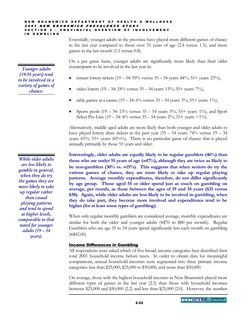Essentially, younger adults in the province have played more different games of chance in the last year compared to those over 55 years of age (2.4 versus 1.5), and more games in the last month (1.1 versus 0.8).

On a per game basis, younger adults are significantly more likely than their older counterparts to be involved in the last year in:

- instant lottery tickets (19 34: 59% versus 35 54 years: 44%; 55+ years: 23%),
- video lottery  $(19 34: 24\%$  versus  $35 54$  years:  $13\%; 55 + \text{years: } 7\%;$
- table games at a casino  $(19 34: 6\%$  versus  $35 54$  years:  $3\%$ ;  $55 +$  years:  $1\%$ ),
- Sports pools  $(19 34: 13\%$  versus  $35 54$  years:  $5\%$ ;  $55 +$  years:  $1\%$ ), and Sport Select Pro Line (19 – 34:  $4\%$  versus 35 – 54 years:  $2\%$ ; 55+ years: <1%).

Alternatively, middle aged adults are more likely than both younger and older adults to have played lottery draw tickets in the past year  $(35 - 54$  years: 74% versus 19 – 34 years: 65%; 55+ years: 60%%). There is no particular game of chance that is played annually primarily by those 55 years and older.

**Interestingly, older adults are equally likely to be regular gamblers (46%) than those who are under 55 years of age (**≈**47%), although they are twice as likely to be non-gamblers (30% vs.** ≈**15%). This suggests that when seniors do try the various games of chance, they are more likely to take up regular playing patterns. Average monthly expenditures, therefore, do not differ significantly by age group. Those aged 55 or older spend just as much on gambling on average, per month, as those between the ages of 19 and 34 years (\$31 versus \$38). Again, while older adults are less likely to be involved in gambling, when they do take part, they become more involved and expenditures tend to be higher (for at least some types of gambling).**

When only regular monthly gamblers are considered average, monthly expenditures are similar for both the older and younger adults  $\approx 10^{-10}$  to \$80 per month). Regular Gamblers who are age 35 to 54 years spend significantly less each month on gambling  $(≈$ \$42.00)

#### Income Differences in Gambling

All respondents were asked which of five broad, income categories best described their total 2001 household income before taxes. In order to obtain data for meaningful comparisons, annual household incomes were segmented into three primary income categories: less than \$25,000, \$25,000 to \$50,000, and more than \$50,000.

On average, those with the highest household incomes in New Brunswick played more different types of games in the last year (2.5) than those with household incomes between \$25,000 and \$50,000 (2.2) and less than \$25,000 (2.0). However, the number



*While older adults are less likely to gamble in general, when they do try the games they are more likely to take up regular rather than casual playing patterns and tend to spend at higher levels, comparable to that noted for younger adults (19 – 34 years).*

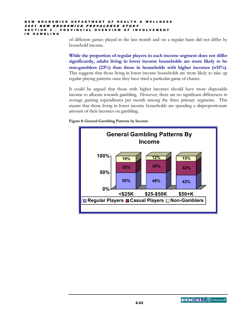of different games played in the last month and on a regular basis did not differ by household income.

**While the proportion of regular players in each income segment does not differ significantly, adults living in lower income households are more likely to be non-gamblers (23%) than those in households with higher incomes (≈15%).** This suggests that those living in lower income households are more likely to take up regular playing patterns once they have tried a particular game of chance.

It could be argued that those with higher incomes should have more disposable income to allocate towards gambling. However, there are no significant differences in average gaming expenditures per month among the three primary segments. This means that those living in lower income households are spending a disproportionate amount of their incomes on gambling.





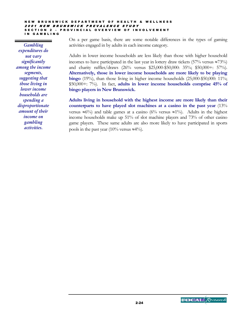*Gambling expenditures do not vary significantly among the income segments, suggesting that those living in lower income households are spending a disproportionate amount of their income on gambling activities.*

On a per game basis, there are some notable differences in the types of gaming activities engaged in by adults in each income category.

Adults in lower income households are less likely than those with higher household incomes to have participated in the last year in lottery draw tickets (57% versus  $\approx 73\%$ ) and charity raffles/draws (26% versus \$25,000-\$50,000: 35%; \$50,000+: 57%). **Alternatively, those in lower income households are more likely to be playing bingo** (19%), than those living in higher income households (25,000-\$50,000: 11%; \$50,000+: 7%). In fact, **adults in lower income households comprise 45% of bingo players in New Brunswick.**

**Adults living in household with the highest income are more likely than their counterparts to have played slot machines at a casino in the past year** (13% versus  $\approx$ 6%) and table games at a casino (6% versus  $\approx$ 1%). Adults in the highest income households make up 51% of slot machine players and 73% of other casino game players. These same adults are also more likely to have participated in sports pools in the past year  $(10\% \text{ versus } \approx 4\%).$ 

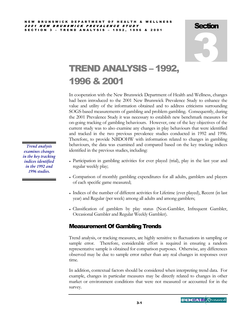

## TREND ANALYSIS – 1992, 1996 & 2001

In cooperation with the New Brunswick Department of Health and Wellness, changes had been introduced to the 2001 New Brunswick Prevalence Study to enhance the value and utility of the information obtained and to address criticisms surrounding SOGS-based measurements of gambling and problem gambling. Consequently, during the 2001 Prevalence Study it was necessary to establish new benchmark measures for on-going tracking of gambling behaviours. However, one of the key objectives of the current study was to also examine any changes in play behaviours that were identified and tracked in the two previous prevalence studies conducted in 1992 and 1996. Therefore, to provide NBDOHW with information related to changes in gambling behaviours, the data was examined and compared based on the key tracking indices identified in the previous studies, including:

- ♦ Participation in gambling activities for ever played (trial), play in the last year and regular weekly play;
- ♦ Comparison of monthly gambling expenditures for all adults, gamblers and players of each specific game measured;
- ♦ Indices of the number of different activities for Lifetime (ever played), Recent (in last year) and Regular (per week) among all adults and among gamblers;
- Classification of gamblers by play status (Non-Gambler, Infrequent Gambler, Occasional Gambler and Regular Weekly Gambler).

## Measurement Of Gambling Trends

Trend analysis, or tracking measures, are highly sensitive to fluctuations in sampling or sample error. Therefore, considerable effort is required in ensuring a random representative sample is obtained for comparison purposes. Otherwise, any differences observed may be due to sample error rather than any real changes in responses over time.

In addition, contextual factors should be considered when interpreting trend data. For example, changes in particular measures may be directly related to changes in other market or environment conditions that were not measured or accounted for in the survey.

*Trend analysis examines changes in the key tracking indices identified in the 1992 and 1996 studies.*

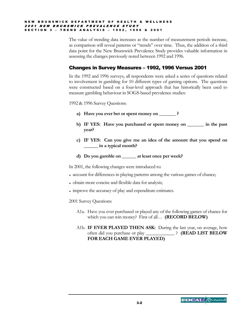The value of trending data increases as the number of measurement periods increase, as comparison will reveal patterns or "trends" over time. Thus, the addition of a third data point for the New Brunswick Prevalence Study provides valuable information in assessing the changes previously noted between 1992 and 1996.

## Changes in Survey Measures – 1992, 1996 Versus 2001

In the 1992 and 1996 surveys, all respondents were asked a series of questions related to involvement in gambling for 10 different types of gaming options. The questions were constructed based on a four-level approach that has historically been used to measure gambling behaviour in SOGS-based prevalence studies:

1992 & 1996 Survey Questions:

- **a) Have you ever bet or spent money on \_\_\_\_\_\_\_ ?**
- **b) IF YES: Have you purchased or spent money on \_\_\_\_\_\_\_ in the past year?**
- **c) IF YES: Can you give me an idea of the amount that you spend on \_\_\_\_\_\_ in a typical month?**
- **d) Do you gamble on \_\_\_\_\_\_ at least once per week?**

In 2001, the following changes were introduced to:

- ♦ account for differences in playing patterns among the various games of chance;
- ♦ obtain more concise and flexible data for analysis;
- improve the accuracy of play and expenditure estimates.

## 2001 Survey Questions:

- A1a. Have you ever purchased or played any of the following games of chance for which you can win money? First of all… **(RECORD BELOW)**
- A1b. **IF EVER PLAYED THEN ASK:** During the last year, on average, how often did you purchase or play \_\_\_\_\_\_\_\_\_\_\_\_ ? **(READ LIST BELOW FOR EACH GAME EVER PLAYED)**

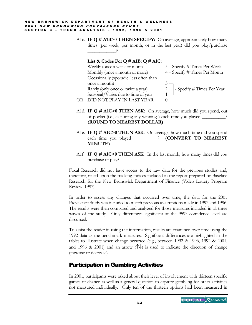A1c. **IF Q # A1B>0 THEN SPECIFY:** On average, approximately how many times (per week, per month, or in the last year) did you play/purchase \_\_\_\_\_\_\_\_\_\_\_\_?

## **List & Codes For Q # A1B: Q # A1C:**

Weekly (once a week or more)  $5 -$  Specify # Times Per Week Monthly (once a month or more)  $4 -$  Specify  $\#$  Times Per Month Occasionally (sporadic, less often than once a month) 3 Rarely (only once or twice a year)  $\begin{array}{c} 2 \\ 2 \end{array}$  - Specify # Times Per Year<br>Seasonal/Varies due to time of year  $\begin{array}{c} 2 \\ 1 \end{array}$ Seasonal/Varies due to time of year

- OR DID NOT PLAY IN LAST YEAR
- A1d. **IF Q # A1C>0 THEN ASK:** On average, how much did you spend, out of pocket (i.e., excluding any winnings) each time you played \_\_\_\_\_\_\_\_\_\_? **(ROUND TO NEAREST DOLLAR)**
- A1e. **IF Q # A1C>0 THEN ASK:** On average, how much time did you spend each time you played \_\_\_\_\_\_\_\_\_\_? **(CONVERT TO NEAREST MINUTE)**
- A1f. **IF Q # A1C>0 THEN ASK:** In the last month, how many times did you purchase or play?

Focal Research did not have access to the raw data for the previous studies and, therefore, relied upon the tracking indices included in the report prepared by Baseline Research for the New Brunswick Department of Finance (Video Lottery Program Review, 1997).

In order to assess any changes that occurred over time, the data for the 2001 Prevalence Study was included to match previous assumptions made in 1992 and 1996. The results were then compared and analyzed for those measures included in all three waves of the study. Only differences significant at the 95% confidence level are discussed.

To assist the reader in using the information, results are examined over time using the 1992 data as the benchmark measures. Significant differences are highlighted in the tables to illustrate when change occurred (e.g., between 1992 & 1996, 1992 & 2001, and 1996 & 2001) and an arrow  $(\uparrow\downarrow)$  is used to indicate the direction of change (increase or decrease).

## Participation in Gambling Activities

In 2001, participants were asked about their level of involvement with thirteen specific games of chance as well as a general question to capture gambling for other activities not measured individually. Only ten of the thirteen options had been measured in

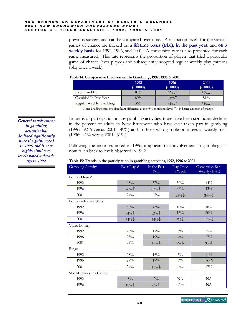previous surveys and can be compared over time. Participation levels for the various games of chance are tracked on a **lifetime basis (trial)**, **in the past year**, and **on a weekly basis** for 1992, 1996, and 2001. A conversion rate is also presented for each game measured. This rate represents the proportion of players that tried a particular game of chance (ever played) and subsequently adopted regular weekly play patterns (play once a week).

#### **1992 (n=800) 1996 (n=800) 2001 (n=800)** Ever Gambled 87% 92%↑ 89%↓ Gambled In Past Year  $80\%$  80% 84%↑ 81% Regular Weekly Gambling  $36\%$  41%↑  $41\%$  31%↓

#### **Table 14: Comparative Involvement In Gambling, 1992, 1996 & 2001**

Note: Shading represents significant differences at the 95% confidence level. ↑↓ indicates direction of change.

In terms of participation in any gambling activities, there have been significant declines in the percent of adults in New Brunswick who have ever taken part in gambling (1996: 92% versus 2001: 89%) and in those who gamble on a regular weekly basis (1996: 41% versus 2001: 31%).

Following the increases noted in 1996, it appears that involvement in gambling has now fallen back to levels observed in 1992.

#### **Table 15: Trends in the participation in gambling activities, 1992, 1996 & 2001**

| <b>Gambling Activity</b>   | Ever Played | In the Past<br>Year | Play Once<br>a Week | Conversion Rate<br>(Weekly/Ever) |
|----------------------------|-------------|---------------------|---------------------|----------------------------------|
| Lottery Draws <sup>a</sup> |             |                     |                     |                                  |
| 1992                       | $68\%$      | 57%                 | 30%                 | 44%                              |
| 1996                       | 76%         | $67\%$              | 33%                 | 43%                              |
| 2001                       | 74%         | 67%                 | $25\%$              | $34\%$                           |
| Lottery - Instant Winsb    |             |                     |                     |                                  |
| 1992                       | 56%         | 43%                 | 10%                 | 18%                              |
| 1996                       | $64\%$      | 53%1                | 13%                 | 20%                              |
| 2001                       | $54\%$      | $44\%$              | $6\%$               | $11\%$                           |
| Video Lottery              |             |                     |                     |                                  |
| 1992                       | 20%         | 17%                 | $5\%$               | 25%                              |
| 1996                       | 23%         | 19%                 | $4\%$               | 17%                              |
| 2001                       | $22\%$      | $15\%$              | $2\%$               | $9\%$                            |
| Bingo                      |             |                     |                     |                                  |
| 1992                       | $28\%$      | 16%                 | $5\%$               | $11\%$                           |
| 1996                       | 27%         | 17%                 | $3\%$               | 19%1                             |
| 2001                       | 24%         | $11\%$              | $4\%$               | 17%                              |
| Slot Machines at a Casino  |             |                     |                     |                                  |
| 1992                       | $8\%$       | $2\%$               | NA                  | NA                               |
| 1996                       | $12\%$      | $6\%$               | $<$ 1%              | NA                               |

*General involvement in gambling activities has declined significantly since the gains noted in 1996 and is now highly similar to levels noted a decade ago in 1992.*

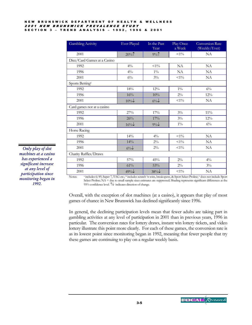| <b>Gambling Activity</b>    | <b>Ever Played</b> | In the Past<br>Year | Play Once<br>a Week | <b>Conversion Rate</b><br>(Weekly/Ever) |  |  |  |  |
|-----------------------------|--------------------|---------------------|---------------------|-----------------------------------------|--|--|--|--|
| 2001                        | 20%                | $9\%$               | $<$ 1%              | NA                                      |  |  |  |  |
| Dice/Card Games at a Casino |                    |                     |                     |                                         |  |  |  |  |
| 1992                        | $4\%$              | $<1\%$              | NA                  | NA                                      |  |  |  |  |
| 1996                        | $4\%$              | $1\%$               | NA                  | <b>NA</b>                               |  |  |  |  |
| 2001                        | $6\%$              | $3\%$               | $<$ 1%              | NA                                      |  |  |  |  |
| Sports Betting <sup>c</sup> |                    |                     |                     |                                         |  |  |  |  |
| 1992                        | $18\%$             | $12\%$              | $1\%$               | $6\%$                                   |  |  |  |  |
| 1996                        | 16%                | 10%                 | $2\%$               | 12%                                     |  |  |  |  |
| 2001                        | $10\%$             | $6\%$               | $<$ 1%              | NA                                      |  |  |  |  |
| Card games not at a casino  |                    |                     |                     |                                         |  |  |  |  |
| 1992                        | 27%                | $17\%$              | $3\%$               | 11%                                     |  |  |  |  |
| 1996                        | 26%                | 17%                 | $3\%$               | $12\%$                                  |  |  |  |  |
| 2001                        | $16\%$             | $9\%$               | $1\%$               | $6\%$                                   |  |  |  |  |
| Horse Racing                |                    |                     |                     |                                         |  |  |  |  |
| 1992                        | $14\%$             | $4\%$               | $<$ 1%              | NA                                      |  |  |  |  |
| 1996                        | 14%                | $2\%$               | $<$ 1%              | NA                                      |  |  |  |  |
| 2001                        | $6\%$              | $2\%$               | $<$ 1%              | NA                                      |  |  |  |  |
| Charity Raffles/Draws       |                    |                     |                     |                                         |  |  |  |  |
| 1992                        | $57\%$             | 45%                 | $2\%$               | $4\%$                                   |  |  |  |  |
| 1996                        | 61%                | 53%                 | $2\%$               | $3\%$                                   |  |  |  |  |
| 2001                        | $49\%$             | $38\%$              | $<$ 1%              | NA                                      |  |  |  |  |

*Only play of slot machines at a casino has experienced a significant increase at any level of participation since monitoring began in 1992.*

Notes: includes 6/49, Super 7, TAG etc.; b includes scratch 'n wins, breakopens, & Sport Select Proline; c does not include Sport Select Proline;  $NA$  = due to small sample sizes estimates are suppressed; Shading represents significant differences at the 95% confidence level. ↑↓ indicates direction of change.

Overall, with the exception of slot machines (at a casino), it appears that play of most games of chance in New Brunswick has declined significantly since 1996.

In general, the declining participation levels mean that fewer adults are taking part in gambling activities at any level of participation in 2001 than in previous years, 1996 in particular. The conversion rates for lottery draws, instant win lottery tickets, and video lottery illustrate this point more clearly. For each of these games, the conversion rate is as its lowest point since monitoring began in 1992, meaning that fewer people that try these games are continuing to play on a regular weekly basis.

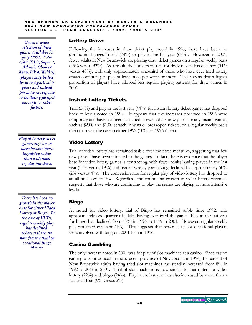*Given a wider selection of draw games available for play (2001: Lotto 6/49, TAG, Super 7, Atlantic Choice/ Keno, Pik 4, Wild 5), players may be less loyal to a particular game and instead purchase in response to escalating jackpot amounts, or other factors.*

*Play of Lottery ticket games appears to have become more impulsive rather than a planned regular purchase.*

*There has been no growth in the player base for either Video Lottery or Bingo. In the case of VLT's, regular weekly play has declined, whereas there are now fewer casual or occasional Bingo Players*

## Lottery Draws

Following the increases in draw ticket play noted in 1996, there have been no significant changes in trial  $(74%)$  or play in the last year  $(67%)$ . However, in 2001, fewer adults in New Brunswick are playing draw ticket games on a regular weekly basis  $(25\%$  versus 33%). As a result, the conversion rate for draw tickets has declined  $(34\%$ versus 43%), with only approximately one-third of those who have ever tried lottery draws continuing to play at least once per week or more. This means that a higher proportion of players have adopted less regular playing patterns for draw games in 2001.

## Instant Lottery Tickets

Trial (54%) and play in the last year (44%) for instant lottery ticket games has dropped back to levels noted in 1992. It appears that the increases observed in 1996 were temporary and have not been sustained. Fewer adults now purchase any instant games, such as \$2.00 and \$1.00 scratch 'n wins or breakopen tickets, on a regular weekly basis (6%) than was the case in either 1992 (10%) or 1996 (13%).

## Video Lottery

Trial of video lottery has remained stable over the three measures, suggesting that few new players have been attracted to the games. In fact, there is evidence that the player base for video lottery games is contracting, with fewer adults having played in the last year (15% versus 19%) and regular weekly play having declined by approximately 50% (2% versus 4%). The conversion rate for regular play of video lottery has dropped to an all-time low of 9%. Regardless, the continuing growth in video lottery revenues suggests that those who are continuing to play the games are playing at more intensive levels.

## Bingo

As noted for video lottery, trial of Bingo has remained stable since 1992, with approximately one-quarter of adults having ever tried the game. Play in the last year for bingo has declined from 17% in 1996 to 11% in 2001. However, regular weekly play remained constant (4%). This suggests that fewer casual or occasional players were involved with bingo in 2001 than in 1996.

## Casino Gambling

The only increase noted in 2001 was for play of slot machines at a casino. Since casino gaming was introduced in the adjacent province of Nova Scotia in 1994, the percent of New Brunswick adults having tried slot machines has steadily increased from 8% in 1992 to 20% in 2001. Trial of slot machines is now similar to that noted for video lottery (22%) and bingo (24%). Play in the last year has also increased by more than a factor of four  $(9%$  versus  $2%$ .

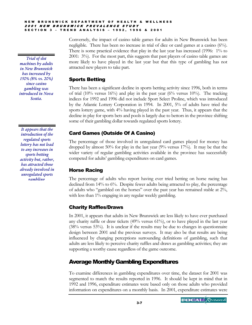*Trial of slot machines by adults in New Brunswick has increased by 150% (8% vs. 20%) since casino gambling was introduced in Nova Scotia.*

*It appears that the introduction of the regulated sports lottery has not lead to any increases in sports betting activity but, rather, has attracted those already involved in unregulated sports gambling*

Conversely, the impact of casino table games for adults in New Brunswick has been negligible. There has been no increase in trial of dice or card games at a casino (6%). There is some practical evidence that play in the last year has increased (1996: 1% to 2001: 3%). For the most part, this suggests that past players of casino table games are more likely to have played in the last year but that this type of gambling has not attracted new players to take part.

## Sports Betting

There has been a significant decline in sports betting activity since 1996, both in terms of trial  $(10\%$  versus 16%) and play in the past year  $(6\%$  versus 10%). The tracking indices for 1992 and 1996 did not include Sport Select Proline, which was introduced by the Atlantic Lottery Corporation in 1994. In 2001, 5% of adults have tried the sports lottery game, with 4% having played in the past year. Thus, it appears that the decline in play for sports bets and pools is largely due to bettors in the province shifting some of their gambling dollar towards regulated sports lottery.

## Card Games (Outside Of A Casino)

The percentage of those involved in unregulated card games played for money has dropped by almost 50% for play in the last year (9% versus 17%). It may be that the wider variety of regular gambling activities available in the province has successfully competed for adults' gambling expenditures on card games.

## Horse Racing

The percentage of adults who report having ever tried betting on horse racing has declined from 14% to 6%. Despite fewer adults being attracted to play, the percentage of adults who "gambled on the horses" over the past year has remained stable at 2%, with less than 1% engaging in any regular weekly gambling.

## Charity Raffles/Draws

In 2001, it appears that adults in New Brunswick are less likely to have ever purchased any charity raffle or draw tickets  $(49\%$  versus  $61\%)$ , or to have played in the last year (38% versus 53%). It is unclear if the results may be due to changes in questionnaire design between 2001 and the previous surveys. It may also be that results are being influenced by changing perceptions surrounding definitions of gambling, such that adults are less likely to perceive charity raffles and draws as gambling activities; they are supporting a worthy cause regardless of the game outcome.

## Average Monthly Gambling Expenditures

To examine differences in gambling expenditures over time, the dataset for 2001 was segmented to match the results reported in 1996. It should be kept in mind that in 1992 and 1996, expenditure estimates were based only on those adults who provided information on expenditures on a monthly basis. In 2001, expenditure estimates were

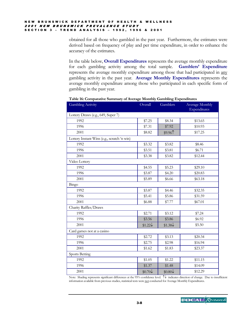obtained for all those who gambled in the past year. Furthermore, the estimates were derived based on frequency of play and per time expenditure, in order to enhance the accuracy of the estimates.

In the table below, **Overall Expenditures** represents the average monthly expenditure for each gambling activity among the total sample. **Gamblers' Expenditure** represents the average monthly expenditure among those that had participated in any gambling activity in the past year. **Average Monthly Expenditures** represents the average monthly expenditure among those who participated in each specific form of gambling in the past year.

| <b>Gambling Activity</b>                    | Overall           | Gamblers          | Average Monthly<br>Expenditures |
|---------------------------------------------|-------------------|-------------------|---------------------------------|
| Lottery Draws (e.g., 649, Super 7)          |                   |                   |                                 |
| 1992                                        | \$7.25            | \$8.34            | \$13.65                         |
| 1996                                        | \$7.31            | \$7.92            | \$10.93                         |
| 2001                                        | \$8.82            | \$9.961           | \$17.25                         |
| Lottery Instant Wins (e.g., scratch 'n win) |                   |                   |                                 |
| 1992                                        | \$3.32            | \$3.82            | \$8.46                          |
| 1996                                        | \$3.51            | \$3.81            | \$6.71                          |
| 2001                                        | \$3.38            | \$3.82            | \$12.44                         |
| Video Lottery                               |                   |                   |                                 |
| 1992                                        | \$4.55            | \$5.23            | \$29.10                         |
| 1996                                        | \$3.87            | \$4.20            | \$20.83                         |
| 2001                                        | \$5.89            | \$6.66            | \$63.18                         |
| Bingo                                       |                   |                   |                                 |
| 1992                                        | \$3.87            | \$4.46            | \$32.35                         |
| 1996                                        | \$5.41            | \$5.86            | \$31.59                         |
| 2001                                        | \$6.88            | \$7.77            | \$67.01                         |
| Charity Raffles/Draws                       |                   |                   |                                 |
| 1992                                        | \$2.71            | \$3.12            | \$7.24                          |
| 1996                                        | \$3.56            | \$3.86            | \$6.92                          |
| 2001                                        | $$1.22\downarrow$ | $$1.38\downarrow$ | \$5.50                          |
| Card games not at a casino                  |                   |                   |                                 |
| 1992                                        | \$2.72            | \$3.13            | \$20.34                         |
| 1996                                        | \$2.75            | \$2.98            | \$16.94                         |
| 2001                                        | \$1.62            | \$1.83            | \$23.37                         |
| Sports Betting                              |                   |                   |                                 |
| 1992                                        | \$1.05            | \$1.22            | \$11.15                         |
| 1996                                        | \$1.37            | \$1.48            | \$14.09                         |
| 2001                                        | $$0.70\downarrow$ | $$0.80\downarrow$ | \$12.29                         |

## **Table 16: Comparative Summary of Average Monthly Gambling Expenditures**

Note: Shading represents significant differences at the 95% confidence level. ↑↓ indicates direction of change. Due to insufficient information available from previous studies, statistical tests were not conducted for Average Monthly Expenditures.

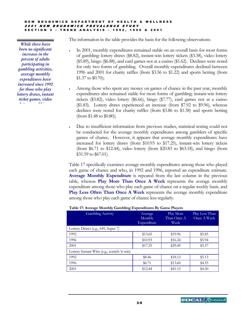*While there have been no significant increases in the percent of adults participating in gambling activities, average monthly expenditures have increased since 1992 for those who play lottery draws, instant ticket games, video l tt d bi*

The information in the table provides the basis for the following observations:

- In 2001, monthly expenditures remained stable on an overall basis for most forms of gambling: lottery draws (\$8.82), instant-win lottery tickets (\$3.38), video lottery (\$5.89), bingo (\$6.88), and card games not at a casino (\$1.62). Declines were noted for only two forms of gambling. Overall monthly expenditures declined between 1996 and 2001 for charity raffles (from \$3.56 to \$1.22) and sports betting (from \$1.37 to \$0.70);
- Among those who spent any money on games of chance in the past year, monthly expenditures also remained stable for most forms of gambling: instant-win lottery tickets (\$3.82), video lottery (\$6.66), bingo (\$7.77), card games not at a casino (\$1.83). Lottery draws experienced an increase (from \$7.92 to \$9.96), whereas declines were noted for charity raffles (from \$3.86 to \$1.38) and sports betting (from \$1.48 to \$0.80);
- Due to insufficient information from previous studies, statistical testing could not be conducted for the average monthly expenditures among gamblers of specific games of chance. However, it appears that average monthly expenditures have increased for lottery draws (from \$10.93 to \$17.25), instant-win lottery tickets (from \$6.71 to \$12.44), video lottery (from \$20.83 to \$63.18), and bingo (from \$31.59 to \$67.01).

Table 17 specifically examines average monthly expenditures among those who played each game of chance and who, in 1992 and 1996, reported an expenditure estimate. **Average Monthly Expenditure** is repeated from the last column in the previous table, whereas **Play More Than Once A Week** represents the average monthly expenditure among those who play each game of chance on a regular weekly basis, and **Play Less Often Than Once A Week** represents the average monthly expenditure among those who play each game of chance less regularly.

| .,<br>ပ<br><b>Gambling Activity</b>         | Average<br>Monthly<br>Expenditure | Play More<br>Than Once A<br>Week | Play Less Than<br>Once A Week |
|---------------------------------------------|-----------------------------------|----------------------------------|-------------------------------|
| Lottery Draws (e.g., 649, Super 7)          |                                   |                                  |                               |
| 1992                                        | \$13.65                           | \$19.96                          | \$5.85                        |
| 1996                                        | \$10.93                           | \$16.24                          | \$5.94                        |
| 2001                                        | \$17.25                           | \$29.49                          | \$5.37                        |
| Lottery Instant Wins (e.g., scratch 'n win) |                                   |                                  |                               |
| 1992                                        | \$8.46                            | \$18.13                          | \$5.13                        |
| 1996                                        | \$6.71                            | \$13.60                          | \$4.55                        |
| 2001                                        | \$12.44                           | \$41.15                          | \$4.50                        |

## **Table 17: Average Monthly Gambling Expenditures By Game Players**

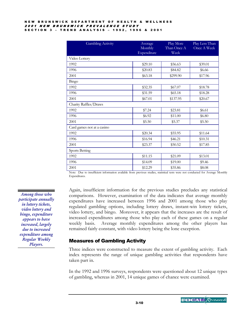| <b>Gambling Activity</b>   | Average<br>Monthly<br>Expenditure | Play More<br>Than Once A<br>Week | Play Less Than<br>Once A Week |
|----------------------------|-----------------------------------|----------------------------------|-------------------------------|
| Video Lottery              |                                   |                                  |                               |
| 1992                       | \$29.10                           | \$56.63                          | \$39.01                       |
| 1996                       | \$20.83                           | \$84.82                          | \$6.66                        |
| 2001                       | \$63.18                           | \$299.90                         | \$17.96                       |
| Bingo                      |                                   |                                  |                               |
| 1992                       | \$32.35                           | \$67.07                          | \$18.78                       |
| 1996                       | \$31.59                           | \$65.18                          | \$18.28                       |
| 2001                       | \$67.01                           | \$137.95                         | \$20.67                       |
| Charity Raffles/Draws      |                                   |                                  |                               |
| 1992                       | \$7.24                            | \$23.81                          | \$6.61                        |
| 1996                       | \$6.92                            | \$11.00                          | \$6.80                        |
| 2001                       | \$5.50                            | \$5.37                           | \$5.50                        |
| Card games not at a casino |                                   |                                  |                               |
| 1992                       | \$20.34                           | \$55.95                          | \$11.64                       |
| 1996                       | \$16.94                           | \$46.21                          | \$10.31                       |
| 2001                       | \$23.37                           | \$50.52                          | \$17.85                       |
| <b>Sports Betting</b>      |                                   |                                  |                               |
| 1992                       | \$11.15                           | \$21.09                          | \$13.01                       |
| 1996                       | \$14.09                           | \$19.00                          | \$9.46                        |
| 2001                       | \$12.29                           | \$35.86                          | \$8.08                        |

Note: Due to insufficient information available from previous studies, statistical tests were not conducted for Average Monthly Expenditures.

Again, insufficient information for the previous studies precludes any statistical comparisons. However, examination of the data indicates that average monthly expenditures have increased between 1996 and 2001 among those who play regulated gambling options, including lottery draws, instant-win lottery tickets, video lottery, and bingo. Moreover, it appears that the increases are the result of increased expenditures among those who play each of these games on a regular weekly basis. Average monthly expenditures among the other players has remained fairly constant, with video lottery being the lone exception.

## Measures of Gambling Activity

Three indices were constructed to measure the extent of gambling activity. Each index represents the range of unique gambling activities that respondents have taken part in.

In the 1992 and 1996 surveys, respondents were questioned about 12 unique types of gambling, whereas in 2001, 14 unique games of chance were examined.



*Among those who participate annually in lottery tickets, video lottery and bingo, expenditure appears to have increased, largely due to increased expenditure among Regular Weekly Players.*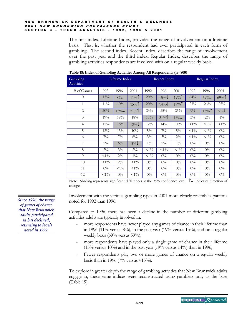The first index, Lifetime Index, provides the range of involvement on a lifetime basis. That is, whether the respondent had ever participated in each form of gambling. The second index, Recent Index, describes the range of involvement over the past year and the third index, Regular Index, describes the range of gambling activities respondents are involved with on a regular weekly basis.

| Gambling<br><b>Activities</b> | Lifetime Index |        | Recent Index |              |        | Regular Index |        |        |        |
|-------------------------------|----------------|--------|--------------|--------------|--------|---------------|--------|--------|--------|
| $\#$ of Games                 | 1992           | 1996   | 2001         | 1992         | 1996   | 2001          | 1992   | 1996   | 2001   |
| $\overline{0}$                | 13%            | $8\%$  | $11\%$       | 20%          | $15\%$ | 19%1          | 64%    | $59\%$ | $69\%$ |
| 1                             | 11%            | 10%    | 15%1         | 20%          | $14\%$ | 19%           | 23%    | 26%    | 25%    |
| $\overline{2}$                | 20%            | $13\%$ | $21\%$       | 23%          | 25%    | 25%           | $9\%$  | $13\%$ | $5\%$  |
| 3                             | 19%            | 19%    | 18%          | 17%          | $21\%$ | $16\%$        | $3\%$  | $2\%$  | $1\%$  |
| $\overline{4}$                | 15%            | 16%    | $12\%$       | 12%          | 14%    | $11\%$        | $<1\%$ | $<1\%$ | $<1\%$ |
| 5                             | 12%            | 13%    | 10%          | $5\%$        | $7\%$  | $5\%$         | $<1\%$ | $<1\%$ | $0\%$  |
| 6                             | $7\%$          | $7\%$  | $6\%$        | $3\%$        | $3\%$  | $2\%$         | $<1\%$ | $<1\%$ | $0\%$  |
| 7                             | $2\%$          | $6\%$  | $3\%$        | $1\%$        | $2\%$  | $1\%$         | $0\%$  | $0\%$  | $0\%$  |
| 8                             | $2\%$          | $3\%$  | $2\%$        | $<\!\!1\!\%$ | $<1\%$ | $<1\%$        | $0\%$  | $0\%$  | $0\%$  |
| 9                             | $<\!\!1\!\%$   | $2\%$  | $1\%$        | $<\!\!1\!\%$ | $0\%$  | $0\%$         | $0\%$  | $0\%$  | $0\%$  |
| 10                            | $<\!\!1\!\%$   | $2\%$  | $<1\%$       | $0\%$        | $0\%$  | $0\%$         | $0\%$  | $0\%$  | $0\%$  |
| 11                            | $0\%$          | $<1\%$ | $<1\%$       | $0\%$        | $0\%$  | $0\%$         | $0\%$  | $0\%$  | $0\%$  |
| 12                            | $<1\%$         | $0\%$  | $<1\%$       | $0\%$        | $0\%$  | $0\%$         | $0\%$  | $0\%$  | $0\%$  |

## **Table 18: Index of Gambling Activities Among All Respondents (n=800)**

Note: Shading represents significant differences at the 95% confidence level. ↑↓ indicates direction of change.

Involvement with the various gambling types in 2001 more closely resembles patterns noted for 1992 than 1996.

Compared to 1996, there has been a decline in the number of different gambling activities adults are typically involved in:

- more respondents have never played any games of chance in their lifetime than in 1996 (11% versus  $8\%$ ), in the past year (19% versus 15%), and on a regular weekly basis (69% versus 59%);
- more respondents have played only a single game of chance in their lifetime (15% versus 10%) and in the past year (19% versus 14%) than in 1996;
- Fewer respondents play two or more games of chance on a regular weekly basis than in 1996 (7% versus  $\approx$ 15%).

To explore in greater depth the range of gambling activities that New Brunswick adults engage in, these same indices were reconstructed using gamblers only as the base (Table 19).

*Since 1996, the range of games of chance that New Brunswick adults participated in has declined, returning to levels noted in 1992.*

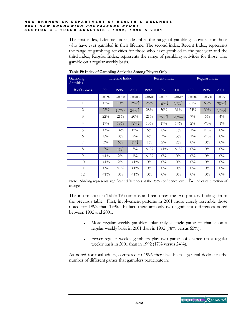The first index, Lifetime Index, describes the range of gambling activities for those who have ever gambled in their lifetime. The second index, Recent Index, represents the range of gambling activities for those who have gambled in the past year and the third index, Regular Index, represents the range of gambling activities for those who gamble on a regular weekly basis.

| Gambling<br><b>Activities</b> | Lifetime Index |           | Recent Index |           |           | Regular Index |           |           |           |
|-------------------------------|----------------|-----------|--------------|-----------|-----------|---------------|-----------|-----------|-----------|
| $#$ of Games                  | 1992           | 1996      | 2001         | 1992      | 1996      | 2001          | 1992      | 1996      | 2001      |
|                               | $n = 697$      | $n = 738$ | $n = 703$    | $n = 640$ | $n = 678$ | $n = 642$     | $n = 287$ | $n = 330$ | $n = 250$ |
| $\mathbf{1}$                  | 12%            | 10%       | $17\%$       | 25%       | $16\%$    | $24\%$        | 65%       | 63%       | $78\%$    |
| $\overline{2}$                | $22\%$         | $15\%$    | $24\%$       | 28%       | 30%       | 31%           | 24%       | 30%       | $17\%$    |
| 3                             | $22\%$         | 21%       | 20%          | 21%       | $25\%$    | $20\%$        | $7\%$     | $6\%$     | $4\%$     |
| $\overline{4}$                | 17%            | 18%       | $13\%$       | 15%       | 17%       | 14%           | $2\%$     | $<1\%$    | $1\%$     |
| 5                             | 13%            | 14%       | $12\%$       | $6\%$     | $8\%$     | $7\%$         | $1\%$     | $<1\%$    | $0\%$     |
| 6                             | $8\%$          | $8\%$     | $7\%$        | $4\%$     | $3\%$     | $3\%$         | $1\%$     | $<1\%$    | $0\%$     |
| 7                             | $3\%$          | $6\%$     | $3\%$        | $1\%$     | $2\%$     | $2\%$         | $0\%$     | $0\%$     | $0\%$     |
| 8                             | $2\%$          | $4\%$     | $3\%$        | $<1\%$    | $<1\%$    | $<\!\!1\!\%$  | $0\%$     | $0\%$     | $0\%$     |
| 9                             | $<1\%$         | $2\%$     | $1\%$        | $<1\%$    | $0\%$     | $0\%$         | $0\%$     | $0\%$     | $0\%$     |
| 10                            | $<1\%$         | $2\%$     | $<1\%$       | $0\%$     | $0\%$     | $0\%$         | $0\%$     | $0\%$     | $0\%$     |
| 11                            | $0\%$          | $<1\%$    | $<1\%$       | $0\%$     | $0\%$     | $0\%$         | $0\%$     | $0\%$     | $0\%$     |
| 12                            | $<1\%$         | $0\%$     | $<1\%$       | $0\%$     | $0\%$     | $0\%$         | $0\%$     | $0\%$     | $0\%$     |

## **Table 19: Index of Gambling Activities Among Players Only**

Note: Shading represents significant differences at the 95% confidence level. ↑↓ indicates direction of change.

The information in Table 19 confirms and reinforces the two primary findings from the previous table. First, involvement patterns in 2001 more closely resemble those noted for 1992 than 1996. In fact, there are only two significant differences noted between 1992 and 2001:

- More regular weekly gamblers play only a single game of chance on a regular weekly basis in 2001 than in 1992 (78% versus 65%);
- Fewer regular weekly gamblers play two games of chance on a regular weekly basis in 2001 than in 1992 (17% versus 24%).

As noted for total adults, compared to 1996 there has been a general decline in the number of different games that gamblers participate in:

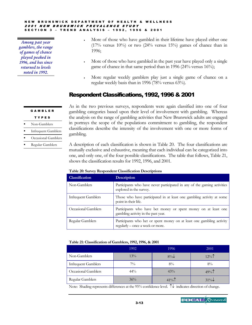*Among past year gamblers, the range of games of chance played peaked in 1996, and has since returned to levels noted in 1992.*

- More of those who have gambled in their lifetime have played either one  $(17\%$  versus  $10\%)$  or two  $(24\%$  versus  $15\%)$  games of chance than in 1996;
- More of those who have gambled in the past year have played only a single game of chance in that same period than in 1996 (24% versus 16%);
- More regular weekly gamblers play just a single game of chance on a regular weekly basis than in 1996 (78% versus 63%).

## Respondent Classifications, 1992, 1996 & 2001

## GAMBLER

- TYPES
- Non-Gamblers
- Infrequent Gamblers
- Occasional Gamblers
- Regular Gamblers

As in the two previous surveys, respondents were again classified into one of four gambling categories based upon their level of involvement with gambling. Whereas the analysis on the range of gambling activities that New Brunswick adults are engaged in portrays the scope of the populations commitment to gambling, the respondent classifications describe the intensity of the involvement with one or more forms of gambling.

A description of each classification is shown in Table 20. The four classifications are mutually exclusive and exhaustive, meaning that each individual can be categorized into one, and only one, of the four possible classifications. The table that follows, Table 21, shows the classification results for 1992, 1996, and 2001.

## **Table 20: Survey Respondent Classification Descriptions**

| <b>Classification</b>      | <b>Description</b>                                                                                        |
|----------------------------|-----------------------------------------------------------------------------------------------------------|
| Non-Gamblers               | Participants who have never participated in any of the gaming activities<br>explored in the survey.       |
| <b>Infrequent Gamblers</b> | Those who have participated in at least one gambling activity at some<br>point in their life.             |
| Occasional Gamblers        | Participants who have bet money or spent money on at least one<br>gambling activity in the past year.     |
| Regular Gamblers           | Participants who bet or spent money on at least one gambling activity<br>regularly – once a week or more. |

## **Table 21: Classification of Gamblers, 1992, 1996, & 2001**

|                            | 1992  | 1996   | 2001   |
|----------------------------|-------|--------|--------|
| Non-Gamblers               | 13%   | $8\%$  | $12\%$ |
| <b>Infrequent Gamblers</b> | $7\%$ | $8\%$  | $8\%$  |
| Occasional Gamblers        | 44%   | 43%    | 49%    |
| Regular Gamblers           | 36%   | $41\%$ | $31\%$ |

Note: Shading represents differences at the 95% confidence level. ↑↓ indicates direction of change.

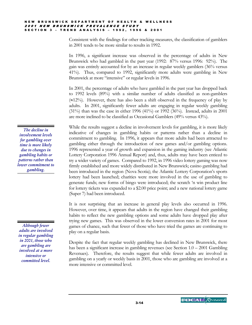Consistent with the findings for other tracking measures, the classification of gamblers in 2001 tends to be more similar to results in 1992.

In 1996, a significant increase was observed in the percentage of adults in New Brunswick who had gambled in the past year (1992: 87% versus 1996: 92%). The gain was entirely accounted for by an increase in regular weekly gamblers (36% versus 41%). Thus, compared to 1992, significantly more adults were gambling in New Brunswick at more "intensive" or regular levels in 1996.

In 2001, the percentage of adults who have gambled in the past year has dropped back to 1992 levels (89%) with a similar number of adults classified as non-gamblers  $(\approx 12\%)$ . However, there has also been a shift observed in the frequency of play by adults. In 2001, significantly fewer adults are engaging in regular weekly gambling  $(31\%)$  than was the case in either 1996  $(41\%)$  or 1992  $(36\%)$ . Instead, adults in 2001 are more inclined to be classified as Occasional Gamblers (49% versus 43%).

While the results suggest a decline in involvement levels for gambling, it is more likely indicative of changes in gambling habits or patterns rather than a decline in commitment to gambling.In 1996, it appears that more adults had been attracted to gambling either through the introduction of new games and/or gambling options. 1996 represented a year of growth and expansion in the gaming industry (see Atlantic Lottery Corporation 1996 Annual Report) and, thus, adults may have been enticed to try a wider variety of games. Compared to 1992, in 1996 video lottery gaming was now firmly established and more widely distributed in New Brunswick; casino gambling had been introduced in the region (Nova Scotia); the Atlantic Lottery Corporation's sports lottery had been launched; charities were more involved in the use of gambling to generate funds; new forms of bingo were introduced; the scratch 'n win product line for lottery tickets was expanded to a \$2.00 price point; and a new national lottery game (Super 7) had been introduced.

It is not surprising that an increase in general play levels also occurred in 1996. However, over time, it appears that adults in the region have changed their gambling habits to reflect the new gambling options and some adults have dropped play after trying new games. This was observed in the lower conversion rates in 2001 for most games of chance, such that fewer of those who have tried the games are continuing to play on a regular basis.

Despite the fact that regular weekly gambling has declined in New Brunswick, there has been a significant increase in gambling revenues (see Section 1.0 – 2001 Gambling Revenues). Therefore, the results suggest that while fewer adults are involved in gambling on a yearly or weekly basis in 2001, those who are gambling are involved at a more intensive or committed level.

*The decline in involvement levels for gambling over time is more likely due to changes in gambling habits or patterns rather than lower commitment to gambling.*

*Although fewer adults are involved in regular gambling in 2001, those who are gambling are involved at a more intensive or committed level.*

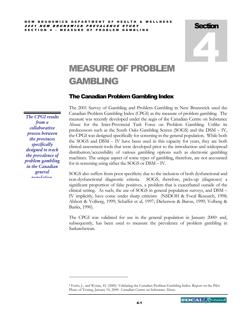#### NEW BRUNSWICK DEPARTMENT OF HEALTH & WELLNESS 2001 NEW BRUNSWICK PREVALENCE STUDY SECTION 4 – MEASURE OF PROBLEM GAMBLING

# **Section** 4

# MEASURE OF PROBLEM GAMBLING

## The Canadian Problem Gambling Index

*The CPGI results from a collaborative process between the provinces specifically designed to track the prevalence of problem gambling in the Canadian general population*

 $\overline{a}$ 

The 2001 Survey of Gambling and Problem Gambling in New Brunswick used the Canadian Problem Gambling Index (CPGI) as the measure of problem gambling. The measure was recently developed under the aegis of the Canadian Centre on Substance Abuse for the Inter-Provincial Task Force on Problem Gambling. Unlike its predecessors such as the South Oaks Gambling Screen (SOGS) and the DSM – IV, the CPGI was designed specifically for screening in the general population. While both the SOGS and DSM – IV have been used in this capacity for years, they are both clinical assessment tools that were developed prior to the introduction and widespread distribution/accessibility of various gambling options such as electronic gambling machines. The unique aspect of some types of gambling, therefore, are not accounted for in screening using either the SOGS or DSM – IV.

SOGS also suffers from poor specificity due to the inclusion of both dysfunctional and non-dysfunctional diagnostic criteria. SOGS, therefore, picks-up (diagnoses) a significant proportion of false positives, a problem that is exacerbated outside of the clinical setting. As such, the use of SOGS in general population surveys, and DSM – IV implicitly, have come under sharp criticism (NSDOH & Focal Research, 1998; Abbott & Volberg, 1999; Schaffer et al, 1997; Dickerson & Baron, 1999; Volberg & Banks, 1990).

The CPGI was validated for use in the general population in January 20008 and, subsequently, has been used to measure the prevalence of problem gambling in Saskatchewan.

8 Ferris, J., and Wynne, H. (2000). Validating the Canadian Problem Gambling Index: Report on the Pilot Phase of Testing, January 10, 2000. Canadian Centre on Substance Abuse.

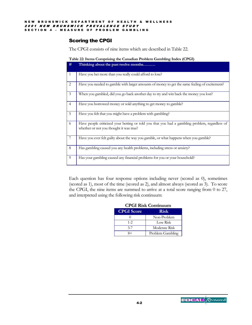## Scoring the CPGI

The CPGI consists of nine items which are described in Table 22.

**Table 22: Items Comprising the Canadian Problem Gambling Index (CPGI)**

| #              | Thinking about the past twelve months                                                                                                     |
|----------------|-------------------------------------------------------------------------------------------------------------------------------------------|
| $\mathbf{1}$   | Have you bet more than you really could afford to lose?                                                                                   |
| 2              | Have you needed to gamble with larger amounts of money to get the same feeling of excitement?                                             |
| $\mathfrak{Z}$ | When you gambled, did you go back another day to try and win back the money you lost?                                                     |
| $\overline{4}$ | Have you borrowed money or sold anything to get money to gamble?                                                                          |
| 5              | Have you felt that you might have a problem with gambling?                                                                                |
| 6              | Have people criticized your betting or told you that you had a gambling problem, regardless of<br>whether or not you thought it was true? |
| 7              | Have you ever felt guilty about the way you gamble, or what happens when you gamble?                                                      |
| 8              | Has gambling caused you any health problems, including stress or anxiety?                                                                 |
| 9              | Has your gambling caused any financial problems for you or your household?                                                                |

Each question has four response options including never (scored as 0), sometimes (scored as 1), most of the time (scored as 2), and almost always (scored as 3). To score the CPGI, the nine items are summed to arrive at a total score ranging from 0 to 27, and interpreted using the following risk continuum:

| UI UI INSK COMMUNIS |                  |  |  |  |
|---------------------|------------------|--|--|--|
| <b>CPGI</b> Score   | <b>Risk</b>      |  |  |  |
|                     | Non-Problem      |  |  |  |
| $1 - 2$             | Low Risk         |  |  |  |
| $3 - 7$             | Moderate Risk    |  |  |  |
|                     | Problem Gambling |  |  |  |

## **CPGI Risk Continuum**

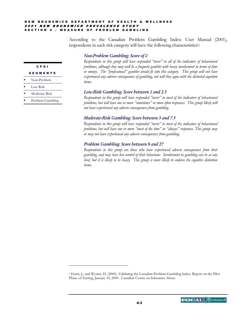#### NEW BRUNSWICK DEPARTMENT OF HEALTH & WELLNESS NEW BRUNSWICK PREVALENCE STUDY SECTION 4 – MEASURE OF PROBLEM GAMBLING

According to the Canadian Problem Gambling Index: User Manual (2001), respondents in each risk category will have the following characteristics<sup>9</sup>:

## *Non-Problem Gambling: Score of 0*

*Respondents in this group will have responded "never" to all of the indicators of behavioural problems, although they may well be a frequent gambler with heavy involvement in terms of time or money. The "professional" gambler would fit into this category. This group will not have experienced any adverse consequences of gambling, nor will they agree with the distorted cognition items.*

## *Low-Risk Gambling: Score between 1 and 2.5*

*Respondents in this group will have responded "never" to most of the indicators of behavioural problems, but will have one or more "sometimes" or more often responses. This group likely will not have experienced any adverse consequences from gambling.*

## *Moderate-Risk Gambling: Score between 3 and 7.5*

*Respondents in this group will have responded "never" to most of the indicators of behavioural problems, but will have one or more "most of the time" or "always" responses. This group may or may not have experienced any adverse consequences from gambling.*

## *Problem Gambling: Score between 8 and 27*

*Respondents in this group are those who have experienced adverse consequences from their gambling, and may have lost control of their behaviour. Involvement in gambling can be at any level, but it is likely to be heavy. This group is more likely to endorse the cognitive distortion items.*





| CPGI             |
|------------------|
| <b>SEGMENTS</b>  |
| Non-Problem      |
| Low Risk         |
| Moderate Risk    |
| Problem Gambling |

 $\overline{a}$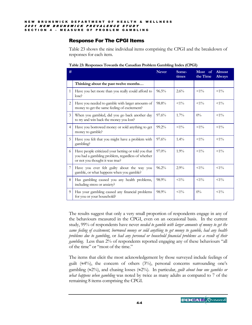# Response For The CPGI Items

Table 23 shows the nine individual items comprising the CPGI and the breakdown of responses for each item.

|                | Lable 25: Responses Towards the Canadian Problem Gambling midex (CPGI)                                                                       |              |                |                     |                                |  |
|----------------|----------------------------------------------------------------------------------------------------------------------------------------------|--------------|----------------|---------------------|--------------------------------|--|
| #              |                                                                                                                                              | <b>Never</b> | Some-<br>times | Most of<br>the Time | <b>Almost</b><br><b>Always</b> |  |
|                | Thinking about the past twelve months                                                                                                        |              |                |                     |                                |  |
| $\mathbf{1}$   | Have you bet more than you really could afford to<br>lose?                                                                                   | $96.5\%$     | 2.6%           | $< 1\%$             | $< 1\%$                        |  |
| 2              | Have you needed to gamble with larger amounts of<br>money to get the same feeling of excitement?                                             | 98.8%        | $<1\%$         | $<1\%$              | $<\!\!1\!\%$                   |  |
| 3              | When you gambled, did you go back another day<br>to try and win back the money you lost?                                                     | 97.6%        | $1.7\%$        | $0\%$               | $<1\%$                         |  |
| $\overline{4}$ | Have you borrowed money or sold anything to get<br>money to gamble?                                                                          | $99.2\%$     | $<1\%$         | $<1\%$              | $<1\%$                         |  |
| 5              | Have you felt that you might have a problem with<br>gambling?                                                                                | 97.6%        | $1.4\%$        | $<1\%$              | $< 1\%$                        |  |
| 6              | Have people criticized your betting or told you that<br>you had a gambling problem, regardless of whether<br>or not you thought it was true? | $97.0\%$     | $1.9\%$        | $< 1\%$             | $< 1\%$                        |  |
| 7              | Have you ever felt guilty about the way you<br>gamble, or what happens when you gamble?                                                      | $96.2\%$     | $2.9\%$        | $<1\%$              | $<1\%$                         |  |
| 8              | Has gambling caused you any health problems,<br>including stress or anxiety?                                                                 | 98.9%        | $<1\%$         | $<1\%$              | $<1\%$                         |  |
| 9              | Has your gambling caused any financial problems<br>for you or your household?                                                                | 98.9%        | $<1\%$         | $0\%$               | $<1\%$                         |  |

| Table 23: Responses Towards the Canadian Problem Gambling Index (CPGI) |  |  |  |
|------------------------------------------------------------------------|--|--|--|
|                                                                        |  |  |  |

The results suggest that only a very small proportion of respondents engage in any of the behaviours measured in the CPGI, even on an occasional basis. In the current study, 99% of respondents have never *needed to gamble with larger amounts of money to get the same feeling of excitement, borrowed money or sold anything to get money to gamble, had any health problems due to gambling*, or *had any personal or household financial problems as a result of their gambling*. Less than 2% of respondents reported engaging any of these behaviours "all of the time" or "most of the time."

The items that elicit the most acknowledgement by those surveyed include feelings of guilt (≈4%), the concern of others (3%), personal concerns surrounding one's gambling (≈2%), and chasing losses (≈2%). In particular, *guilt about how one gambles or what happens when gambling* was noted by twice as many adults as compared to 7 of the remaining 8 items comprising the CPGI.

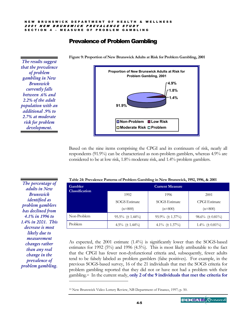# Prevalence of Problem Gambling

**Figure 9: Proportion of New Brunswick Adults at Risk for Problem Gambling, 2001**

*The results suggest that the prevalence of problem gambling in New Brunswick currently falls between .6% and 2.2% of the adult population with an additional .9% to 2.7% at moderate risk for problem development.*



Based on the nine items comprising the CPGI and its continuum of risk, nearly all respondents (91.9%) can be characterized as non-problem gamblers, whereas 4.9% are considered to be at low risk, 1.8% moderate risk, and 1.4% problem gamblers.

*The percentage of adults in New Brunswick identified as problem gamblers has declined from 4.1% in 1996 to 1.4% in 2001. This decrease is most likely due to measurement changes rather than any real change in the prevalence of problem gambling.*

 $\overline{a}$ 

#### **Table 24: Prevalence Patterns of Problem Gambling in New Brunswick, 1992, 1996, & 2001**

| Gambler               | <b>Current Measure</b> |                         |                         |  |  |
|-----------------------|------------------------|-------------------------|-------------------------|--|--|
| <b>Classification</b> | 1992                   | 1996                    | 2001                    |  |  |
|                       | <b>SOGS</b> Estimate   | <b>SOGS</b> Estimate    | <b>CPGI</b> Estimate    |  |  |
|                       | $(n=800)$              | $(n=800)$               | $(n=800)$               |  |  |
| Non-Problem           | $95.5\%~(\pm 1.44\%)$  | $95.9\% \ (\pm 1.37\%)$ | $98.6\% \ (\pm 0.81\%)$ |  |  |
| Problem               | 4.5% $(\pm 1.44\%)$    | 4.1\% $(\pm 1.37\%)$    | 1.4% $(\pm 0.81\%)$     |  |  |

As expected, the 2001 estimate (1.4%) is significantly lower than the SOGS-based estimates for 1992 (5%) and 1996 (4.5%). This is most likely attributable to the fact that the CPGI has fewer non-dysfunctional criteria and, subsequently, fewer adults tend to be falsely labeled as problem gamblers (false positives). For example, in the previous SOGS-based survey, 16 of the 21 individuals that met the SOGS criteria for problem gambling reported that they did not or have not had a problem with their gambling.10 In the current study, **only 2 of the 9 individuals that met the criteria for**

<sup>10</sup> New Brunswick Video Lottery Review, NB Department of Finance, 1997; p. 50.

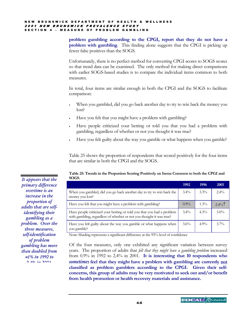**problem gambling according to the CPGI, report that they do not have a problem with gambling**. This finding alone suggests that the CPGI is picking up fewer false positives than the SOGS.

Unfortunately, there is no perfect method for converting CPGI scores to SOGS scores so that trend data can be examined. The only method for making direct comparisons with earlier SOGS-based studies is to compare the individual items common to both measures.

In total, four items are similar enough in both the CPGI and the SOGS to facilitate comparison:

- When you gambled, did you go back another day to try to win back the money you lost?
- Have you felt that you might have a problem with gambling?
- Have people criticized your betting or told you that you had a problem with gambling, regardless of whether or not you thought it was true?
- Have you felt guilty about the way you gamble or what happens when you gamble?

Table 25 shows the proportion of respondents that scored positively for the four items that are similar in both the CPGI and the SOGS.

#### **Table 25: Trends in the Proportion Scoring Positively on Items Common to both the CPGI and SOGS.**

|                                                                                                                                                | 1992    | 1996    | <b>2001</b> |
|------------------------------------------------------------------------------------------------------------------------------------------------|---------|---------|-------------|
| When you gambled, did you go back another day to try to win back the<br>money you lost?                                                        | $3.4\%$ | $3.3\%$ | $2.4\%$     |
| Have you felt that you might have a problem with gambling?                                                                                     | $0.9\%$ | $1.3\%$ | $2.4\%$     |
| Have people criticized your betting or told you that you had a problem<br>with gambling, regardless of whether or not you thought it was true? | $3.4\%$ | $4.3\%$ | $3.0\%$     |
| Have you felt guilty about the way you gamble or what happens when<br>you gamble?                                                              | $3.6\%$ | $4.9\%$ | $3.7\%$     |

Note: Shading represents a significant difference at the 95% level of confidence

Of the four measures, only one exhibited any significant variation between survey years. The proportion of adults that *felt that they might have a gambling problem* increased from 0.9% in 1992 to 2.4% in 2001. **It is interesting that 10 respondents who** *sometimes* **feel that they might have a problem with gambling are currently not classified as problem gamblers according to the CPGI. Given their selfconcerns, this group of adults may be very motivated to seek out and/or benefit from health promotion or health recovery materials and assistance.**

*It appears that the primary difference overtime is an increase in the proportion of adults that are selfidentifying their gambling as a problem. Over the three measures, self-identification of problem gambling has more than doubled from* <sup>≈</sup>*1% in 1992 to 2 4% in 2001*

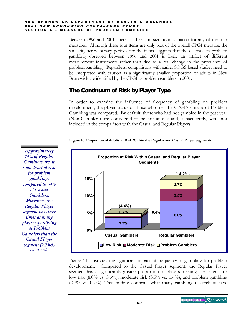Between 1996 and 2001, there has been no significant variation for any of the four measures. Although these four items are only part of the overall CPGI measure, the similarity across survey periods for the items suggests that the decrease in problem gambling observed between 1996 and 2001 is likely an artifact of different measurement instruments rather than due to a real change in the prevalence of problem gambling. Regardless, comparisons with earlier SOGS-based studies need to be interpreted with caution as a significantly smaller proportion of adults in New Brunswick are identified by the CPGI as problem gamblers in 2001.

# The Continuum of Risk by Player Type

In order to examine the influence of frequency of gambling on problem development, the player status of those who met the CPGI's criteria of Problem Gambling was compared. By default, those who had not gambled in the past year (Non-Gamblers) are considered to be not at risk and, subsequently, were not included in the comparison with the Casual and Regular Players.



**Figure 10: Proportion of Adults at Risk Within the Regular and Casual Player Segments**

Figure 11 illustrates the significant impact of frequency of gambling for problem development. Compared to the Casual Player segment, the Regular Player segment has a significantly greater proportion of players meeting the criteria for low risk (8.0% vs. 3.3%), moderate risk (3.5% vs. 0.4%), and problem gambling (2.7% vs. 0.7%). This finding confirms what many gambling researchers have

*Approximately 14% of Regular Gamblers are at some level of risk for problem gambling, compared to* ≈*4% of Casual Gamblers. Moreover, the Regular Player segment has three times as many players qualifying as Problem Gamblers than the Casual Player segment (2.7%% vs 0 7%)*

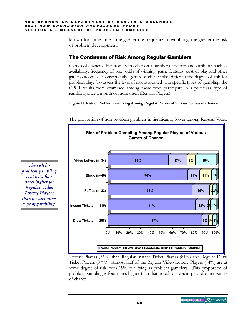*The risk for problem gambling is at least four times higher for Regular Video Lottery Players than for any other type of gambling.*

known for some time – the greater the frequency of gambling, the greater the risk of problem development.

# The Continuum of Risk Among Regular Gamblers

Games of chance differ from each other on a number of factors and attributes such as availability, frequency of play, odds of winning, game features, cost of play and other game outcomes. Consequently, games of chance also differ in the degree of risk for problem play. To assess the level of risk associated with specific types of gambling, the CPGI results were examined among those who participate in a particular type of gambling once a month or more often (Regular Players).

**Figure 11: Risk of Problem Gambling Among Regular Players of Various Games of Chance**



The proportion of non-problem gamblers is significantly lower among Regular Video

Lottery Players (56%) than Regular Instant Ticket Players (81%) and Regular Draw Ticket Players (87%). Almost half of the Regular Video Lottery Players (44%) are at some degree of risk, with 19% qualifying as problem gamblers. This proportion of problem gambling is four times higher than that noted for regular play of other games of chance.

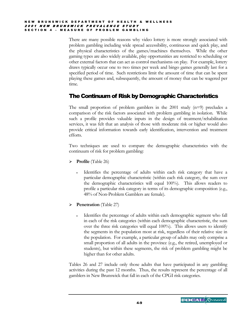There are many possible reasons why video lottery is more strongly associated with problem gambling including wide spread accessibility, continuous and quick play, and the physical characteristics of the games/machines themselves. While the other gaming types are also widely available, play opportunities are restricted to scheduling or other external factors that can act as control mechanisms on play. For example, lottery draws typically occur one to two times per week and bingo games generally last for a specified period of time. Such restrictions limit the amount of time that can be spent playing these games and, subsequently, the amount of money that can be wagered per time.

# The Continuum of Risk by Demographic Characteristics

The small proportion of problem gamblers in the  $2001$  study (n=9) precludes a comparison of the risk factors associated with problem gambling in isolation. While such a profile provides valuable inputs in the design of treatment/rehabilitation services, it was felt that an analysis of those with moderate risk or higher would also provide critical information towards early identification, intervention and treatment efforts.

Two techniques are used to compare the demographic characteristics with the continuum of risk for problem gambling:

- ¾ **Profile** (Table 26)
	- Identifies the percentage of adults within each risk category that have a particular demographic characteristic (within each risk category, the sum over the demographic characteristics will equal 100%). This allows readers to profile a particular risk category in terms of its demographic composition (e.g., 48% of Non-Problem Gamblers are female).
- ¾ **Penetration** (Table 27)
	- Identifies the percentage of adults within each demographic segment who fall in each of the risk categories (within each demographic characteristic, the sum over the three risk categories will equal 100%). This allows users to identify the segments in the population most at risk, regardless of their relative size in the population. For example, a particular group of adults may only comprise a small proportion of all adults in the province (e.g., the retired, unemployed or students), but within these segments, the risk of problem gambling might be higher than for other adults.

Tables 26 and 27 include only those adults that have participated in any gambling activities during the past 12 months. Thus, the results represent the percentage of all gamblers in New Brunswick that fall in each of the CPGI risk categories.

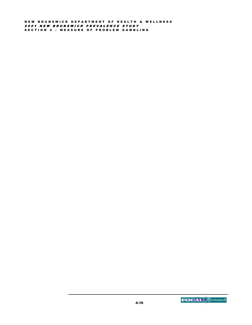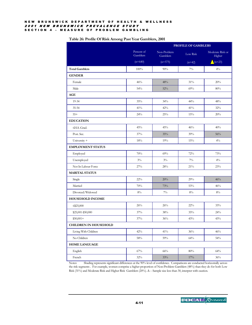|  |  |  | Table 26: Profile Of Risk Among Past Year Gamblers, 2001 |  |
|--|--|--|----------------------------------------------------------|--|
|  |  |  |                                                          |  |

|                              |                               | <b>PROFILE OF GAMBLERS</b> |                 |                            |  |
|------------------------------|-------------------------------|----------------------------|-----------------|----------------------------|--|
|                              | Percent of<br><b>Gamblers</b> | Non-Problem<br>Gamblers    | <b>Low Risk</b> | Moderate Risk or<br>Higher |  |
|                              | $(n=640)$                     | $(n=575)$                  | $(n=42)$        | $(n=23)$                   |  |
| <b>Total Gamblers</b>        | 100%                          | 90%                        | $7\%$           | $4\%$                      |  |
| <b>GENDER</b>                |                               |                            |                 |                            |  |
| Female                       | 46%                           | 48%                        | 31%             | 20%                        |  |
| Male                         | 54%                           | 52%                        | 69%             | 80%                        |  |
| <b>AGE</b>                   |                               |                            |                 |                            |  |
| 19-34                        | 35%                           | 34%                        | 44%             | 48%                        |  |
| $35 - 54$                    | 41%                           | 42%                        | 41%             | 32%                        |  |
| $55+$                        | 24%                           | 25%                        | 15%             | 20%                        |  |
| <b>EDUCATION</b>             |                               |                            |                 |                            |  |
| ≤H.S. Grad.                  | 45%                           | 45%                        | 46%             | 40%                        |  |
| Post. Sec.                   | 37%                           | 35%                        | 39%             | 56%                        |  |
| University +                 | 18%                           | 19%                        | 15%             | $4\%$                      |  |
| <b>EMPLOYMENT STATUS</b>     |                               |                            |                 |                            |  |
| Employed                     | 70%                           | 69%                        | 72%             | 73%                        |  |
| Unemployed                   | $3\%$                         | $3\%$                      | $7\%$           | $4\%$                      |  |
| Not In Labour Force          | 27%                           | 28%                        | 21%             | 23%                        |  |
| <b>MARITAL STATUS</b>        |                               |                            |                 |                            |  |
| Single                       | $22\%$                        | 20%                        | 29%             | 46%                        |  |
| Married                      | 70%                           | 73%                        | 53%             | 46%                        |  |
| Divorced/Widowed             | $8\%$                         | $7\%$                      | $8\%$           | $8\%$                      |  |
| HOUSEHOLD INCOME             |                               |                            |                 |                            |  |
| $\leq$ \$25,000              | 26%                           | 26%                        | 22%             | 33%                        |  |
| \$25,001-\$50,000            | 37%                           | 38%                        | 35%             | 24%                        |  |
| $$50,001+$                   | 37%                           | 36%                        | 43%             | 43%                        |  |
| <b>CHILDREN IN HOUSEHOLD</b> |                               |                            |                 |                            |  |
| Living With Children         | 42%                           | 41%                        | 36%             | 46%                        |  |
| No Children                  | 58%                           | 59%                        | 64%             | 54%                        |  |
| HOME LANGUAGE                |                               |                            |                 |                            |  |
| English                      | $67\%$                        | $66\%$                     | 80%             | 64%                        |  |
| French                       | 32%                           | 33%                        | $17\%$          | $36\%$                     |  |

Notes: Shading represents significant differences at the 90% level of confidence. Comparisons are conducted horizontally across the risk segments . For example, women comprise a higher proportion of Non-Problem Gamblers (48%) than they do for both Low Risk (31%) and Moderate Risk and Higher Risk Gamblers (20%). ∆ -- Sample size less than 30, interpret with caution.

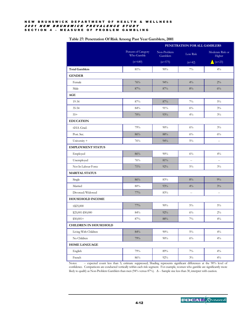|                              |                                   |                         | PENETRATION FOR ALL GAMBLERS       |                            |
|------------------------------|-----------------------------------|-------------------------|------------------------------------|----------------------------|
|                              | Percent of Category<br>Who Gamble | Non-Problem<br>Gamblers | Low Risk                           | Moderate Risk or<br>Higher |
|                              | $(n=640)$                         | $(n=575)$               | $(n=42)$                           | $(n=23)$                   |
| <b>Total Gamblers</b>        | $81\%$                            | $90\%$                  | $7\%$                              | $4\%$                      |
| <b>GENDER</b>                |                                   |                         |                                    |                            |
| Female                       | 76%                               | 94%                     | $4\%$                              | $2\%$                      |
| Male                         | $87\%$                            | 87%                     | $8\%$                              | $6\%$                      |
| AGE                          |                                   |                         |                                    |                            |
| 19-34                        | $87\%$                            | 87%                     | $7\%$                              | $5\%$                      |
| 35-54                        | 84%                               | $91\%$                  | $6\%$                              | $3\%$                      |
| $55+$                        | 70%                               | 93%                     | $4\%$                              | $3\%$                      |
| <b>EDUCATION</b>             |                                   |                         |                                    |                            |
| $\leq$ H.S. Grad.            | 79%                               | 90%                     | $6\%$                              | $3\%$                      |
| Post. Sec.                   | 86%                               | 88%                     | $6\%$                              | $6\%$                      |
| University +                 | $76\%$                            | 94%                     | $5\%$                              | $\overline{a}$             |
| <b>EMPLOYMENT STATUS</b>     |                                   |                         |                                    |                            |
| Employed                     | 86%                               | 90%                     | $6\%$                              | $4\%$                      |
| Unemployed                   | 76%                               | 81%                     | $\overline{\phantom{a}}$           | $\overline{\phantom{a}}$   |
| Not In Labour Force          | 71%                               | 92%                     | $5\%$                              | $3\%$                      |
| <b>MARITAL STATUS</b>        |                                   |                         |                                    |                            |
| Single                       | 86%                               | 83%                     | $8\%$                              | 9%                         |
| Married                      | $80\%$                            | 93%                     | $4\%$                              | $3\%$                      |
| Divorced/Widowed             | $77\%$                            | 83%                     | $\hspace{0.05cm} -\hspace{0.05cm}$ | $\overline{a}$             |
| HOUSEHOLD INCOME             |                                   |                         |                                    |                            |
| $\leq 25,000$                | $77\%$                            | 90%                     | $5\%$                              | $5\%$                      |
| \$25,001-\$50,000            | $84\%$                            | 92%                     | $6\%$                              | $2\%$                      |
| $$50,001+$                   | $87\%$                            | $88\%$                  | $7\%$                              | $4\%$                      |
| <b>CHILDREN IN HOUSEHOLD</b> |                                   |                         |                                    |                            |
| Living With Children         | 84%                               | 90%                     | $5\%$                              | $4\%$                      |
| No Children                  | 79%                               | 90%                     | $6\%$                              | $4\%$                      |
| HOME LANGUAGE                |                                   |                         |                                    |                            |
| English                      | 79%                               | 89%                     | $7\%$                              | $4\%$                      |
| French                       | $86\%$                            | $92\%$                  | $3\%$                              | $4\%$                      |

#### **Table 27: Penetration Of Risk Among Past Year Gamblers, 2001**

Notes: -- expected count less than 5; estimate suppressed; Shading represents significant differences at the 90% level of confidence. Comparisons are conducted vertically within each risk segment. For example, women who gamble are significantly more likely to qualify as Non-Problem Gamblers than men (94% versus 87%). ∆ -- Sample size less than 30, interpret with caution.

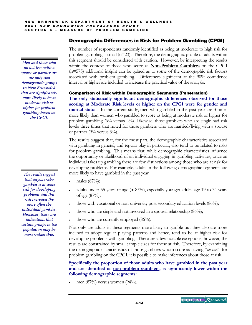*Men and those who do not live with a spouse or partner are the only two demographic groups in New Brunswick that are significantly more likely to be at moderate risk or higher for problem gambling based on the CPGI.*

*The results suggest that anyone who gambles is at some risk for developing problems and this risk increases the more often the individual gambles. However, there are indications that certain groups in the population may be more vulnerable.*

## Demographic Differences in Risk for Problem Gambling (CPGI)

The number of respondents randomly identified as being at moderate to high risk for problem gambling is small  $(n=23)$ . Therefore, the demographic profile of adults within this segment should be considered with caution. However, by interpreting the results within the context of those who score as **Non-Problem Gamblers** on the CPGI (n=575) additional insight can be gained as to some of the demographic risk factors associated with problem gambling. Differences significant at the 90% confidence interval or higher are included to increase the practical value of the analysis.

#### Comparison of Risk within Demographic Segments (Penetration)

**The only statistically significant demographic differences observed for those scoring at Moderate Risk levels or higher on the CPGI were for gender and marital status.** In the current study, men who gambled in the past year are 3 times more likely than women who gambled to score as being at moderate risk or higher for problem gambling (6% versus 2%). Likewise, those gamblers who are single had risk levels three times that noted for those gamblers who are married/living with a spouse or partner  $(9\%$  versus  $3\%$ ).

The results suggest that, for the most part, the demographic characteristics associated with gambling in general, and regular play in particular, also tend to be related to risks for problem gambling. This means that, while demographic characteristics influence the opportunity or likelihood of an individual engaging in gambling activities, once an individual takes up gambling there are few distinctions among those who are at risk for developing problems. For example, adults in the following demographic segments are more likely to have gambled in the past year:

- males (87%);
- adults under 55 years of age ( $\approx 85\%$ ), especially younger adults age 19 to 34 years of age  $(87%)$ ;
- those with vocational or non-university post secondary education levels (86%);
- those who are single and not involved in a spousal relationship (86%);
- those who are currently employed  $(86\%)$ .

Not only are adults in these segments more likely to gamble but they also are more inclined to adopt regular playing patterns and hence, tend to be at higher risk for developing problems with gambling. There are a few notable exceptions, however, the results are constrained by small sample sizes for those at risk. Therefore, by examining the demographic characteristics of those gamblers whom score as having "*no risk*" for problem gambling on the CPGI, it is possible to make inferences about those at risk.

**Specifically the proportion of those adults who have gambled in the past year and are identified as non-problem gamblers, is significantly lower within the following demographic segments:**

• men (87%) versus women (94%),

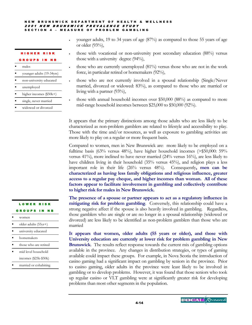

- unemployed
- higher incomes (\$50k+)
- single, never married
- widowed or divorced

LOWER RISK GROUPS IN NB women older adults (55yr+) university educated homemakers those who are retired mid level household incomes (\$25k-\$50k) married or cohabiting

- younger adults, 19 to 34 years of age  $(87%)$  as compared to those 55 years of age or older (93%),
- those with vocational or non-university post secondary education (88%) versus those with a university degree (94%),
- those who are currently unemployed (81%) versus those who are not in the work force, in particular retired or homemakers (92%),
- those who are not currently involved in a spousal relationship (Single/Never married, divorced or widowed: 83%), as compared to those who are married or living with a partner (93%),
- those with annual household incomes over \$50,000 (88%) as compared to more mid-range household incomes between \$25,000 to \$50,000 (92%).

It appears that the primary distinctions among those adults who are less likely to be characterized as non-problem gamblers are related to lifestyle and accessibility to play. Those with the time and/or resources, as well as exposure to gambling activities are more likely to play on a regular or more frequent basis.

Compared to women, men in New Brunswick are: more likely to be employed on a fulltime basis (63% versus 48%), have higher household incomes (>\$50,000: 59% versus 41%), more inclined to have never married (24% versus 16%), are less likely to have children living in their household (35% versus 45%), and religion plays a less important role in their life (26% versus 48%). Consequently**, men can be characterized as having less family obligations and religious influence, greater access to a regular pay cheque, and higher incomes than woman. All of these factors appear to facilitate involvement in gambling and collectively contribute to higher risk for males in New Brunswick.**

**The presence of a spouse or partner appears to act as a regulatory influence in mitigating risk for problem gambling**. Conversely, this relationship could have a strong negative affect if the spouse is also heavily involved in gambling. Regardless, those gamblers who are single or are no longer in a spousal relationship (widowed or divorced) are less likely to be identified as non-problem gamblers than those who are married

**It appears that women, older adults (55 years or older), and those with University education are currently at lower risk for problem gambling in New Brunswick**. The results reflect response towards the current mix of gambling options available in the province. Any changes in distribution strategies, or types of gaming available could impact these groups. For example, in Nova Scotia the introduction of casino gaming had a significant impact on gambling by seniors in the province. Prior to casino gaming, older adults in the province were least likely to be involved in gambling or to develop problems. However, it was found that those seniors who took up regular casino or VLT gambling were at significantly greater risk for developing problems than most other segments in the population.

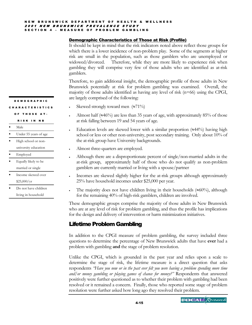#### Demographic Characteristics of Those at Risk (Profile)

It should be kept in mind that the risk indicators noted above reflect those groups for which there is a lower incidence of non-problem play. Some of the segments at higher risk are small in the population, such as those gamblers who are unemployed or widowed/divorced. Therefore, while they are more likely to experience risk when gambling they will comprise very few of those adults who are identified as at-risk gamblers.

Therefore, to gain additional insight, the demographic profile of those adults in New Brunswick potentially at risk for problem gambling was examined. Overall, the majority of those adults identified as having any level of risk  $(n=66)$  using the CPGI, are largely comprised of the following:

- Skewed strongly toward men ( $\approx 71\%$ )
- Almost half ( $\approx$ 46%) are less than 35 years of age, with approximately 85% of those at risk falling between 19 and 54 years of age.
- Education levels are skewed lower with a similar proportion  $(\approx 44\%)$  having high school or less or other non-university, post secondary training. Only about 10% of the at-risk group have University backgrounds.
- Almost three-quarters are employed.
- Although there are a disproportionate percent of single/non-married adults in the at-risk group, approximately half of those who do not qualify as non-problem gamblers are currently married or living with a spouse/partner
- Incomes are skewed slightly higher for the at-risk groups although approximately 25% have household incomes under \$25,000 per year.
- The majority does not have children living in their households ( $\approx 60\%$ ), although for the remaining 40% of high-risk gamblers, children are involved.

These demographic groups comprise the majority of those adults in New Brunswick who are at any level of risk for problem gambling, and thus the profile has implications for the design and delivery of intervention or harm minimization initiatives.

# Lifetime Problem Gambling

In addition to the CPGI measure of problem gambling, the survey included three questions to determine the percentage of New Brunswick adults that have **ever** had a problem with gambling **and** the stage of problem resolution.

Unlike the CPGI, which is grounded in the past year and relies upon a scale to determine the stage of risk, the lifetime measure is a direct question that asks respondents *"Have you now or in the past ever felt you were having a problem spending more time and/or money gambling or playing games of chance for money?"* Respondents that answered positively were further questioned as to whether their problem with gambling had been resolved or it remained a concern. Finally, those who reported some stage of problem resolution were further asked how long ago they resolved their problem.

RISK IN NB Male

DEMOGRAPHIC CHARACTERISTICS OF THOSE AT-

- Under 55 years of age High school or non-
- university education
- Employed
- Equally likely to be married or single
- Income skewed over \$25,000/yr
- Do not have children living in household

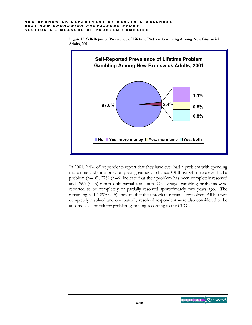

**Figure 12: Self-Reported Prevalence of Lifetime Problem Gambling Among New Brunswick Adults, 2001**

In 2001, 2.4% of respondents report that they have ever had a problem with spending more time and/or money on playing games of chance. Of those who have ever had a problem  $(n=16)$ , 27%  $(n=6)$  indicate that their problem has been completely resolved and 25% (n=5) report only partial resolution. On average, gambling problems were reported to be completely or partially resolved approximately two years ago. The remaining half (48%; n=5), indicate that their problem remains unresolved. All but two completely resolved and one partially resolved respondent were also considered to be at some level of risk for problem gambling according to the CPGI.

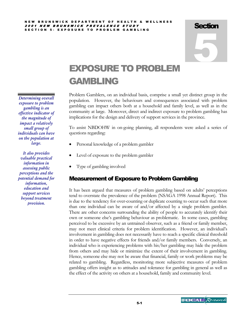# **Section** 5

# EXPOSURE TO PROBLEM GAMBLING

Problem Gamblers, on an individual basis, comprise a small yet distinct group in the population. However, the behaviours and consequences associated with problem gambling can impact others both at a household and family level, as well as in the community at large. Moreover, direct and indirect exposure to problem gambling has implications for the design and delivery of support services in the province.

To assist NBDOHW in on-going planning, all respondents were asked a series of questions regarding:

- Personal knowledge of a problem gambler
- Level of exposure to the problem gambler
- Type of gambling involved

# Measurement of Exposure to Problem Gambling

It has been argued that measures of problem gambling based on adults' perceptions tend to overstate the prevalence of the problem (NSAGA 1998 Annual Report). This is due to the tendency for over-counting or duplicate counting to occur such that more than one individual can be aware of and/or affected by a single problem gambler. There are other concerns surrounding the ability of people to accurately identify their own or someone else's gambling behaviour as problematic. In some cases, gambling perceived to be excessive by an untrained observer, such as a friend or family member, may not meet clinical criteria for problem identification. However, an individual's involvement in gambling does not necessarily have to reach a specific clinical threshold in order to have negative effects for friends and/or family members. Conversely, an individual who is experiencing problems with his/her gambling may hide the problem from others and may hide or minimize the extent of their involvement in gambling. Hence, someone else may not be aware that financial, family or work problems may be related to gambling. Regardless, monitoring more subjective measures of problem gambling offers insight as to attitudes and tolerance for gambling in general as well as the effect of the activity on others at a household, family and community level.

*Determining overall exposure to problem gambling is an effective indicator of the magnitude of impact a relatively small group of individuals can have on the population at large.*

*It also provides valuable practical information in assessing public perceptions and the potential demand for information, education and support services beyond treatment provision.*

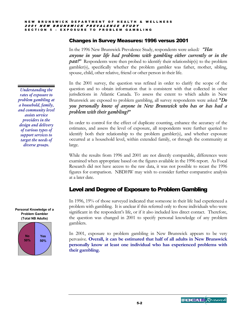# Changes in Survey Measures: 1996 versus 2001

In the 1996 New Brunswick Prevalence Study, respondents were asked*: "Has anyone in your life had problems with gambling either currently or in the past?*" Respondents were then probed to identify their relationship(s) to the problem gambler(s), specifically whether the problem gambler was father, mother, sibling, spouse, child, other relative, friend or other person in their life.

In the 2001 survey, the question was refined in order to clarify the scope of the question and to obtain information that is consistent with that collected in other jurisdictions in Atlantic Canada. To assess the extent to which adults in New Brunswick are exposed to problem gambling, all survey respondents were asked *"Do you personally know of anyone in New Brunswick who has or has had a problem with their gambling?"*

In order to control for the effect of duplicate counting, enhance the accuracy of the estimates, and assess the level of exposure, all respondents were further queried to identify both their relationship to the problem gambler(s), and whether exposure occurred at a household level, within extended family, or through the community at large.

While the results from 1996 and 2001 are not directly comparable, differences were examined when appropriate based on the figures available in the 1996 report. As Focal Research did not have access to the raw data, it was not possible to recast the 1996 figures for comparison. NBDHW may wish to consider further comparative analysis at a later date.

# Level and Degree of Exposure to Problem Gambling

In 1996, 19% of those surveyed indicated that someone in their life had experienced a problem with gambling. It is unclear if this referred only to those individuals who were significant in the respondent's life, or if it also included less direct contact. Therefore, the question was changed in 2001 to specify personal knowledge of any problem gamblers.

In 2001, exposure to problem gambling in New Brunswick appears to be very pervasive. **Overall, it can be estimated that half of all adults in New Brunswick personally know at least one individual who has experienced problems with their gambling.**

*Understanding the rates of exposure to problem gambling at a household, family, and community level assists service providers in the design and delivery of various types of support services to target the needs of diverse groups.*





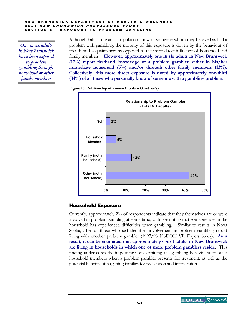*One in six adults in New Brunswick have been exposed to problem gambling through household or other family members*

Although half of the adult population know of someone whom they believe has had a problem with gambling, the majority of this exposure is driven by the behaviour of friends and acquaintances as opposed to the more direct influence of household and family members. **However, approximately one in six adults in New Brunswick (17%) report firsthand knowledge of a problem gambler, either in his/her immediate household (5%) and/or through other family members (13%). Collectively, this more direct exposure is noted by approximately one-third (34%) of all those who personally know of someone with a gambling problem.**



**Figure 13: Relationship of Known Problem Gambler(s)**

# Household Exposure

Currently, approximately 2% of respondents indicate that they themselves are or were involved in problem gambling at some time, with 5% noting that someone else in the household has experienced difficulties when gambling. Similar to results in Nova Scotia, 31% of those who self-identified involvement in problem gambling report living with another problem gambler (1997/98 NSDOH VL Players Study). **As a result, it can be estimated that approximately 6% of adults in New Brunswick are living in households in which one or more problem gamblers reside**. This finding underscores the importance of examining the gambling behaviours of other household members when a problem gambler presents for treatment, as well as the potential benefits of targetting families for prevention and intervention.

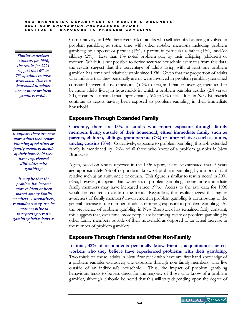*Similar to derived estimates for 1996, the results for 2001 suggest that 6% to 7% of adults in New Brunswick live in a household in which one or more problem gamblers reside.*

*It appears there are now more adults who report knowing of relatives or family members outside of their household who have experienced difficulties with gambling.*

*It may be that the problem has become more evident or been shared among family members. Alternatively, respondents may also be more sensitive to interpreting certain gambling behaviours as bl ti*

Comparatively, in 1996 there were 3% of adults who self-identifed as being involved in problem gambling at some time with other notable mentions including problem gambling by a spouse or partner  $(1\%)$ , a parent, in particular a father  $(1\%)$ , and/or siblings  $(2%)$ . Less than 1% noted problem play by their offspring (children) or mother. While it is not possible to derive accurate household estimates from this data, the results suggest that the percentage of adults living with at least one problem gambler has remained relatively stable since 1996. Given that the proportion of adults who indicate that they personally are or were involved in problem gambling remained constant between the two measures ( $\approx$ 2% to 3%), and that, on average, there tend to be more adults living in households in which a problem gambler resides (2.4 versus 2.1), it can be estimated that approximately 6% to 7% of all adults in New Brunswick continue to report having been exposed to problem gambling in their immediate household.

# Exposure Through Extended Family

**Currently, there are 13% of adults who report exposure through family members living outside of their household, either immediate family such as parents, children, siblings, grandparents (7%) or other relatives such as aunts, uncles, cousins (8%).** Collectively, exposure to problem gambling through extended family is mentioned by 26% of all those who know of a problem gambler in New Brunswick.

Again, based on results reported in the 1996 report, it can be estimated that 5 years ago approximately 6% of respondents knew of problem gambling by a more distant relative such as an aunt, uncle or cousin. This figure is similar to results noted in 2001 (8%), however, it appears that awareness of problem gambling among more immediate family members may have increased since 1996. Access to the raw data for 1996 would be required to confirm the trend. Regardless, the results suggest that higher awareness of family members' involvement in problem gambling is contributing to the general increase in the number of adults reporting exposure to problem gambling. As the prevalence of problem gambling in New Brunswick has remained fairly constant, this suggests that, over time, more people are becoming aware of problem gambling by other family members outside of their household as opposed to an actual increase in the number of problem gamblers.

# Exposure Through Friends and Other Non-Family

**In total, 42% of respondents personally know friends, acquaintances or coworkers who they believe have experienced problems with their gambling.** Two-thirds of those adults in New Brunswick who have any first hand knowledge of a problem gambler exclusively cite exposure through non-family members, who live outside of an individual's household. Thus, the impact of problem gambling behaviours tends to be less direct for the majority of those who know of a problem gambler, although it should be noted that this will vary depending upon the degree of

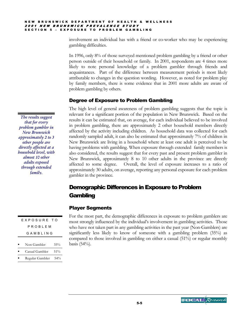involvement an individual has with a friend or co-worker who may be experiencing gambling difficulties.

In 1996, only 8% of those surveyed mentioned problem gambling by a friend or other person outside of their household or family. In 2001, respondents are 4 times more likely to note personal knowledge of a problem gambler through friends and acquaintances. Part of the difference between measurement periods is most likely attributable to changes in the question wording. However, as noted for problem play by family members, there is some evidence that in 2001 more adults are aware of problem gambling by others.

# Degree of Exposure to Problem Gambling

The high level of general awareness of problem gambling suggests that the topic is relevant for a significant portion of the population in New Brunswick. Based on the results it can be estimated that, on average, for each individual believed to be involved in problem gambling, there are approximately 2 other household members directly affected by the activity including children. As household data was collected for each randomly sampled adult, it can also be estimated that approximately 7% of children in New Brunswick are living in a household where at least one adult is perceived to be having problems with gambling. When exposure through extended family members is also considered, the results suggest that for every past and present problem gambler in New Brunswick, approximately 8 to 10 other adults in the province are directly affected to some degree. Overall, the level of exposure increases to a ratio of approximately 30 adults, on average, reporting any personal exposure for each problem gambler in the province.

# Demographic Differences in Exposure to Problem **Gambling**

# Player Segments

For the most part, the demographic differences in exposure to problem gamblers are most strongly influenced by the individual's involvement in gambling activities. Those who have not taken part in any gambling activities in the past year (Non-Gamblers) are significantly less likely to know of someone with a gambling problem (35%) as compared to those involved in gambling on either a casual (51%) or regular monthly basis (54%).

*The results suggest that for every problem gambler in New Brunswick approximately 2 to 3 other people are directly affected at a household level, with almost 10 other adults exposed through extended family.*

| FXPOSURF TO         |     |  |  |  |
|---------------------|-----|--|--|--|
| PROBLEM             |     |  |  |  |
| GAMBLING            |     |  |  |  |
|                     |     |  |  |  |
| Non Gambler         | 35% |  |  |  |
| Casual Gambler 51%  |     |  |  |  |
| Regular Gambler 54% |     |  |  |  |

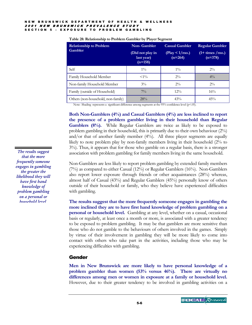| <b>Relationship to Problem</b><br><b>Gambler</b> | <b>Non-Gambler</b><br>(Did not play in<br>last year)<br>$(n=158)$ | <b>Casual Gambler</b><br>$\overline{(Play \leq 1/mol)}$<br>$(n=264)$ | <b>Regular Gambler</b><br>$(1+ \text{times}/\text{mo.})$<br>$(n=378)$ |
|--------------------------------------------------|-------------------------------------------------------------------|----------------------------------------------------------------------|-----------------------------------------------------------------------|
| Self                                             | $1\%$                                                             | $1\%$                                                                | $2\%$                                                                 |
| Family Household Member                          | $< 1\%$                                                           | $2\%$                                                                | $4\%$                                                                 |
| Non-family Household Member                      | $3\%$                                                             | $2\%$                                                                | $2\%$                                                                 |
| Family (outside of Household)                    | $7\%$                                                             | $12\%$                                                               | 16%                                                                   |
| Others (non-household, non-family)               | 28%                                                               | 43%                                                                  | 45%                                                                   |

| Table 28: Relationship to Problem Gambler by Player Segment |  |  |
|-------------------------------------------------------------|--|--|
|                                                             |  |  |

Note: Shading represents a significant difference among segments at the 95% confidence level (p<.05).

**Both Non-Gamblers (4%) and Casual Gamblers (4%) are less inclined to report the presence of a problem gambler living in their household than Regular Gamblers (8%).** While Regular Gamblers are twice as likely to be exposed to problem gambling in their household, this is primarily due to their own behaviour (2%) and/or that of another family member  $(4\%)$ . All three player segments are equally likely to note problem play by non-family members living in their household (2% to 3%). Thus, it appears that for those who gamble on a regular basis, there is a stronger association with problem gambling for family members living in the same household.

Non-Gamblers are less likely to report problem gambling by extended family members (7%) as compared to either Casual (12%) or Regular Gamblers (16%). Non-Gamblers also report lower exposure through friends or other acquaintances (28%) whereas, almost half of Casual (43%) and Regular Gamblers (45%) personally know of others outside of their household or family, who they believe have experienced difficulties with gambling.

**The results suggest that the more frequently someone engages in gambling the more inclined they are to have first hand knowledge of problem gambling on a personal or household level.** Gambling at any level, whether on a casual, occasional basis or regularly, at least once a month or more, is associated with a greater tendency to be exposed to problem gambling. It may be that gamblers are more sensitive than those who do not gamble to the behaviours of others involved in the games. Simply by virtue of their involvement in gambling they will be more likely to come into contact with others who take part in the activities, including those who may be experiencing difficulties with gambling.

#### Gender

**Men in New Brunswick are more likely to have personal knowledge of a problem gambler than women (53% versus 46%). There are virtually no differences among men or women in exposure at a family or household level.** However, due to their greater tendency to be involved in gambling activities on a

*The results suggest that the more frequently someone engages in gambling the greater the likelihood they will have first hand knowledge of problem gambling on a personal or household level*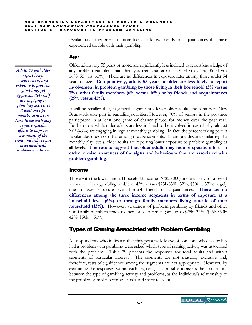regular basis, men are also more likely to know friends or acquaintances that have experienced trouble with their gambling.

# Age

Older adults, age 55 years or more, are significantly less inclined to report knowledge of any problem gamblers than their younger counterparts (19-34 yrs: 54%, 35-54 yrs: 56%, 55+yrs: 35%). There are no differences in exposure rates among those under 54 years of age. **Comparatively, adults 55 years or older are less likely to report involvement in problem gambling by those living in their household (3% versus 7%), other family members (6% versus 16%) or by friends and acquaintances (29% versus 45%).**

It will be recalled that, in general, significantly fewer older adults and seniors in New Brunswick take part in gambling activities. However, 70% of seniors in the province participated in at least one game of chance played for money over the past year. Furthermore, while older adults are less inclined to be involved in casual play, almost half (46%) are engaging in regular monthly gambling. In fact, the percent taking part in regular play does not differ among the age segments. Therefore, despite similar regular monthly play levels, older adults are reporting lower exposure to problem gambling at all levels. **The results suggest that older adults may require specific efforts in order to raise awareness of the signs and behaviours that are associated with problem gambling.**

# Income

Those with the lowest annual household incomes (<\$25,000) are less likely to know of someone with a gambling problem (43% versus \$25k-\$50k: 52%, \$50k+: 57%) largely due to lower exposure levels through friends or acquaintances. **There are no differences among the three income segments in terms of exposure at a household level (6%) or through family members living outside of their household (13%).** However, awareness of problem gambling by friends and other non-family members tends to increase as income goes up (<\$25k: 32%, \$25k-\$50k: 42%, \$50k+: 50%).

# Types of Gaming Associated with Problem Gambling

All respondents who indicated that they personally knew of someone who has or has had a problem with gambling were asked which type of gaming activity was associated with the problem. Table 29 presents the responses for total adults and within segments of particular interest. The segments are not mutually exclusive and, therefore, tests of significance among the segments are not appropriate. However, by examining the responses within each segment, it is possible to assess the associations between the type of gambling activity and problems, as the individual's relationship to the problem gambler becomes closer and more relevant.

*Adults 55 and older report lower awareness of and exposure to problem gambling, yet approximately half are engaging in gambling activities at least once per month. Seniors in New Brunswick may require specific efforts to improve awareness of the signs and behaviours associated with problem gambling*

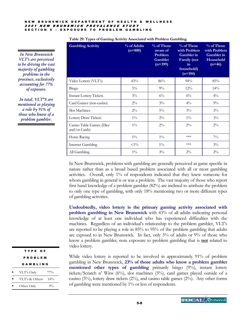**Table 29: Types of Gaming Activity Associated with Problem Gambling**

| <b>Gambling Activity</b>                  | % of Adults<br>$(n=800)$ | $%$ of Those<br>aware of<br>Problem<br>Gambler<br>$(n=399)$ | % of Those<br>with Problem<br>Gambler in<br>Family (not<br>in<br>household)<br>$(n=104)$ | $%$ of Those<br>with Problem<br>Gambler in<br>Household<br>$(n=46)$ |
|-------------------------------------------|--------------------------|-------------------------------------------------------------|------------------------------------------------------------------------------------------|---------------------------------------------------------------------|
| Video Lottery (VLT's)                     | 43%                      | 86%                                                         | 94%                                                                                      | 85%                                                                 |
| Bingo                                     | $5\%$                    | $9\%$                                                       | $12\%$                                                                                   | 14%                                                                 |
| <b>Instant Lottery Tickets</b>            | $3\%$                    | $6\%$                                                       | $6\%$                                                                                    | $4\%$                                                               |
| Card Games (non-casino)                   | $2\%$                    | $3\%$                                                       | $4\%$                                                                                    | $9\%$                                                               |
| Slot Machines                             | $2\%$                    | $5\%$                                                       | $3\%$                                                                                    | $3\%$                                                               |
| Lottery Draw Tickets                      | $1\%$                    | $2\%$                                                       | $1\%$                                                                                    | $3\%$                                                               |
| Casino Table Games (Dice<br>and/or Cards) | $1\%$                    | $2\%$                                                       | $2\%$                                                                                    | $2\%$                                                               |
| Horse Racing                              | $1\%$                    | $1\%$                                                       | ***                                                                                      | $7\%$                                                               |
| <b>Internet Gambling</b>                  | $<1\%$                   | $1\%$                                                       | ***                                                                                      | $3\%$                                                               |
| All Gambling                              | $1\%$                    | $3\%$                                                       | $2\%$                                                                                    | $2\%$                                                               |

*In New Brunswick VLT's are perceived to be driving the vast majority of gambling problems in the province, exclusively accounting for 77% of exposure.*

*In total, VLT"S are mentioned as playing a role by 91% of those who know of a problem gambler.*

> In New Brunswick, problems with gambling are generally perceived as game specific in nature rather than as a broad based problem associated with all or most gambling activities. Overall, only 1% of respondents indicated that they knew someone for whom gambling in general is or was a problem. The vast majority of those who report first hand knowledge of a problem gambler (82%) are inclined to attribute the problem to only one type of gambling, with only 18% mentioning two or more different types of gambling activities.

> **Undoubtedly, video lottery is the primary gaming activity associated with problem gambling in New Brunswick** with 43% of all adults indicating personal knowledge of at least one individual who has experienced difficulties with the machines. Regardless of an individual's relationship to the problem gambler, VLT's are reported to be playing a role in 85% to 95% of the problem gambling that adults are exposed to in New Brunswick. In fact, only 5% of adults or 9% of those who know a problem gambler, note exposure to problem gambling that is **not** related to video lottery.

> While video lottery is reported to be involved in approximately 91% of problem gambling in New Brunswick, **23% of those adults who know a problem gambler mentioned other types of gambling** primarily bingo (9%), instant lottery tickets/Scratch n' Wins (6%), slot machines (5%), card games played outside of a casino (3%), lottery draw tickets (2%), and casino table games (2%). Any other forms of gambling were mentioned by 1% or less of respondents.

| TYPE OF               |     |
|-----------------------|-----|
| PROBLEM               |     |
| GAMBLING              |     |
| VLT's Only            | 77% |
| VLT's & Others $14\%$ |     |
| Other Only            |     |

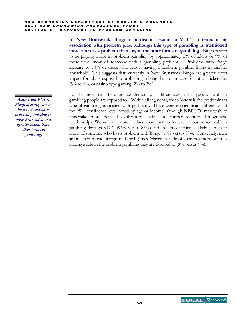**In New Brunswick, Bingo is a distant second to VLT's in terms of its association with problem play, although this type of gambling is mentioned more often as a problem than any of the other forms of gambling.** Bingo is seen to be playing a role in problem gambling by approximately 5% of adults or 9% of those who know of someone with a gambling problem. Problems with Bingo increase to 14% of those who report having a problem gambler living in his/her household. This suggests that, currently in New Brunswick, Bingo has greater direct impact for adults exposed to problem gambling than is the case for lottery ticket play (3% to 4%) or casino-type gaming (2% to 3%).

For the most part, there are few demographic differences in the types of problem gambling people are exposed to. Within all segments, video lottery is the predominant type of gambling associated with problems. There were no significant differences at the 95% confidence level noted by age or income, although NBDHW may wish to undertake more detailed exploratory analysis to further identify demographic relationships. Women are more inclined than men to indicate exposure to problem gambling through VLT's (96% versus 85%) and are almost twice as likely as men to know of someone who has a problem with Bingo (16% versus 9%). Conversely, men are inclined to cite unregulated card games (played outside of a casino) more often as playing a role in the problem gambling they are exposed to (8% versus 4%).

*Aside from VLT's, Bingo also appears to be associated with problem gambling in New Brunswick to a greater extent than other forms of gambling.*

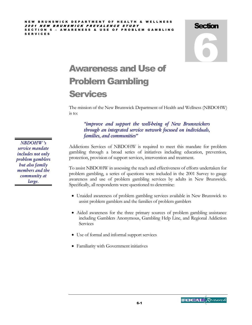

# Awareness and Use of Problem Gambling **Services**

The mission of the New Brunswick Department of Health and Wellness (NBDOHW) is to:

*"improve and support the well-being of New Brunswickers through an integrated service network focused on individuals, families, and communities"*

Addictions Services of NBDOHW is required to meet this mandate for problem gambling through a broad series of initiatives including education, prevention, protection, provision of support services, intervention and treatment.

To assist NBDOHW in assessing the reach and effectiveness of efforts undertaken for problem gambling, a series of questions were included in the 2001 Survey to gauge awareness and use of problem gambling services by adults in New Brunswick. Specifically, all respondents were questioned to determine:

- Unaided awareness of problem gambling services available in New Brunswick to assist problem gamblers and the families of problem gamblers
- Aided awareness for the three primary sources of problem gambling assistance including Gamblers Anonymous, Gambling Help Line, and Regional Addiction Services
- Use of formal and informal support services
- Familiarity with Government initiatives

**FOCAE** Research

*NBDOHW 's service mandate includes not only problem gamblers but also family members and the community at large.*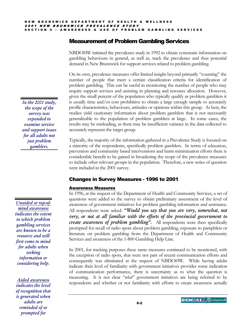# Measurement of Problem Gambling Services

NBDOHW initiated the prevalence study in 1992 to obtain systematic information on gambling behaviours in general, as well as, track the prevalence and thus potential demand in New Brunswick for support services related to problem gambling.

On its own, prevalence measures offer limited insight beyond primarily "counting" the number of people that meet a certain classification criteria for identification of problem gambling. This can be useful in monitoring the number of people who may require support services and assisting in planning and resource allocation. However, given the small percent of the population who typically qualify as problem gamblers it is usually time and/or cost prohibitive to obtain a large enough sample to accurately profile characteristics, behaviours, attitudes or opinions within this group. At best, the studies yield cautionary information about problem gamblers that is not necessarily generalizable to the population of problem gamblers at large. In some cases, the results may be misleading, as there may be insufficient variance in the data collected to accurately represent the target group.

Typically, the majority of the information gathered in a Prevalence Study is focused on a minority of the respondents, specifically problem gamblers. In terms of education, prevention and community based interventions and harm minimization efforts there is considerable benefit to be gained in broadening the scope of the prevalence measures to include other relevant groups in the population. Therefore, a new series of question were included in the 2001 survey.

# Changes in Survey Measures - 1996 to 2001

# Awareness Measures

In 1996, at the request of the Department of Health and Community Services, a set of questions were added to the survey to obtain preliminary assessment of the level of awareness of government initiatives for problem gambling information and assistance. All respondents were asked: *"Would you say that you are very, somewhat, not very, or not at all familiar with the efforts of the provincial government to create awareness of problem gambling".* All respondents were then specifically prompted for recall of radio spots about problem gambling, exposure to pamphlets or literature on problem gambling from the Department of Health and Community Services and awareness of the 1-800 Gambling Help Line.

In 2001, for tracking purposes these same measures continued to be monitored, with the exception of radio spots, that were not part of recent communication efforts and consequently was eliminated at the request of NBDOHW. While having adults indicate their level of familiarity with government initiatives provides some indication of communication performance, there is uncertainty as to what the question is measuring. It is not clear "*what*" government initiatives are being referred to by respondents and whether or not familiarity with efforts to create awareness actually



*Unaided or top-ofmind awareness indicates the extent to which problem gambling services are known to be a resource and will first come to mind for adults when seeking information or considering help.*

*Aided awareness indicates the level of recognition that is generated when adults are reminded of or prompted for*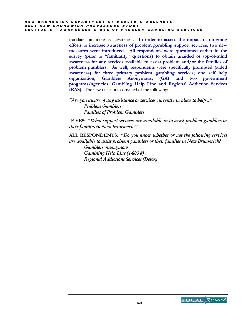translate into increased awareness. **In order to assess the impact of on-going efforts to increase awareness of problem gambling support services, two new measures were introduced. All respondents were questioned earlier in the survey (prior to "familiarity" questions) to obtain unaided or top-of-mind awareness for any services available to assist problem and/or the families of problem gamblers. As well, respondents were specifically prompted (aided awareness) for three primary problem gambling services; one self help organization, Gamblers Anonymous, (GA) and two government programs/agencies, Gambling Help Line and Regional Addiction Services (RAS).** The new questions consisted of the following:

*"Are you aware of any assistance or services currently in place to help…" Problem Gamblers Families of Problem Gamblers*

**IF YES:** *"What support services are available in to assist problem gamblers or their families in New Brunswick?"*

**ALL RESPONDENTS: "***Do you know whether or not the following services are available to assist problem gamblers or their families in New Brunswick?*

*Gamblers Anonymous Gambling Help Line (1-800 #) Regional Addictions Services (Detox)*

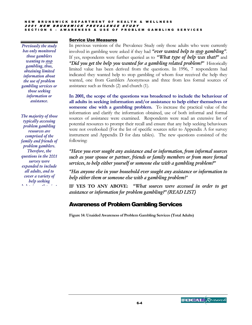*Previously the study has only monitored those gamblers wanting to stop gambling, thus, obtaining limited information about the use of problem gambling services or those seeking information or assistance.*

*The majority of those typically accessing problem gambling resources are comprised of the family and friends of problem gamblers. Therefore, the questions in the 2001 survey were expanded to include all adults, and to cover a variety of help seeking b h h h i t t i t i t i t i t i t i t i t i t i t i t i t i t i t i t i t i t i t i t i t i t i t i t i t i t i* 

#### Service Use Measures

In previous versions of the Prevalence Study only those adults who were currently involved in gambling were asked if they had *"ever wanted help to stop gambling".* If yes, respondents were further queried as to *"What type of help was that?"* and *"Did you get the help you wanted for a gambling related problem?"* Historically limited value has been derived from the questions. In 1996, 7 respondents had indicated they wanted help to stop gambling of whom four received the help they wanted, one from Gamblers Anonymous and three from less formal sources of assistance such as friends (2) and church (1).

**In 2001, the scope of the questions was broadened to include the behaviour of all adults in seeking information and/or assistance to help either themselves or someone else with a gambling problem.** To increase the practical value of the information and clarify the information obtained, use of both informal and formal sources of assistance were examined. Respondents were read an extensive list of potential resources to prompt their recall and ensure that any help seeking behaviours were not overlooked (For the list of specific sources refer to Appendix A for survey instrument and Appendix D for data tables). The new questions consisted of the following:

*"Have you ever sought any assistance and or information, from informal sources such as your spouse or partner, friends or family members or from more formal services, to help either yourself or someone else with a gambling problem?"*

*"Has anyone else in your household ever sought any assistance or information to help either them or someone else with a gambling problem?'*

**IF YES TO ANY ABOVE:** *"What sources were accessed in order to get assistance or information for problem gambling?" (READ LIST)*

# Awareness of Problem Gambling Services

**Figure 14: Unaided Awareness of Problem Gambling Services (Total Adults)**

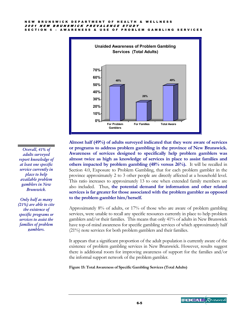

**Almost half (49%) of adults surveyed indicated that they were aware of services or programs to address problem gambling in the province of New Brunswick. Awareness of services designed to specifically help problem gamblers was almost twice as high as knowledge of services in place to assist families and others impacted by problem gambling (48% versus 26%).** It will be recalled in Section 4.0, Exposure to Problem Gambling, that for each problem gambler in the province approximately 2 to 3 other people are directly affected at a household level. This ratio increases to approximately 13 to one when extended family members are also included. Thus, **the potential demand for information and other related services is far greater for those associated with the problem gambler as opposed to the problem gambler him/herself.**

Approximately 8% of adults, or 17% of those who are aware of problem gambling services, were unable to recall any specific resources currently in place to help problem gamblers and/or their families. This means that only 41% of adults in New Brunswick have top-of-mind awareness for specific gambling services of which approximately half (21%) note services for both problem gamblers and their families.

It appears that a significant proportion of the adult population is currently aware of the existence of problem gambling services in New Brunswick. However, results suggest there is additional room for improving awareness of support for the families and/or the informal support network of the problem gambler.

**Figure 15: Total Awareness of Specific Gambling Services (Total Adults)**

*Overall, 41% of adults surveyed report knowledge of at least one specific service currently in place to help available problem gamblers in New Brunswick.*

*Only half as many (21%) are able to cite the existence of specific programs or services to assist the families of problem gamblers.*

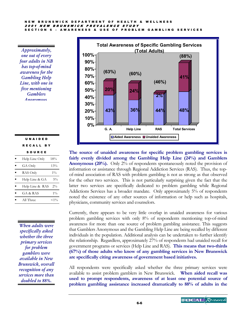*Approximately, one out of every four adults in NB has top-of-mind awareness for the Gambling Help Line, with one in five mentioning Gamblers Anonymous*



**The source of unaided awareness for specific problem gambling services is fairly evenly divided among the Gambling Help Line (24%) and Gamblers Anonymous (20%).** Only 2% of respondents spontaneously noted the provision of information or assistance through Regional Addiction Services (RAS). Thus, the topof-mind association of RAS with problem gambling is not as strong as that observed for the other two services. This is not particularly surprising given the fact that the latter two services are specifically dedicated to problem gambling while Regional Addictions Services has a broader mandate. Only approximately 5% of respondents noted the existence of any other sources of information or help such as hospitals, physicians, community services and counselors.

Currently, there appears to be very little overlap in unaided awareness for various problem gambling services with only 8% of respondents mentioning top-of-mind awareness for more than one source of problem gambling assistance. This suggests that Gamblers Anonymous and the Gambling Help Line are being recalled by different individuals in the population. Additional analysis can be undertaken to further identify the relationship. Regardless, approximately 27% of respondents had unaided recall for government programs or services (Help Line and RAS). **This means that two-thirds (67%) of those adults who know of any gambling services in New Brunswick are specifically citing awareness of government based initiatives.**

All respondents were specifically asked whether the three primary services were available to assist problem gamblers in New Brunswick. **When aided recall was used to prompt respondents, awareness of at least one potential source of problem gambling assistance increased dramatically to 88% of adults in the**

# RECALL BY **SOURCE** Help Line Only 18% GA Only 13% RAS Only 1% Help Line & GA 5% Help Line & RAS 2% GA & RAS 1% All Three  $\leq 1\%$

UNAIDED

*When adults were specifically asked whether the three primary services for problem gamblers were available in New Brunswick, overall recognition of any services more than doubled to 88%.*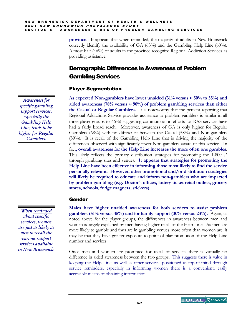**province.** It appears that when reminded, the majority of adults in New Brunswick correctly identify the availability of GA (63%) and the Gambling Help Line (60%). Almost half (46%) of adults in the province recognize Regional Addiction Services as providing assistance.

# Demographic Differences in Awareness of Problem Gambling Services

# Player Segmentation

**As expected Non-gamblers have lower unaided (31% versus** ≈ **50% to 55%) and aided awareness (78% versus** ≈ **90%) of problem gambling services than either the Casual or Regular Gamblers.** It is noteworthy that the percent reporting that Regional Addictions Service provides assistance to problem gamblers is similar in all three player groups ( $\approx 46\%$ ) suggesting communication efforts for RAS services have had a fairly broad reach. Moreover, awareness of GA is only higher for Regular Gamblers (68%) with no difference between the Casual (58%) and Non-gamblers (59%). It is recall of the Gambling Help Line that is driving the majority of the differences observed with significantly fewer Non-gamblers aware of this service. In fact**, overall awareness for the Help Line increases the more often one gambles**. This likely reflects the primary distribution strategies for promoting the 1-800 # through gambling sites and venues. **It appears that strategies for promoting the Help Line have been effective in informing those most likely to find the service personally relevant. However, other promotional and/or distribution strategies will likely be required to educate and inform non-gamblers who are impacted by problem gambling (e.g. Doctor's offices, lottery ticket retail outlets, grocery stores, schools, fridge magnets, stickers)**

# Gender

**Males have higher unaided awareness for both services to assist problem gamblers (51% versus 45%) and for family support (30% versus 23%).** Again, as noted above for the player groups, the differences in awareness between men and women is largely explained by men having higher recall of the Help Line. As men are more likely to gamble and thus are in gambling venues more often than women are, it may be that they have greater exposure to point-of-play promotion of the Help Line number and services.

Once men and women are prompted for recall of services there is virtually no difference in aided awareness between the two groups. This suggests there is value in keeping the Help Line, as well as other services, positioned as top-of-mind through service reminders, especially in informing women there is a convenient, easily accessible means of obtaining information.

*Awareness for specific gambling support services, especially the Gambling Help Line, tends to be higher for Regular Gamblers.*

*When reminded about specific services, women are just as likely as men to recall the various support services available in New Brunswick.*

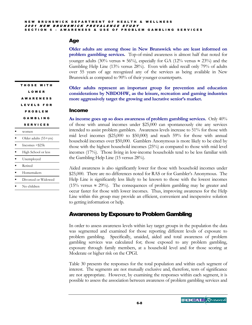## Age

**Older adults are among those in New Brunswick who are least informed on problem gambling services.** Top-of-mind awareness is almost half that noted for younger adults (30% versus  $\approx 56\%$ ), especially for GA (12% versus  $\approx 23\%$ ) and the Gambling Help Line (13% versus 28%). Even with aided recall only 79% of adults over 55 years of age recognized any of the services as being available in New Brunswick as compared to 90% of their younger counterparts.

**Older adults represent an important group for prevention and education considerations by NBDOHW, as the leisure, recreation and gaming industries more aggressively target the growing and lucrative senior's market.**

#### Income

**As income goes up so does awareness of problem gambling services.** Only 40% of those with annual incomes under \$25,000 can spontaneously cite any services intended to assist problem gamblers. Awareness levels increase to 51% for those with mid level incomes (\$25,000 to \$50,000) and reach 59% for those with annual household incomes over \$50,000. Gamblers Anonymous is more likely to be cited by those with the highest household incomes (25%) as compared to those with mid level incomes (17%). Those living in low-income households tend to be less familiar with the Gambling Help Line (15 versus 28%).

Aided awareness is also significantly lower for those with household incomes under \$25,000. There are no differences noted for RAS or for Gambler's Anonymous. The Help Line is significantly less likely to be known to those with the lowest incomes (15% versus  $\approx$  29%). The consequences of problem gambling may be greater and occur faster for those with lower incomes. Thus, improving awareness for the Help Line within this group may provide an efficient, convenient and inexpensive solution to getting information or help.

# Awareness by Exposure to Problem Gambling

In order to assess awareness levels within key target groups in the population the data was segmented and examined for those reporting different levels of exposure to problem gambling. Specifically, unaided, aided and total awareness of problem gambling services was calculated for; those exposed to any problem gambling, exposure through family members, at a household level and for those scoring at Moderate or higher risk on the CPGI.

Table 30 presents the responses for the total population and within each segment of interest. The segments are not mutually exclusive and, therefore, tests of significance are not appropriate. However, by examining the responses within each segment, it is possible to assess the association between awareness of problem gambling services and

THOSE WITH LOWER AWARENESS LEVELS FOR PROBLEM GAMBLING SERVICES women Older adults (55+yrs) Incomes <\$25k

- High School or less
- Unemployed
- 
- Retired
- Homemakers
- Divorced or Widowed
- No children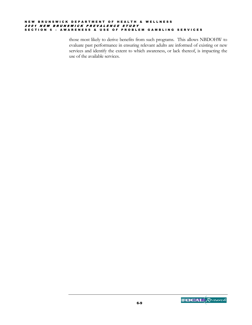those most likely to derive benefits from such programs. This allows NBDOHW to evaluate past performance in ensuring relevant adults are informed of existing or new services and identify the extent to which awareness, or lack thereof, is impacting the use of the available services.

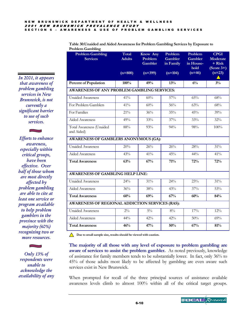**Table 30:Unaided and Aided Awareness for Problem Gambling Services by Exposure to Problem Gambling**

| <b>Problem Gambling</b><br><b>Services</b>         | Total<br><b>Adults</b> | Know Any<br>Problem<br><b>Gambler</b> | Problem<br><b>Gambler</b><br>in Family | Problem<br><b>Gambler</b><br>in House-<br>hold | <b>CPGI</b><br>Moderate<br>$+$ Risk<br>$(Score 3+)$ |
|----------------------------------------------------|------------------------|---------------------------------------|----------------------------------------|------------------------------------------------|-----------------------------------------------------|
|                                                    | $(n=800)$              | $(n=399)$                             | $(n=104)$                              | $(n=46)$                                       | $(n=23)$                                            |
| Percent of Population                              | 100%                   | 49%                                   | 13%                                    | 6%                                             | $3\%$                                               |
| <b>AWARENESS OF ANY PROBLEM GAMBLING SERVICES:</b> |                        |                                       |                                        |                                                |                                                     |
| <b>Unaided Awareness</b>                           | 41%                    | 60%                                   | 57%                                    | 65%                                            | 68%                                                 |
| For Problem Gamblers                               | $41\%$                 | 60%                                   | 56%                                    | 63%                                            | 68%                                                 |
| For Families                                       | $21\%$                 | 36%                                   | 35%                                    | 45%                                            | 39%                                                 |
| <b>Aided Awareness</b>                             | 49%                    | 33%                                   | 37%                                    | 33%                                            | 32%                                                 |
| Total Awareness (Unaided<br>and Aided)             | 88%                    | 93%                                   | 94%                                    | 98%                                            | 100%                                                |
| <b>AWARENESS OF GAMBLERS ANONYMOUS (GA):</b>       |                        |                                       |                                        |                                                |                                                     |
| <b>Unaided Awareness</b>                           | 20%                    | 26%                                   | 26%                                    | 28%                                            | $31\%$                                              |
| <b>Aided Awareness</b>                             | 43%                    | 41%                                   | 45%                                    | 44%                                            | 41%                                                 |
| <b>Total Awareness</b>                             | 63%                    | 67%                                   | 71%                                    | 72%                                            | 72%                                                 |
| <b>AWARENESS OF GAMBLING HELP LINE:</b>            |                        |                                       |                                        |                                                |                                                     |
| <b>Unaided Awareness</b>                           | 24%                    | $31\%$                                | 24%                                    | 23%                                            | 31%                                                 |
| <b>Aided Awareness</b>                             | 36%                    | 38%                                   | 43%                                    | 37%                                            | 53%                                                 |
| <b>Total Awareness</b>                             | $\frac{60\%}{100}$     | 69%                                   | 67%                                    | 60%                                            | 84%                                                 |
| AWARENESS OF REGIONAL ADDICTION SERVICES (RAS):    |                        |                                       |                                        |                                                |                                                     |
| <b>Unaided Awareness</b>                           | $2\%$                  | $5\%$                                 | $8\%$                                  | $17\%$                                         | $12\%$                                              |
| Aided Awareness                                    | 44%                    | 42%                                   | 42%                                    | 50%                                            | 69%                                                 |
| <b>Total Awareness</b>                             | 46%                    | 47%                                   | 50%                                    | 67%                                            | 81%                                                 |

Due to small sample size, results should be viewed with caution.

**The majority of all those with any level of exposure to problem gambling are aware of services to assist the problem gambler.** As noted previously, knowledge of assistance for family members tends to be substantially lower. In fact, only 36% to 45% of those adults most likely to be affected by gambling are even aware such services exist in New Brunswick.

When prompted for recall of the three principal sources of assistance available awareness levels climb to almost 100% within all of the critical target groups.



*Efforts to enhance awareness, especially within critical groups, have been effective. Over half of those whom are most directly affected by problem gambling are able to cite at least one service or program available to help problem gamblers in the province with the majority (60%) recognizing two or more resources.*

*Only 13% of respondents were unable to acknowledge the availability of any*

**Contract Contract** 

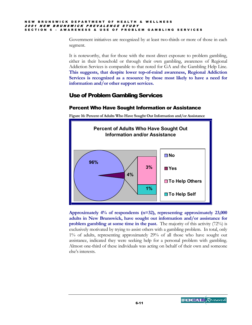Government initiatives are recognized by at least two-thirds or more of those in each segment.

It is noteworthy, that for those with the most direct exposure to problem gambling, either in their household or through their own gambling, awareness of Regional Addiction Services is comparable to that noted for GA and the Gambling Help Line. **This suggests, that despite lower top-of-mind awareness, Regional Addiction Services is recognized as a resource by those most likely to have a need for information and/or other support services.**

# Use of Problem Gambling Services

# Percent Who Have Sought Information or Assistance

**Figure 16: Percent of Adults Who Have Sought Out Information and/or Assistance**



**Approximately 4% of respondents (n=32), representing approximately 23,000 adults in New Brunswick, have sought out information and/or assistance for problem gambling at some time in the past.** The majority of this activity (72%) is exclusively motivated by trying to assist others with a gambling problem. In total, only 1% of adults, representing approximately 29% of all those who have sought out assistance, indicated they were seeking help for a personal problem with gambling. Almost one-third of these individuals was acting on behalf of their own and someone else's interests.

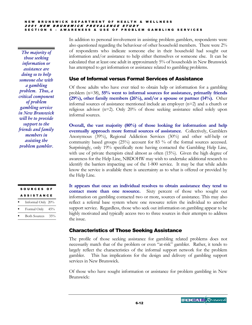*The majority of those seeking information or assistance are doing so to help someone else with a gambling problem. Thus, a critical component of problem gambling service in New Brunswick will be to provide support to the friends and family members in assisting the problem gambler.*

| SOURCES OF          |                   |  |  |  |
|---------------------|-------------------|--|--|--|
| <b>ASSISTANCE</b>   |                   |  |  |  |
|                     | Informal Only 20% |  |  |  |
| Formal Only         | 45%               |  |  |  |
| <b>Both Sources</b> | 35%               |  |  |  |

In addition to personal involvement in assisting problem gamblers, respondents were also questioned regarding the behaviour of other household members. There were 2% of respondents who indicate someone else in their household had sought out information and/or assistance to help either themselves or someone else. It can be calculated that at least one adult in approximately 5% of households in New Brunswick has attempted to get information or assistance related to gambling problems.

# Use of Informal versus Formal Services of Assistance

Of those adults who have ever tried to obtain help or information for a gambling problem (n=38), **55% went to informal sources for assistance, primarily friends (29%), other family members (26%), and/or a spouse or partner (14%).** Other informal sources of assistance mentioned include an employer (n=2) and a church or religious advisor (n=2). Only 20% of those seeking assistance relied solely upon informal sources.

**Overall, the vast majority (80%) of those looking for information and help eventually approach more formal sources of assistance**. Collectively, Gamblers Anonymous (39%), Regional Addiction Services (30%) and other self-help or community based groups (25%) account for 83 % of the formal sources accessed. Surprisingly, only 19% specifically note having contacted the Gambling Help Line, with use of private therapists cited almost as often  $(15%)$ . Given the high degree of awareness for the Help Line, NBDOHW may wish to undertake additional research to identify the barriers impacting use of the 1-800 service. It may be that while adults know the service is available there is uncertainty as to what is offered or provided by the Help Line.

**It appears that once an individual resolves to obtain assistance they tend to contact more than one resource.** Sixty percent of those who sought out information on gambling contacted two or more, sources of assistance. This may also reflect a referral base system where one resource refers the individual to another support service. Regardless, those who seek out information on gambling appear to be highly motivated and typically access two to three sources in their attempts to address the issue.

# Characteristics of Those Seeking Assistance

The profile of those seeking assistance for gambling related problems does not necessarily match that of the problem or even "at-risk" gambler. Rather, it tends to largely reflect the characteristics of the informal support network for the problem gambler. This has implications for the design and delivery of gambling support services in New Brunswick.

Of those who have sought information or assistance for problem gambling in New Brunswick:

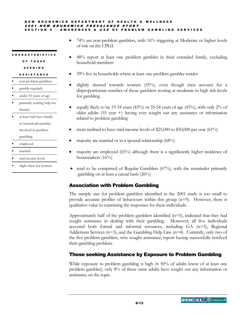• 74% are non-problem gamblers, with 16% triggering at Moderate or higher levels of risk on the CPGI.

CHARACTERISTICS

- OF THOSE
- SEEKING
- **ASSISTANCE**
- non-problem gamblers
- gamble regularly
- under 55 years of age
- primarily seeking help for friends,
- at least half have family or household member involved in problem gambling
- employed
- married
- mid income levels
- slight skew for women
- 48% report at least one problem gambler in their extended family, excluding household members
- 39% live in households where at least one problem gambler resides
- slightly skewed towards women (55%), even though men account for a disproportionate number of those gamblers scoring at moderate to high risk levels for gambling
- equally likely to be 19-34 years  $(43%)$  or 35-54 years of age  $(43%)$ , with only 2% of older adults (55 year +) having ever sought out any assistance or information related to problem gambling
- most inclined to have mid-income levels of \$25,000 to \$50,000 per year (61%)
- majority are married or in a spousal relationship  $(68%)$
- majority are employed (65%) although there is a significantly higher incidence of homemakers (16%)
- tend to be comprised of Regular Gamblers  $(67%)$ , with the remainder primarily gambling on at least a casual basis (26%)

# Association with Problem Gambling

The sample size for problem gamblers identified in the 2001 study is too small to provide accurate profiles of behaviours within this group  $(n=9)$ . However, there is qualitative value in examining the responses for these individuals.

Approximately half of the problem gamblers identified  $(n=5)$ , indicated that they had sought assistance in dealing with their gambling. Moreover, all five individuals accessed both formal and informal resources, including  $GA$   $(n=5)$ , Regional Addictions Services  $(n=3)$ , and the Gambling Help Line  $(n=4)$ . Currently, only two of the five problem gamblers, who sought assistance, report having successfully resolved their gambling problem.

# Those seeking Assistance by Exposure to Problem Gambling

While exposure to problem gambling is high  $(\approx 50\%$  of adults know of at least one problem gambler), only 8% of these same adults have sought out any information or assistance on the topic.

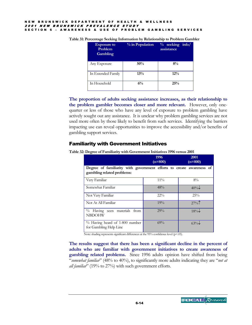| <b>Exposure to</b><br>Problem<br>Gambling | % in Population | % seeking<br>$\frac{\text{info}}{\text{}}$<br>assistance |
|-------------------------------------------|-----------------|----------------------------------------------------------|
| Any Exposure                              | 50%             | 8%                                                       |
| In Extended Family                        | 13%             | $12\%$                                                   |
| In Household                              | 6%              | 25%                                                      |

**Table 31: Percentage Seeking Information by Relationship to Problem Gambler**

**The proportion of adults seeking assistance increases, as their relationship to the problem gambler becomes closer and more relevant.** However, only onequarter or less of those who have any level of exposure to problem gambling have actively sought out any assistance. It is unclear why problem gambling services are not used more often by those likely to benefit from such services. Identifying the barriers impacting use can reveal opportunities to improve the accessibility and/or benefits of gambling support services.

### Familiarity with Government Initiatives

|                                                                                                    | 1996<br>$(n=800)$ | 2001<br>$(n=800)$ |
|----------------------------------------------------------------------------------------------------|-------------------|-------------------|
| Degree of familiarity with government efforts to create awareness of<br>gambling related problems: |                   |                   |
| Very Familiar                                                                                      | $11\%$            | $8\%$             |
| Somewhat Familiar                                                                                  | 48%               | $40\%$            |
| Not Very Familiar                                                                                  | $22\%$            | 25%               |
| Not At All Familiar                                                                                | 19%               | $27\%$            |
| % Having seen materials<br>from<br><b>NBDOHW</b>                                                   | 29%               | $18\%$            |
| % Having heard of 1-800 number<br>for Gambling Help Line                                           | 69%               | $63\%$            |

**Table 32: Degree of Familiarity with Government Initiatives 1996 versus 2001**

Note: shading represents significant differences at the  $95\%$  confidence level (p<.05).

**The results suggest that there has been a significant decline in the percent of adults who are familiar with government initiatives to create awareness of gambling related problems.** Since 1996 adults opinion have shifted from being "*somewhat familiar*" (48% to 40%), to significantly more adults indicating they are "*not at all familiar*" (19% to 27%) with such government efforts.

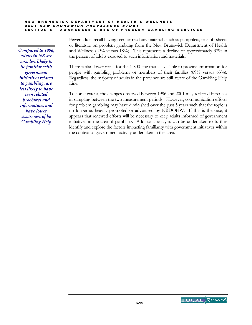#### NEW BRUNSWICK DEPARTMENT OF HEALTH & WELLNESS 2001 NEW BRUNSWICK PREVALENCE STUDY SECTION 6 – AWARENESS & USE OF PROBLEM GAMBLING SERVICES

*Compared to 1996, adults in NB are now less likely to be familiar with government initiatives related to gambling, are less likely to have seen related brochures and information, and have lower awareness of he Gambling Help*

Fewer adults recall having seen or read any materials such as pamphlets, tear-off sheets or literature on problem gambling from the New Brunswick Department of Health and Wellness (29% versus 18%). This represents a decline of approximately 37% in the percent of adults exposed to such information and materials.

There is also lower recall for the 1-800 line that is available to provide information for people with gambling problems or members of their families (69% versus 63%). Regardless, the majority of adults in the province are still aware of the Gambling Help Line.

To some extent, the changes observed between 1996 and 2001 may reflect differences in sampling between the two measurement periods. However, communication efforts for problem gambling may have diminished over the past 5 years such that the topic is no longer as heavily promoted or advertised by NBDOHW. If this is the case, it appears that renewed efforts will be necessary to keep adults informed of government initiatives in the area of gambling. Additional analysis can be undertaken to further identify and explore the factors impacting familiarity with government initiatives within the context of government activity undertaken in this area.

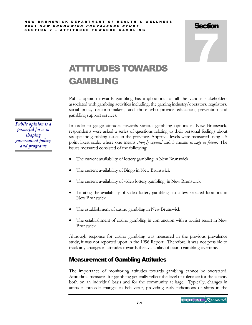#### NEW BRUNSWICK DEPARTMENT OF HEALTH & WELLNESS 2001 NEW BRUNSWICK PREVALENCE STUDY SECTION 7 - ATTITUDES TOWARDS GAMBLING

# **Section** 7

# ATTITUDES TOWARDS GAMBLING

Public opinion towards gambling has implications for all the various stakeholders associated with gambling activities including, the gaming industry/operators, regulators, social policy decision-makers, and those who provide education, prevention and gambling support services.

In order to gauge attitudes towards various gambling options in New Brunswick, respondents were asked a series of questions relating to their personal feelings about six specific gambling issues in the province. Approval levels were measured using a 5 point likert scale, where one means *strongly opposed* and 5 means *strongly in favour.* The issues measured consisted of the following:

- The current availability of lottery gambling in New Brunswick
- The current availability of Bingo in New Brunswick
- The current availability of video lottery gambling in New Brunswick
- Limiting the availability of video lottery gambling to a few selected locations in New Brunswick
- The establishment of casino gambling in New Brunswick
- The establishment of casino gambling in conjunction with a tourist resort in New Brunswick

Although response for casino gambling was measured in the previous prevalence study, it was not reported upon in the 1996 Report. Therefore, it was not possible to track any changes in attitudes towards the availability of casino gambling overtime.

# Measurement of Gambling Attitudes

The importance of monitoring attitudes towards gambling cannot be overstated. Attitudinal measures for gambling generally reflect the level of tolerance for the activity both on an individual basis and for the community at large. Typically, changes in attitudes precede changes in behaviour, providing early indications of shifts in the

*Public opinion is a powerful force in shaping government policy and programs*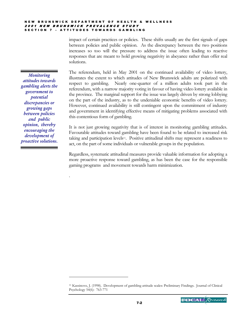#### NEW BRUNSWICK DEPARTMENT OF HEALTH & WELLNESS 2001 NEW BRUNSWICK PREVALENCE STUDY SECTION 7 - ATTITUDES TOWARDS GAMBLING

impact of certain practices or policies. These shifts usually are the first signals of gaps between policies and public opinion. As the discrepancy between the two positions increases so too will the pressure to address the issue often leading to reactive responses that are meant to hold growing negativity in abeyance rather than offer real solutions.

*Monitoring attitudes towards gambling alerts the government to potential discrepancies or growing gaps between policies and public opinion, thereby encouraging the development of proactive solutions.*

.

 $\overline{a}$ 

The referendum, held in May 2001 on the continued availability of video lottery, illustrates the extent to which attitudes of New Brunswick adults are polarized with respect to gambling. Nearly one-quarter of a million adults took part in the referendum, with a narrow majority voting in favour of having video lottery available in the province. The marginal support for the issue was largely driven by strong lobbying on the part of the industry, as to the undeniable economic benefits of video lottery. However, continued availability is still contingent upon the commitment of industry and government in identifying effective means of mitigating problems associated with this contentious form of gambling.

It is not just growing negativity that is of interest in monitoring gambling attitudes. Favourable attitudes toward gambling have been found to be related to increased risk taking and participation levels<sup>11</sup>. Positive attitudinal shifts may represent a readiness to act, on the part of some individuals or vulnerable groups in the population.

Regardless, systematic attitudinal measures provide valuable information for adopting a more proactive response toward gambling, as has been the case for the responsible gaming programs and movement towards harm minimization.

<sup>11</sup> Kassinove, J. (1998). Development of gambling attitude scales: Preliminary Findings. Journal of Clinical Psychology 54(6): 763-771

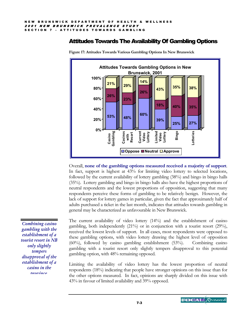# Attitudes Towards The Availability Of Gambling Options



**Figure 17: Attitudes Towards Various Gambling Options In New Brunswick**

Overall, **none of the gambling options measured received a majority of support**. In fact, support is highest at 43% for limiting video lottery to selected locations, followed by the current availability of lottery gambling (38%) and bingo in bingo halls (35%). Lottery gambling and bingo in bingo halls also have the highest proportions of neutral respondents and the lowest proportions of opposition, suggesting that many respondents perceive these forms of gambling to be relatively benign. However, the lack of support for lottery games in particular, given the fact that approximately half of adults purchased a ticket in the last month, indicates that attitudes towards gambling in general may be characterized as unfavourable in New Brunswick.

The current availability of video lottery (14%) and the establishment of casino gambling, both independently (21%) or in conjunction with a tourist resort (29%), received the lowest levels of support. In all cases, most respondents were opposed to these gambling options, with video lottery drawing the highest level of opposition (60%), followed by casino gambling establishment (53%). Combining casino gambling with a tourist resort only slightly tempers disapproval to this potential gambling option, with 48% remaining opposed.

Limiting the availability of video lottery has the lowest proportion of neutral respondents (18%) indicating that people have stronger opinions on this issue than for the other options measured. In fact, opinions are sharply divided on this issue with 43% in favour of limited availability and 39% opposed.

*Combining casino gambling with the establishment of a tourist resort in NB only slightly tempers disapproval of the establishment of a casino in the province*

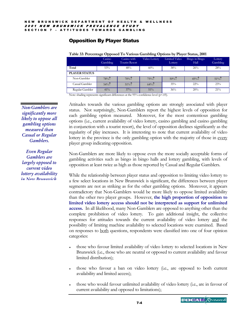#### NEW BRUNSWICK DEPARTMENT OF HEALTH & WELLNESS 2001 NEW BRUNSWICK PREVALENCE STUDY SECTION 7 - ATTITUDES TOWARDS GAMBLING

# Opposition By Player Status

| Table 33: Percentage Opposed To Various Gambling Options by Player Status, 2001 |                    |                                      |               |                                 |                               |                     |
|---------------------------------------------------------------------------------|--------------------|--------------------------------------|---------------|---------------------------------|-------------------------------|---------------------|
|                                                                                 | Casino<br>Gambling | Casino with<br><b>Tourist Resort</b> | Video Lottery | <b>Limited Video</b><br>Lottery | Bingo in Bingo<br><b>Hall</b> | Lottery<br>Gambling |
| Total                                                                           | 53%                | 48%                                  | 60%           | 38%                             | 26%                           | 28%                 |
| <b>PLAYER STATUS</b>                                                            |                    |                                      |               |                                 |                               |                     |
| Non-Gambler                                                                     | $78\%$             | $70\%$                               | $75\%$        | $50\%$                          | $45\%$                        | $51\%$              |
| Casual Gambler                                                                  | $54\%$             | $51\%$                               | $64\%$        | 35%                             | 22%                           | 23%                 |
| Regular Gambler                                                                 | $41\%$             | 37%                                  | 51%           | 36%                             | 20%                           | 21%                 |

#### **Table 33**: **Percentage Opposed To Various Gambling Options by Player Status, 2001**

Note: shading represents significant differences at the  $95%$  confidence level (p<.05).

Attitudes towards the various gambling options are strongly associated with player status. Not surprisingly, Non-Gamblers report the highest levels of opposition for each gambling option measured. Moreover, for the most contentious gambling options (i.e., current availability of video lottery, casino gambling and casino gambling in conjunction with a tourist resort), the level of opposition declines significantly as the regularity of play increases. It is interesting to note that current availability of video lottery in the province is the only gambling option with the majority of those in every player group indicating opposition.

Non-Gamblers are more likely to oppose even the more socially acceptable forms of gambling activities such as bingo in bingo halls and lottery gambling, with levels of opposition at least twice as high as those reported by Casual and Regular Gamblers.

While the relationship between player status and opposition to limiting video lottery to a few select locations in New Brunswick is significant, the differences between player segments are not as striking as for the other gambling options. Moreover, it appears contradictory that Non-Gamblers would be more likely to oppose limited availability than the other two player groups. However, **the high proportion of opposition to limited video lottery access should not be interpreted as support for unlimited access.** In all likelihood, many Non-Gamblers are opposed to anything other than the complete prohibition of video lottery. To gain additional insight, the collective responses for attitudes towards the current availability of video lottery and the possibility of limiting machine availability to selected locations were examined. Based on responses to both questions, respondents were classified into one of four opinion categories:

- those who favour limited availability of video lottery to selected locations in New Brunswick (i.e., those who are neutral or opposed to current availability and favour limited distribution);
- those who favour a ban on video lottery (i.e., are opposed to both current availability and limited access);
- those who would favour unlimited availability of video lottery (i.e., are in favour of current availability and opposed to limitations);

*Non-Gamblers are significantly more likely to oppose all gambling options measured than Casual or Regular Gamblers.*

*Even Regular Gamblers are largely opposed to current video lottery availability in New Brunswick*

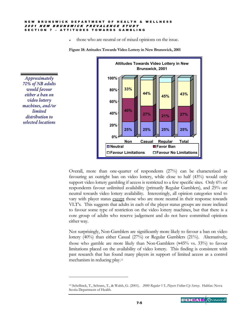#### NEW BRUNSWICK DEPARTMENT OF HEALTH & WELLNESS 2001 NEW BRUNSWICK PREVALENCE STUDY SECTION 7 - ATTITUDES TOWARDS GAMBLING

those who are neutral or of mixed opinions on the issue.

**25% 40% 33% 25% 27% 44% 25% 21% 45% 25% 27% 43% 0% 20% 40% 60% 80% 100% Non Casual Regular Total Attitudes Towards Video Lottery in New Brunswick, 2001 Neutral Favor Ban Favour Limitations Favour No Limitations**

**Figure 18: Attitudes Towards Video Lottery in New Brunswick, 2001**

*Approximately 70% of NB adults would favour either a ban on video lottery machines, and/or limited distribution to selected locations*

 $\overline{a}$ 

Overall, more than one-quarter of respondents (27%) can be characterized as favouring an outright ban on video lottery, while close to half (43%) would only support video lottery gambling if access is restricted to a few specific sites. Only 6% of respondents favour unlimited availability (primarily Regular Gamblers), and 25% are neutral towards video lottery availability. Interestingly, all opinion categories tend to vary with player status except those who are more neutral in their response towards VLT's. This suggests that adults in each of the player status groups are more inclined to favour some type of restriction on the video lottery machines, but that there is a core group of adults who reserve judgement and do not have committed opinions either way.

Not surprisingly, Non-Gamblers are significantly more likely to favour a ban on video lottery (40%) than either Casual (27%) or Regular Gamblers (21%). Alternatively, those who gamble are more likely than Non-Gamblers ( $\approx$ 45% vs. 33%) to favour limitations placed on the availability of video lottery. This finding is consistent with past research that has found many players in support of limited access as a control mechanism in reducing play.12

<sup>12</sup> Schellinck, T., Schrans, T., & Walsh, G. (2001). *2000 Regular VL Players Follow-Up Survey*. Halifax: Nova Scotia Department of Health.

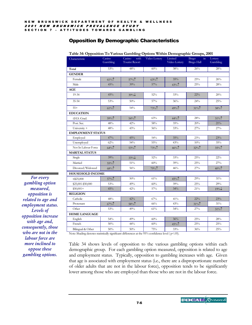# Opposition By Demographic Characteristics

| Lable 54: Opposition To Various Gambling Options within Demographic Groups, 2001<br>Characteristic | Casino<br>Gambling | Casino<br>with<br><b>Tourist Resort</b> | Video Lottery | Limited<br>Video Lottery | Bingo<br>in.<br>Bingo Hall | Lottery<br>Gambling |
|----------------------------------------------------------------------------------------------------|--------------------|-----------------------------------------|---------------|--------------------------|----------------------------|---------------------|
| Total                                                                                              | 53%                | 48%                                     | 60%           | 38%                      | 26%                        | 28%                 |
| <b>GENDER</b>                                                                                      |                    |                                         |               |                          |                            |                     |
| Female                                                                                             | $61\%$             | 57%1                                    | $63\%$        | 35%                      | 25%                        | 26%                 |
| Male                                                                                               | 45%                | 39%                                     | 57%           | $43\%$                   | 25%                        | 28%                 |
| AGE                                                                                                |                    |                                         |               |                          |                            |                     |
| 19-34                                                                                              | 45%                | $39\%$                                  | $52\%$        | 33%                      | $22\%$                     | 20%                 |
| $35 - 54$                                                                                          | 53%                | 50%                                     | 57%           | 36%                      | 24%                        | 25%                 |
| $55+$                                                                                              | $61\%$             | 54%                                     | 73%1          | 49%1                     | $31\%$                     | 38%1                |
| <b>EDUCATION</b>                                                                                   |                    |                                         |               |                          |                            |                     |
| $\leq$ H.S. Grad.                                                                                  | 59%1               | 54%1                                    | 63%           | 44%1                     | 28%                        | $31\%$              |
| Post. Sec.                                                                                         | 48%                | 42%                                     | 58%           | 35%                      | 20%                        | 21%                 |
| University +                                                                                       | 48%                | 43%                                     | $56\%$        | 33%                      | 27%                        | 27%                 |
| <b>EMPLOYMENT STATUS</b>                                                                           |                    |                                         |               |                          |                            |                     |
| Employed                                                                                           | 47%                | 45%                                     | 54%           | 35%                      | 23%                        | 23%                 |
| Unemployed                                                                                         | 62%                | $54\%$                                  | $55\%$        | 43%                      | 10%                        | 35%                 |
| Not In Labour Force                                                                                | $64\%$             | $53\%$                                  | $73\%$        | 46%                      | $32\%$                     | $35\%$              |
| <b>MARITAL STATUS</b>                                                                              |                    |                                         |               |                          |                            |                     |
| Single                                                                                             | 39%                | $33\%$                                  | 52%           | 33%                      | 25%                        | $22\%$              |
| Married                                                                                            | 55%个               | 51%                                     | 60%           | 39%                      | 25%                        | 27%                 |
| Divorced/Widowed                                                                                   | 68%1               | 56%                                     | 79%1          | 46%                      | 27%                        | 40%1                |
| HOUSEHOLD INCOME                                                                                   |                    |                                         |               |                          |                            |                     |
| $\leq$ \$25,000                                                                                    | 57%1               | 50%                                     | 61%           | 45%↑                     | 29%                        | $31\%$              |
| \$25,001-\$50,000                                                                                  | 53%                | 49%                                     | 60%           | 39%                      | 25%                        | 29%                 |
| $$50,001+$                                                                                         | 45%                | 42%                                     | 57%           | 34%                      | 21%                        | $19\%$              |
| <b>RELIGION</b>                                                                                    |                    |                                         |               |                          |                            |                     |
| Catholic                                                                                           | 48%                | 42%                                     | $67\%$        | 41%                      | $22\%$                     | 23%                 |
| Protestant                                                                                         | 67%                | 58%1                                    | 66%           | 43%                      | $31\%$                     | 31%                 |
| Other                                                                                              | 53%                | 49%                                     | 61%           | 34%                      | 27%                        | $31\%$              |
| <b>HOME LANGUAGE</b>                                                                               |                    |                                         |               |                          |                            |                     |
| English                                                                                            | 54%                | 49%                                     | 60%           | 36%                      | 25%                        | 28%                 |
| French                                                                                             | 50%                | 44%                                     | 60%           | 45%↑                     | 25%                        | 25%                 |
| Bilingual & Other                                                                                  | 50%                | 50%                                     | 75%           | 33%                      | 36%                        | 25%                 |

**Table 34: Opposition To Various Gambling Options Within Demographic Groups, 2001**

Note: Shading denotes statistically significant differences at the 95% confidence level ( $p$ <.05).

Table 34 shows levels of opposition to the various gambling options within each demographic group. For each gambling option measured, opposition is related to age and employment status. Typically, opposition to gambling increases with age. Given that age is associated with employment status (i.e., there are a disproportionate number of older adults that are not in the labour force), opposition tends to be significantly lower among those who are employed than those who are not in the labour force.

*For every gambling option measured, opposition is related to age and employment status. Levels of opposition increase with age and, consequently, those who are not in the labour force are more inclined to oppose these gambling options.*

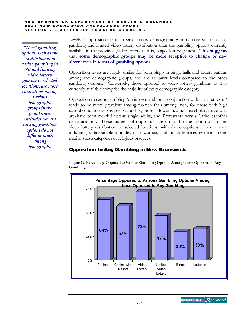#### NEW BRUNSWICK DEPARTMENT OF HEALTH & WELLNESS BRUNSWICK PREVALENCE STUDY CTION 7 - ATTITUDES TOWARDS GAMBLING

*"New" gambling options, such as the establishment of casino gambling in NB and limiting video lottery gaming to selected locations, are more contentious among various demographic groups in the population. Attitudes toward existing gambling options do not differ as much among demographic*

Levels of opposition tend to vary among demographic groups more so for casino gambling and limited video lottery distribution than the gambling options currently available in the province (video lottery as it is, bingo, lottery games). **This suggests that some demographic groups may be more receptive to change or new alternatives in terms of gambling options.**

Opposition levels are highly similar for both bingo in bingo halls and lottery gaming among the demographic groups, and are at lower levels compared to the other gambling options. Conversely, those opposed to video lottery gambling as it is currently available comprise the majority of every demographic category.

Opposition to casino gambling (on its own and/or in conjunction with a tourist resort) tends to be more prevalent among women than among men, for those with high school education versus post secondary, those in lower income households, those who are/have been married versus single adults, and Protestants versus Catholics/other denominations. These patterns of opposition are similar for the option of limiting video lottery distribution to selected locations, with the exceptions of more men indicating unfavourable attitudes than women, and no differences evident among marital status categories or religious practices.

# Opposition to Any Gambling in New Brunswick

**Figure 19: Percentage Opposed to Various Gambling Options Among those Opposed to Any Gambling**



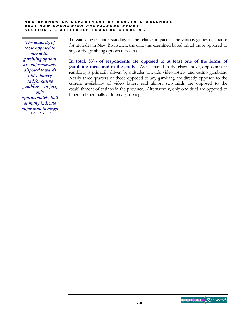#### NEW BRUNSWICK DEPARTMENT OF HEALTH & WELLNESS 2001 NEW BRUNSWICK PREVALENCE STUDY SECTION 7 - ATTITUDES TOWARDS GAMBLING

*The majority of those opposed to any of the gambling options are unfavourably disposed towards video lottery and/or casino gambling. In fact, only approximately half as many indicate opposition to bingo and/or lotteries*

To gain a better understanding of the relative impact of the various games of chance for attitudes in New Brunswick, the data was examined based on all those opposed to any of the gambling options measured.

**In total, 83% of respondents are opposed to at least one of the forms of gambling measured in the study.** As illustrated in the chart above, opposition to gambling is primarily driven by attitudes towards video lottery and casino gambling. Nearly three-quarters of those opposed to any gambling are directly opposed to the current availability of video lottery and almost two-thirds are opposed to the establishment of casinos in the province. Alternatively, only one-third are opposed to bingo in bingo halls or lottery gambling.

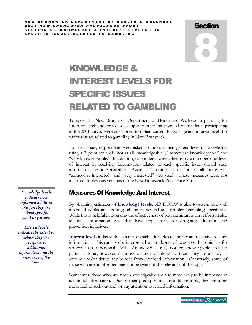# **Section** 8

# KNOWLEDGE & INTEREST LEVELS FOR SPECIFIC ISSUES RELATED TO GAMBLING

To assist the New Brunswick Department of Health and Wellness in planning for future research and/or to use as input to other initiatives, all respondents participating in the 2001 survey were questioned to obtain current knowledge and interest levels for various issues related to gambling in New Brunswick.

For each issue, respondents were asked to indicate their general level of knowledge, using a 3-point scale of "not at all knowledgeable", "somewhat knowledgeable" and "very knowledgeable." In addition, respondents were asked to rate their personal level of interest in receiving information related to each specific issue should such information become available. Again, a 3-point scale of "not at all interested", "somewhat interested" and "very interested" was used. These measures were not included in previous versions of the New Brunswick Prevalence Study.

# Measures Of Knowledge And Interest

By obtaining estimates of **knowledge levels**, NB DOHW is able to assess how well informed adults are about gambling in general and problem gambling specifically. While this is helpful in assessing the effectiveness of past communication efforts, it also identifies information gaps that have implications for on-going education and prevention initiatives.

**Interest levels** indicate the extent to which adults desire and/or are receptive to such information. This can also be interpreted as the degree of relevance the topic has for someone on a personal level. An individual may not be knowlegeable about a particular topic, however, if the issue is not of interest to them, they are unlikely to acquire and/or derive any benefit from provided information. Conversely, some of those who are uninformed may not be aware of the relevance of the topic.

Sometimes, those who are most knowledgeable are also most likely to be interested in additional information. Due to their predisposition towards the topic, they are more motivated to seek out and/or pay attention to related information.

*Knowledge levels indicate how informed adults in NB feel they are about specific gambling issues.*

*Interest levels indicate the extent to which they are receptive to additional information and the relevance of the topic.*

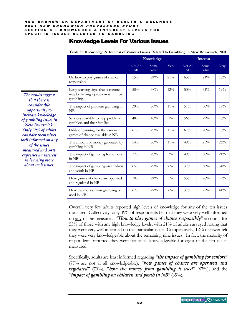# Knowledge Levels For Various Issues

|                                                                                    |               | Knowledge     |        |               | <b>Interest</b> |      |
|------------------------------------------------------------------------------------|---------------|---------------|--------|---------------|-----------------|------|
|                                                                                    | Not At<br>All | Some-<br>what | Very   | Not At<br>All | Some-<br>what   | Very |
| On how to play games of chance<br>responsibly                                      | $55\%$        | 24%           | 21%    | 63%           | $21\%$          | 15%  |
| Early warning signs that someone<br>may be having a problem with their<br>gambling | 50%           | 38%           | 12%    | 50%           | 31%             | 19%  |
| The impact of problem gambling in<br>NB                                            | 39%           | 50%           | $11\%$ | 51%           | 30%             | 19%  |
| Services available to help problem<br>gamblers and their families                  | 48%           | 46%           | $7\%$  | 56%           | 29%             | 15%  |
| Odds of winning for the various<br>games of chance available in NB                 | 61%           | 28%           | $11\%$ | 67%           | 20%             | 13%  |
| The amount of money generated by<br>gambling in NB                                 | 54%           | 35%           | $11\%$ | 49%           | 25%             | 26%  |
| The impact of gambling for seniors<br>in NB                                        | $77\%$        | 20%           | $3\%$  | 49%           | 30%             | 21%  |
| The impact of gambling on children<br>and youth in NB                              | 65%           | 29%           | $6\%$  | 37%           | 30%             | 34%  |
| How games of chance are operated<br>and regulated in NB                            | 70%           | 24%           | $5\%$  | 55%           | 26%             | 19%  |
| How the money from gambling is<br>used in NB                                       | 67%           | 27%           | $6\%$  | 37%           | $22\%$          | 41%  |

**Table 35**: **Knowledge & Interest of Various Issues Related to Gambling in New Brunswick, 2001**

Overall, very few adults reported high levels of knowledge for any of the ten issues measured. Collectively, only 39% of respondents felt that they were very well informed on any of the measures. *"How to play games of chance responsibly"* accounts for 55% of those with any high knowledge levels, with 21% of adults surveyed noting that they were very well informed on this particular issue. Comparatively, 12% or fewer felt they were very knowledgeable about the remaining nine issues. In fact, the majority of respondents reported they were not at all knowledgeable for eight of the ten issues measured.

Specifically, adults are least informed regarding *"the impact of gambling for seniors"* (77% are not at all knowledgeable), *"how games of chance are operated and regulated"* (70%), *"how the money from gambling is used"* (67%), and the *"impact of gambling on children and youth in NB"* (65%).

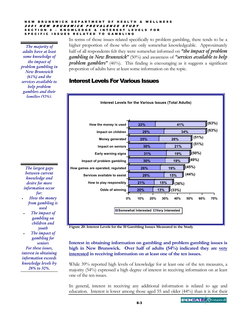*The majority of adults have at least some knowledge of the impact of problem gambling in New Brunswick (61%) and the services available to help problem gamblers and their families (52%).*

*between current knowledge and desire for more information occur for:* • *How the money from gambling is used* • *The impact of gambling on children and youth* • *The impact of gambling for seniors For these issues, interest in obtaining information exceeds knowledge levels by 28% to 30%.*

*The largest gaps*

In terms of those issues related specifically to problem gambling, there tends to be a higher proportion of those who are only somewhat knowledgeable. Approximately half of all respondents felt they were somewhat informed on *"the impact of problem gambling in New Brunswick"* (50%) and awareness of *"services available to help* **problem gamblers**" (46%). This finding is encouraging as it suggests a significant proportion of adults have at least some information on the topic.

# Interest Levels For Various Issues



**Figure 20: Interest Levels for the 10 Gambling Issues Measured in the Study**

**Interest in obtaining information on gambling and problem gambling issues is high in New Brunswick. Over half of adults (54%) indicated they are very interested in receiving information on at least one of the ten issues.**

While 39% reported high levels of knowledge for at least one of the ten measures, a majority (54%) expressed a high degree of interest in receiving information on at least one of the ten issues.

In general, interest in receiving any additional information is related to age and education. Interest is lower among those aged 55 and older (44%) than it is for their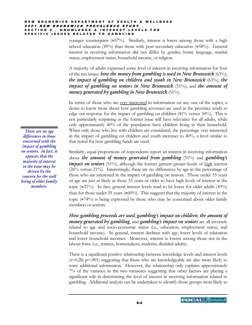younger counterparts (≈57%). Similarly, interest is lower among those with a high school education (49%) than those with post secondary education ( $\approx 58\%$ ). General interest in receiving information did not differ by gender, home language, marital status, employment status, household income, or religion.

A majority of adults expressed some level of interest in receiving information for four of the ten issues: *how the money from gambling is used in New Brunswick* (63%); *the impact of gambling on children and youth in New Brunswick* (63%); *the impact of gambling on seniors in New Brunswick* (51%); and *the amount of money generated by gambling in New Brunswick* (51%).

In terms of those who are very interested in information on any one of the topics, a desire to know more about how gambling revenues are used in the province tends to edge out response for the impact of gambling on children (41% versus 34%). This is not particularly surprising as the former issue will have relevance for all adults, while only approximately 40% of the population have children living in their household. When only those who live with children are considered, the percentage very interested in the impact of gambling on children and youth increases to 40%, a level similar to that noted for how gambling funds are used.

Similarly, equal proportions of respondents report an interest in receiving information about *the amount of money generated from gambling* (51%) and *gambling's impact on seniors* (51%), although the former garners greater levels of high interest (26% versus 21%). Interestingly, there are no differences by age in the percentage of those who are interested in the impact of gambling on seniors. Those under 55 years of age are just as likely as those 55 years or older to have high levels of interest in the topic ( $\approx$ 21%). In fact, general interest levels tend to be lower for older adults (43%) than for those under 35 years ( $\approx 60\%$ ). This suggests that the majority of interest in the topic  $(\approx 74\%)$  is being expressed by those who may be concerned about older family members or seniors.

*How gambling proceeds are used*, *gambling's impact on children*, *the amount of money generated by gambling*, and *gambling's impact on seniors* are all inversely related to age and socio-economic status (i.e., education, employment status, and household income). In general, interest declines with age, lower levels of education and lower household incomes. Moreover, interest is lowest among those not in the labour force (i.e., retirees, homemakers, students, disabled adults).

There is a significant positive relationship between knowledge levels and interest levels  $(r=0.28; p<.001)$  suggesting that those who are knowledgeable are also more likely to want additional information. However, the relationship only explains approximately 7% of the variance in the two measures suggesting that other factors are playing a significant role in determining the level of interest in receiving information related to gambling. Additional analysis can be undertaken to identify those groups most likely to

*There are no age differences in those concerned with the impact of gambling on seniors. In fact, it appears that the majority of interest in the issue may be driven by the concern for the well being of older family members.*

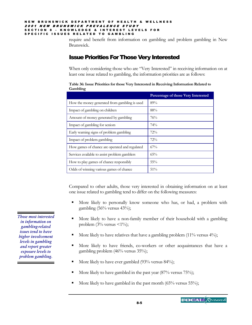require and benefit from information on gambling and problem gambling in New Brunswick.

# Issue Priorities For Those Very Interested

When only considering those who are "Very Interested" in receiving information on at least one issue related to gambling, the information priorities are as follows:

| Table 36: Issue Priorities for those Very Interested in Receiving Information Related to |  |  |
|------------------------------------------------------------------------------------------|--|--|
| Gambling                                                                                 |  |  |

| Percentage of those Very Interested |
|-------------------------------------|
| 89%                                 |
| 88%                                 |
| 76%                                 |
| 74%                                 |
| 72%                                 |
| 72%                                 |
| 67%                                 |
| 65%                                 |
| $55\%$                              |
| 51%                                 |
|                                     |

Compared to other adults, those very interested in obtaining information on at least one issue related to gambling tend to differ on the following measures:

- More likely to personally know someone who has, or had, a problem with gambling  $(56\%$  versus  $43\%$ ;
- More likely to have a non-family member of their household with a gambling problem  $(3\%$  versus  $\leq 1\%$ ;
- More likely to have relatives that have a gambling problem  $(11\% \text{ versus } 4\%);$
- More likely to have friends, co-workers or other acquaintances that have a gambling problem (46% versus 35%);
- More likely to have ever gambled (93% versus 84%);
- More likely to have gambled in the past year (87% versus 75%);
- More likely to have gambled in the past month (65% versus 55%);

*Those most interested in information on gambling-related issues tend to have higher involvement levels in gambling and report greater exposure levels to problem gambling.*

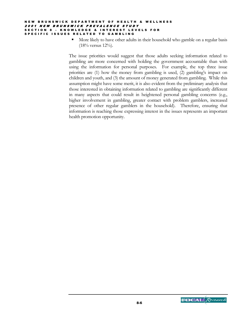More likely to have other adults in their household who gamble on a regular basis (18% versus 12%).

The issue priorities would suggest that those adults seeking information related to gambling are more concerned with holding the government accountable than with using the information for personal purposes. For example, the top three issue priorities are (1) how the money from gambling is used, (2) gambling's impact on children and youth, and (3) the amount of money generated from gambling. While this assumption might have some merit, it is also evident from the preliminary analysis that those interested in obtaining information related to gambling are significantly different in many aspects that could result in heightened personal gambling concerns (e.g., higher involvement in gambling, greater contact with problem gamblers, increased presence of other regular gamblers in the household). Therefore, ensuring that information is reaching those expressing interest in the issues represents an important health promotion opportunity.

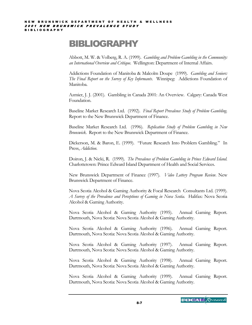# BIBLIOGRAPHY

Abbott, M. W. & Volberg, R. A. (1999). *Gambling and Problem Gambling in the Community: an International Overview and Critique*. Wellington: Department of Internal Affairs.

Addictions Foundation of Manitoba & Malcolm Doupe (1999). *Gambling and Seniors: The Final Report on the Survey of Key Informants*. Winnipeg: Addictions Foundation of Manitoba.

Azmier, J. J. (2001). Gambling in Canada 2001: An Overview. Calgary: Canada West Foundation.

Baseline Market Research Ltd. (1992). *Final Report Prevalence Study of Problem Gambling*. Report to the New Brunswick Department of Finance.

Baseline Market Research Ltd. (1996). *Replication Study of Problem Gambling in New Brunswick*. Report to the New Brunswick Department of Finance.

Dickerson, M. & Baron, E. (1999). "Future Research Into Problem Gambling." In Press, *Addiction*.

Doiron, J. & Nicki, R. (1999). *The Prevalence of Problem Gambling in Prince Edward Island*. Charlottetown: Prince Edward Island Department of Health and Social Services.

New Brunswick Department of Finance (1997). *Video Lottery Program Review*. New Brunswick Department of Finance.

Nova Scotia Alcohol & Gaming Authority & Focal Research Consultants Ltd. (1999). *A Survey of the Prevalence and Perceptions of Gaming in Nova Scotia*. Halifax: Nova Scotia Alcohol & Gaming Authority.

Nova Scotia Alcohol & Gaming Authority (1995). Annual Gaming Report. Dartmouth, Nova Scotia: Nova Scotia Alcohol & Gaming Authority.

Nova Scotia Alcohol & Gaming Authority (1996). Annual Gaming Report. Dartmouth, Nova Scotia: Nova Scotia Alcohol & Gaming Authority.

Nova Scotia Alcohol & Gaming Authority (1997). Annual Gaming Report. Dartmouth, Nova Scotia: Nova Scotia Alcohol & Gaming Authority.

Nova Scotia Alcohol & Gaming Authority (1998). Annual Gaming Report. Dartmouth, Nova Scotia: Nova Scotia Alcohol & Gaming Authority.

Nova Scotia Alcohol & Gaming Authority (1999). Annual Gaming Report. Dartmouth, Nova Scotia: Nova Scotia Alcohol & Gaming Authority.

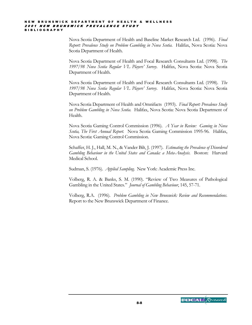#### NEW BRUNSWICK DEPARTMENT OF HEALTH & WELLNESS 2001 NEW BRUNSWICK PREVALENCE STUDY BIBLIOGRAPHY

Nova Scotia Department of Health and Baseline Market Research Ltd. (1996). *Final Report: Prevalence Study on Problem Gambling in Nova Scotia*. Halifax, Nova Scotia: Nova Scotia Department of Health.

Nova Scotia Department of Health and Focal Research Consultants Ltd. (1998). *The 1997/98 Nova Scotia Regular VL Players' Survey*. Halifax, Nova Scotia: Nova Scotia Department of Health.

Nova Scotia Department of Health and Focal Research Consultants Ltd. (1998). *The 1997/98 Nova Scotia Regular VL Players' Survey*. Halifax, Nova Scotia: Nova Scotia Department of Health.

Nova Scotia Department of Health and Omnifacts (1993). *Final Report: Prevalence Study on Problem Gambling in Nova Scotia*. Halifax, Nova Scotia: Nova Scotia Department of Health.

Nova Scotia Gaming Control Commission (1996). *A Year in Review: Gaming in Nova Scotia, The First Annual Report.* Nova Scotia Gaming Commission 1995-96. Halifax, Nova Scotia: Gaming Control Commission.

Schaffer, H. J., Hall, M. N., & Vander Bilt, J. (1997). *Estimating the Prevalence of Disordered Gambling Behaviour in the United States and Canada: a Meta-Analysis*. Boston: Harvard Medical School.

Sudman, S. (1976). *Applied Sampling*. New York: Academic Press Inc.

Volberg, R. A. & Banks, S. M. (1990). "Review of Two Measures of Pathological Gambling in the United States." *Journal of Gambling Behaviour*, 145, 57-71.

Volberg, R.A. (1996). *Problem Gambling in New Brunswick: Review and Recommendations*. Report to the New Brunswick Department of Finance.

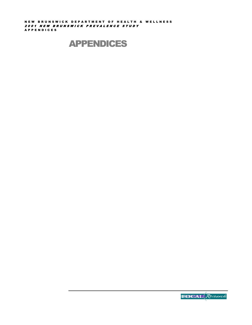NEW BRUNSWICK DEPARTMENT OF HEALTH & WELLNESS 2001 NEW BRUNSWICK PREVALENCE STUDY APPENDICES



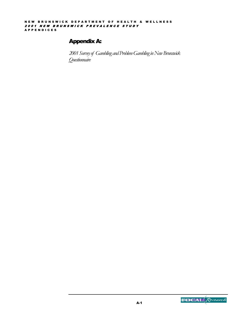NEW BRUNSWICK DEPARTMENT OF HEALTH & WELLNESS 2001 NEW BRUNSWICK PREVALENCE STUDY APPENDICES

# Appendix A:

*2001 Survey of Gambling and Problem Gambling in New Brunswick Questionnaire*

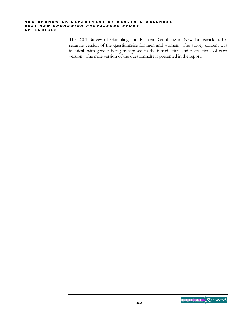#### NEW BRUNSWICK DEPARTMENT OF HEALTH & WELLNESS 2001 NEW BRUNSWICK PREVALENCE STUDY APPENDICES

The 2001 Survey of Gambling and Problem Gambling in New Brunswick had a separate version of the questionnaire for men and women. The survey content was identical, with gender being transposed in the introduction and instructions of each version. The male version of the questionnaire is presented in the report.

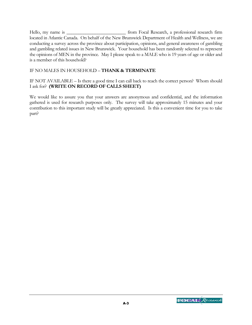Hello, my name is \_\_\_\_\_\_\_\_\_\_\_\_\_\_\_\_\_\_\_\_\_\_\_\_\_\_\_\_\_\_ from Focal Research, a professional research firm located in Atlantic Canada. On behalf of the New Brunswick Department of Health and Wellness, we are conducting a survey across the province about participation, opinions, and general awareness of gambling and gambling related issues in New Brunswick. Your household has been randomly selected to represent the opinions of MEN in the province. May I please speak to a MALE who is 19 years of age or older and is a member of this household?

# IF NO MALES IN HOUSEHOLD – **THANK & TERMINATE**

# IF NOT AVAILABLE – Is there a good time I can call back to reach the correct person? Whom should I ask for? **(WRITE ON RECORD OF CALLS SHEET)**

We would like to assure you that your answers are anonymous and confidential, and the information gathered is used for research purposes only. The survey will take approximately 15 minutes and your contribution to this important study will be greatly appreciated. Is this a convenient time for you to take part?

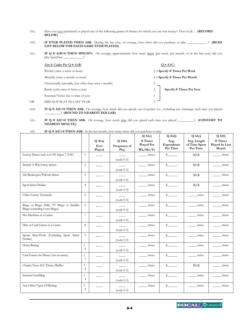- A1a. Have you ever purchased or played any of the following games of chance for which you can win money? First of all… **(RECORD BELOW)**
- A1b. **IF EVER PLAYED THEN ASK:** During the last year, on average, how often did you purchase or play \_\_\_\_\_\_\_\_\_\_\_\_ ? **(READ LIST BELOW FOR EACH GAME EVER PLAYED)**
- A1c. **IF Q # A1B>0 THEN SPECIFY:** On average, approximately how many times (per week, per month, or in the last year) did you play/purchase \_\_\_\_\_\_\_\_\_\_\_\_?

|    | List & Codes For $Q \# A1B$ :                         | $Q \# A1C$ :                    |  |
|----|-------------------------------------------------------|---------------------------------|--|
|    | Weekly (once a week or more)                          | $5 -$ Specify # Times Per Week  |  |
|    | Monthly (once a month or more)                        | $4 -$ Specify # Times Per Month |  |
|    | Occasionally (sporadic, less often than once a month) | 3                               |  |
|    | Rarely (only once or twice a year)                    | - Specify # Times Per Year<br>2 |  |
|    | Seasonal/Varies due to time of year                   |                                 |  |
| ОR | DID NOT PLAY IN LAST YEAR                             | $\Omega$                        |  |

A1d. **IF Q # A1C>0 THEN ASK:** On average, how much did you spend, out of pocket (i.e., excluding any winnings) each time you played \_\_\_\_\_\_\_\_\_\_? **(ROUND TO NEAREST DOLLAR)**

A1e. **IF Q # A1C>0 THEN ASK:** On average, how much time did you spend each time you played \_\_\_\_\_\_\_? **(CONVERT TO NEAREST MINUTE)**

|                                                                              |                                |                                         |                                               | Q A1c)                              | $Q$ A1d)                        | $Q$ A <sub>1</sub> e $)$                 | $Q$ A1f)                             |
|------------------------------------------------------------------------------|--------------------------------|-----------------------------------------|-----------------------------------------------|-------------------------------------|---------------------------------|------------------------------------------|--------------------------------------|
|                                                                              |                                | $Q$ A <sub>1</sub> a)<br>Ever<br>Played | $Q$ A <sub>1</sub> b)<br>Frequency of<br>Play | $#$ Times<br>Played Per<br>Wk/Mo/Yr | Avg.<br>Expenditure<br>Per Time | Avg. Length<br>of Time Spent<br>Per Time | $#$ Times<br>Played In Last<br>Month |
| Lottery Draws such as 6/49, Super 7, TAG                                     | $\mathbf{1}$                   |                                         | $(code 0-5)$                                  | times                               | $\sim$                          | N/A                                      | times                                |
| Scratch 'n Win lottery tickets                                               | $\overline{c}$                 |                                         | $(code 0-5)$                                  | times                               | s                               | N/A                                      | times                                |
| 50¢ Breakopen/Pull-tab tickets                                               | 3                              |                                         | $(code 0-5)$                                  | times                               | $\mathbb{S}$                    | N/A                                      | times                                |
| Sport Select Proline                                                         | $\overline{4}$                 |                                         | $(code 0-5)$                                  | times                               | $\sim$                          | N/A                                      | times                                |
| Video Lottery Terminals                                                      | 5                              |                                         | $(code 0-5)$                                  | times                               | $\sim$                          | mins.                                    | times                                |
| Bingo in Bingo Halls, TV Bingo or Satellite<br>Bingo (excluding Lotto Bingo) | 6                              |                                         | $(code 0-5)$                                  | times                               | $\sim$                          | mins.                                    | times                                |
| Slot Machines at a Casino                                                    | 7                              |                                         | $(code 0-5)$                                  | times                               | $\mathbb{S}$                    | mins.                                    | times                                |
| Dice or Card Games at a Casino                                               | 8                              |                                         | $(code 0-5)$                                  | times                               | $\sim$                          | mins.                                    | times                                |
| Sports Bets/Pools (Excluding Sport Select<br>Proline)                        | 9                              |                                         | $(code 0-5)$                                  | times                               | $\mathbb{S}$                    | mins.                                    | times                                |
| Horse Racing                                                                 | $\mathbf{1}$<br>$\theta$       |                                         | $(code 0-5)$                                  | times                               | $\mathbb{S}$                    | mins.                                    | times                                |
| Card Games for Money (not at casino)                                         | $\mathbf{1}$<br>$\mathbf{1}$   |                                         | $(code 0-5)$                                  | times                               | s                               | mins.                                    | times                                |
| Charity/Non-ALC Draws/Raffles                                                | $\mathbf{1}$<br>$\overline{2}$ |                                         | $(code 0-5)$                                  | times                               | $\sim$                          | N/A                                      | times                                |
| <b>Internet Gambling</b>                                                     | $\mathbf{1}$<br>3              |                                         | $(code 0-5)$                                  | times                               | $\mathbb{S}$                    | mins.                                    | times                                |
| Any Other Types Of Betting                                                   | $\mathbf{1}$<br>$\overline{4}$ |                                         | $(code 0-5)$                                  | times                               | $\sim$                          | mins.                                    | times                                |

A1f. **IF Q # A1C>0 THEN ASK:** In the last month, how many times did you purchase or play

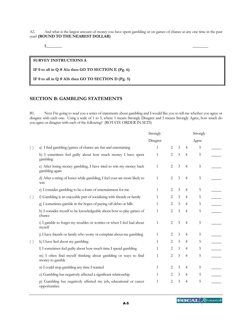A2. And what is the largest amount of money you have spent gambling or on games of chance at any one time in the past year? **(ROUND TO THE NEAREST DOLLAR)**

\$\_\_\_\_\_\_\_\_ \_\_\_\_\_\_\_\_

# **SURVEY INSTRUCTIONS A**

**IF 0 to all in Q # A1a then GO TO SECTION E (Pg. 6)**

**IF 0 to all in Q # A1b then GO TO SECTION D (Pg. 5)**

# **SECTION B: GAMBLING STATEMENTS**

B1. Next I'm going to read you a series of statements about gambling and I would like you to tell me whether you agree or disagree with each one. Using a scale of 1 to 5, where 1 means Strongly Disagree and 5 means Strongly Agree, how much do you agree or disagree with each of the following? (ROTATE ORDER IN SETS)

|     |                                                                                     | Strongly |                |   |                | Strongly |  |
|-----|-------------------------------------------------------------------------------------|----------|----------------|---|----------------|----------|--|
|     |                                                                                     | Disagree |                |   |                | Agree    |  |
| ( ) | a) I find gambling/games of chance are fun and entertaining                         | 1        | $\overline{2}$ | 3 | $\overline{4}$ | 5        |  |
|     | b) I sometimes feel guilty about how much money I have spent<br>gambling            | 1        | 2              | 3 | $\overline{4}$ | 5        |  |
|     | c) After losing money gambling, I have tried to win my money back<br>gambling again | 1        | 2              | 3 | $\overline{4}$ | 5        |  |
|     | d) After a string of losses while gambling, I feel your are more likely to<br>win   | 1        | 2              | 3 | $\overline{4}$ | 5        |  |
|     | e) I consider gambling to be a form of entertainment for me                         | 1        | 2              | 3 | $\overline{4}$ | 5        |  |
| ( ) | f) Gambling is an enjoyable part of socializing with friends or family              | 1        | 2              | 3 | $\overline{4}$ | 5        |  |
|     | g) I sometimes gamble in the hopes of paying off debts or bills                     | 1        | 2              | 3 | $\overline{4}$ | 5        |  |
|     | h) I consider myself to be knowledgeable about how to play games of<br>chance       | 1        | 2              | 3 | $\overline{4}$ | 5        |  |
|     | i) I gamble to forget my troubles or wornes or when I feel bad about<br>myself      | 1        | 2              | 3 | $\overline{4}$ | 5        |  |
|     | j) I have friends or family who worry or complain about me gambling                 | 1        | 2              | 3 | $\overline{4}$ | 5        |  |
| ( ) | k) I have lied about my gambling                                                    | 1        | 2              | 3 | $\overline{4}$ | 5        |  |
|     | I) I sometimes feel guilty about how much time I spend gambling                     | 1        | 2              | 3 | $\overline{4}$ | 5        |  |
|     | m) I often find myself thinking about gambling or ways to find<br>money to gamble   | 1        | 2              | 3 | $\overline{4}$ | 5        |  |
|     | n) I could stop gambling any time I wanted                                          | 1        | 2              | 3 | $\overline{4}$ | 5        |  |
|     | o) Gambling has negatively affected a significant relationship                      | 1        | 2              | 3 | $\overline{4}$ | 5        |  |
|     | Gambling has negatively affected my job, educational or career<br>opportunities     | 1        | 2              | 3 | $\overline{4}$ | 5        |  |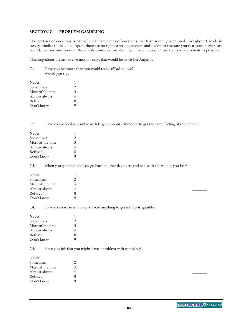# **SECTION C: PROBLEM GAMBLING**

The next set of questions is part of a standard series of questions that have recently been used throughout Canada in surveys similar to this one. Again, there are no right or wrong answers and I want to reassure you that your answers are confidential and anonymous. We simply want to know about your experiences. Please try to be as accurate as possible.

Thinking about the last twelve months only, that would be since last August…

| C1. | Have you bet more than you could really afford to lose? |
|-----|---------------------------------------------------------|
|     | Would you say:                                          |

| Never            |  |
|------------------|--|
| Sometimes        |  |
| Most of the time |  |
| Almost always    |  |
| Refused          |  |
| Don't know       |  |

C2. Have you needed to gamble with larger amounts of money to get the same feeling of excitement?

| Never            |  |
|------------------|--|
| Sometimes        |  |
| Most of the time |  |
| Almost always    |  |
| Refused          |  |
| Don't know       |  |

C3. When you gambled, did you go back another day to try and win back the money you lost?

| Never            |  |
|------------------|--|
| Sometimes        |  |
| Most of the time |  |
| Almost always    |  |
| Refused          |  |
| Don't know       |  |

C4. Have you borrowed money or sold anything to get money to gamble?

| Never            |  |
|------------------|--|
| Sometimes        |  |
| Most of the time |  |
| Almost always    |  |
| Refused          |  |
| Don't know       |  |

C5. Have you felt that you might have a problem with gambling?

| Never            |  |
|------------------|--|
| Sometimes        |  |
| Most of the time |  |
| Almost always    |  |
| Refused          |  |
| Don't know       |  |

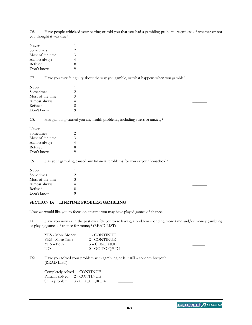C6. Have people criticized your betting or told you that you had a gambling problem, regardless of whether or not you thought it was true?

| Never            |  |
|------------------|--|
| Sometimes        |  |
| Most of the time |  |
| Almost always    |  |
| Refused          |  |
| Don't know       |  |

C7. Have you ever felt guilty about the way you gamble, or what happens when you gamble?

| Never            |  |  |  |
|------------------|--|--|--|
| Sometimes        |  |  |  |
| Most of the time |  |  |  |
| Almost always    |  |  |  |
| Refused          |  |  |  |
| Don't know       |  |  |  |

C8. Has gambling caused you any health problems, including stress or anxiety?

| Never            |  |  |  |
|------------------|--|--|--|
| Sometimes        |  |  |  |
| Most of the time |  |  |  |
| Almost always    |  |  |  |
| Refused          |  |  |  |
| Don't know       |  |  |  |

C9. Has your gambling caused any financial problems for you or your household?

| Never            |  |
|------------------|--|
| Sometimes        |  |
| Most of the time |  |
| Almost always    |  |
| Refused          |  |
| Don't know       |  |

# **SECTION D: LIFETIME PROBLEM GAMBLING**

Now we would like you to focus on anytime you may have played games of chance.

D1. Have you now or in the past ever felt you were having a problem spending more time and/or money gambling or playing games of chance for money? (READ LIST)

| YES - More Money | 1 - CONTINUE    |
|------------------|-----------------|
| YES - More Time  | 2 - CONTINUE    |
| $YES - Both$     | 3 – CONTINUE    |
| NO.              | 0 - GO TO Q# D4 |

D2. Have you solved your problem with gambling or is it still a concern for you? (READ LIST)

> Completely solved1 - CONTINUE<br>Partially solved 2 - CONTINUE Partially solved 2 - CONTINUE<br>Still a problem 3 - GO TO Q# I 3 - GO TO Q# D4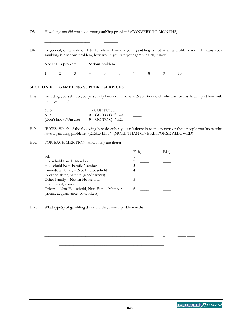D3. How long ago did you solve your gambling problem? (CONVERT TO MONTHS)

D4. In general, on a scale of 1 to 10 where 1 means your gambling is not at all a problem and 10 means your gambling is a serious problem, how would you rate your gambling right now?

Not at all a problem Serious problem 1 2 3 4 5 6 7 8 9 10 \_\_\_\_\_

# **SECTION E: GAMBLING SUPPORT SERVICES**

\_\_\_\_\_\_\_\_\_\_\_\_\_\_\_\_\_\_\_\_\_\_ \_\_\_\_\_\_\_

E1a. Including yourself, do you personally know of anyone in New Brunswick who has, or has had, a problem with their gambling?

YES 1 - CONTINUE<br>NO 1 - GO TO 0 # 0 – GO TO Q # E2a<br>9 – GO TO Q # E2a (Don't know/Unsure)

- E1b. IF YES: Which of the following best describes your relationship to this person or these people you know who have a gambling problem? (READ LIST) (MORE THAN ONE RESPONSE ALLOWED)
- E1c. FOR EACH MENTION: How many are there?

|                                           | E1b | E1c) |
|-------------------------------------------|-----|------|
| Self                                      |     |      |
| Household Family Member                   |     |      |
| Household Non-Family Member               |     |      |
| Immediate Family - Not In Household       |     |      |
| (brother, sister, parents, grandparents)  |     |      |
| Other Family - Not In Household           |     |      |
| (uncle, aunt, cousin)                     |     |      |
| Others – Non-Household, Non-Family Member |     |      |
| (friend, acquaintance, co-workers)        |     |      |

\_\_\_\_\_\_\_\_\_\_\_\_\_\_\_\_\_\_\_\_\_\_\_\_\_\_\_\_\_\_\_\_\_\_\_\_\_\_\_\_\_\_\_\_\_\_\_\_\_\_\_ \_\_\_\_ \_\_\_\_

\_\_\_\_\_\_\_\_\_\_\_\_\_\_\_\_\_\_\_\_\_\_\_\_\_\_\_\_\_\_\_\_\_\_\_\_\_\_\_\_\_\_\_\_\_\_\_\_\_\_\_ \_\_\_\_ \_\_\_\_

\_\_\_\_\_\_\_\_\_\_\_\_\_\_\_\_\_\_\_\_\_\_\_\_\_\_\_\_\_\_\_\_\_\_\_\_\_\_\_\_\_\_\_\_\_\_\_\_\_\_\_\_\_ \_ \_\_\_\_ \_\_\_\_

E1d. What type(s) of gambling do or did they have a problem with?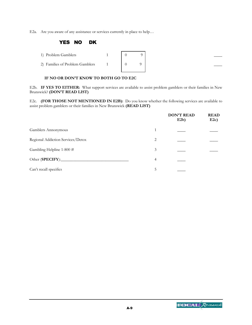E2a. Are you aware of any assistance or services currently in place to help…

# YES NO DK

| 1) Problem Gamblers             |  |  |
|---------------------------------|--|--|
| 2) Families of Problem Gamblers |  |  |

# **IF NO OR DON'T KNOW TO BOTH GO TO E2C**

E2b. **IF YES TO EITHER:** What support services are available to assist problem gamblers or their families in New Brunswick? **(DON'T READ LIST)**

E2c. **(FOR THOSE NOT MENTIONED IN E2B):** Do you know whether the following services are available to assist problem gamblers or their families in New Brunswick **(READ LIST)**

|                                   |   | <b>DON'T READ</b><br>E2b) | <b>READ</b><br>E2c) |
|-----------------------------------|---|---------------------------|---------------------|
| Gamblers Annonymous               | 1 |                           |                     |
| Regional Addiction Services/Detox | 2 |                           |                     |
| Gambling Helpline 1-800 #         | 3 |                           |                     |
| Other (SPECIFY):                  | 4 |                           |                     |
| Can't recall specifics            | 5 |                           |                     |

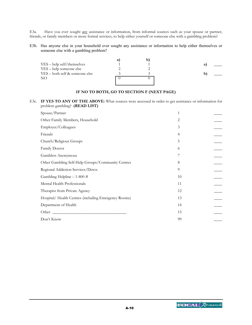E3a. Have you ever sought any assistance or information, from informal sources such as your spouse or partner, friends, or family members or more formal services, to help either yourself or someone else with a gambling problem?

E3b. Has anyone else in your household ever sought any assistance or information to help either themselves or someone else with a gambling problem?



# **IF NO TO BOTH, GO TO SECTION F (NEXT PAGE)**

## E3c. **IF YES TO ANY OF THE ABOVE:** What sources were accessed in order to get assistance or information for problem gambling? **(READ LIST)**

| Spouse/Partner                                                                                                                 | $\mathbf{1}$   |  |
|--------------------------------------------------------------------------------------------------------------------------------|----------------|--|
| Other Family Members, Household                                                                                                | 2              |  |
| Employer/Colleagues                                                                                                            | 3              |  |
| Friends                                                                                                                        | $\overline{4}$ |  |
| Church/Religious Groups                                                                                                        | 5              |  |
| Family Doctor                                                                                                                  | 6              |  |
| Gamblers Anonymous                                                                                                             | 7              |  |
| Other Gambling Self-Help Groups/Community Centres                                                                              | 8              |  |
| Regional Addiction Services/Detox                                                                                              | 9              |  |
| Gambling Helpline $-1-800 \#$                                                                                                  | 10             |  |
| Mental Health Professionals                                                                                                    | 11             |  |
| Therapist from Private Agency                                                                                                  | 12             |  |
| Hospital/Health Centres (including Emergency Rooms)                                                                            | 13             |  |
| Department of Health                                                                                                           | 14             |  |
| Other<br><u> 1989 - Johann Harry Harry Harry Harry Harry Harry Harry Harry Harry Harry Harry Harry Harry Harry Harry Harry</u> | 15             |  |
| Don't Know                                                                                                                     | 99             |  |

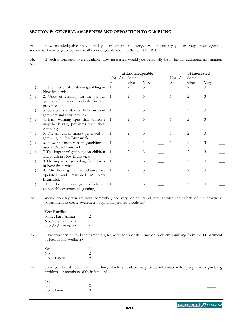### **SECTION F: GENERAL AWARENESS AND OPPOSITION TO GAMBLING**

Fa. How knowledgeable do you feel you are on the following. Would you say you are very knowledgeable, somewhat knowledgeable or not at all knowledgeable about… (ROTATE LIST)

Fb. If such information were available, how interested would you personally be in having additional information on...

|   |   |                                                                                      | a) Knowledgeable |      |      |        | b) Interested |      |  |
|---|---|--------------------------------------------------------------------------------------|------------------|------|------|--------|---------------|------|--|
|   |   |                                                                                      | Not At           | Some |      | Not At | Some          |      |  |
|   |   |                                                                                      | All              | what | Very | All    | what          | Very |  |
|   |   | 1. The impact of problem gambling in<br>New Brunswick                                |                  | 2    | 3    |        | 2             | 3    |  |
|   |   | 2. Odds of winning for the various<br>games of chance available in the<br>province   |                  | 2    | 3    |        | 2             | 3    |  |
| ( |   | 3. Services available to help problem<br>gamblers and their families                 | $\overline{1}$   | 2    | 3    |        | 2             | 3    |  |
| ( |   | 4. Early warning signs that someone<br>may be having problems with their<br>gambling | $\overline{1}$   | 2    | 3    |        | 2             | 3    |  |
| ( |   | 5. The amount of money generated by 1<br>gambling in New Brunswick                   |                  | 2    | 3    |        | 2             | 3    |  |
| ( |   | 6. How the money from gambling is<br>used in New Brunswick                           | - 1              | 2    | 3    |        | 2             | 3    |  |
|   | ( | 7 The impact of gambling on children 1<br>and youth in New Brunswick                 |                  | 2    | 3    |        | 2             | 3    |  |
| ( |   | 8 The impact of gambling for Seniors<br>in New Brunswick                             | - 1              | 2    | 3    |        | 2             | 3    |  |
| ( |   | 9. On how games of chance are<br>operated and regulated in New<br><b>Brunswick</b>   | $\overline{1}$   | 2    | 3    |        | 2             | 3    |  |
|   |   | 10. On how to play games of chance<br>responsibly (responsible gaming)               | $\overline{1}$   | 2    | 3    |        |               | 3    |  |

F2. Would you say you are very, somewhat, not very, or not at all familiar with the efforts of the provincial government to create awareness of gambling related problems?

Very Familiar 1<br>Somewhat Familiar 2 Somewhat Familiar Not Very Familiar 3<br>Not At All Familiar 4 Not At All Familiar 4

F3. Have you seen or read the pamphlets, tear-off sheets or literature on problem gambling from the Department of Health and Wellness?

| Yes            |  |
|----------------|--|
| N <sub>o</sub> |  |
| Don't Know     |  |

F4. Have you heard about the 1-800 line, which is available to provide information for people with gambling problems or members of their families?

 $Y$ es  $1$ <br>No  $2$ No 2 Don't know 9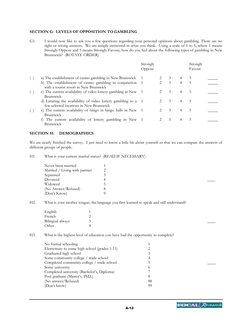# **SECTION G: LEVELS OF OPPOSITION TO GAMBLING**

G1. I would now like to ask you a few questions regarding your personal opinions about gambling. There are no right or wrong answers. We are simply interested in what you think. Using a scale of 1 to 5, where 1 means Strongly Oppose and 5 means Strongly Favour, how do you feel about the following types of gambling in New Brunswick? (ROTATE ORDER)

|                        |                                                                                                          | Strongly<br>Oppose |          |               |                | Strongly<br>Favour |  |
|------------------------|----------------------------------------------------------------------------------------------------------|--------------------|----------|---------------|----------------|--------------------|--|
|                        | a) The establishment of casino gambling in New Brunswick                                                 |                    |          |               | 4              |                    |  |
|                        | b) The establishment of casino gambling in conjunction 1<br>with a tourist resort in New Brunswick       |                    | $\gamma$ | $\mathcal{Z}$ | $\overline{4}$ | 5                  |  |
| $\left( \quad \right)$ | c) The current availability of video lottery gambling in New 1<br><b>Brunswick</b>                       |                    |          | $\mathcal{E}$ | 4              | $\mathcal{D}$      |  |
|                        | d) Limiting the availability of video lottery gambling to a 1<br>few selected locations in New Brunswick |                    |          | $\mathcal{E}$ | 4              | $\overline{ }$     |  |
|                        | e) The current availability of bingo in bingo halls in New 1<br><b>Brunswick</b>                         |                    |          | $\mathcal{Z}$ |                | 5                  |  |
|                        | f) The current availability of lottery gambling in New 1<br><b>Brunswick</b>                             |                    |          | 3             | 4              | $\mathcal{D}$      |  |

# **SECTION H: DEMOGRAPHICS**

We are nearly finished the survey. I just need to know a little bit about yourself so that we can compare the answers of different groups of people.

H1. What is your current marital status? (READ IF NECESSARY)

| Never been married            |             |  |  |
|-------------------------------|-------------|--|--|
| Married / Living with partner |             |  |  |
| Separated                     | $\triangle$ |  |  |
| Divorced                      |             |  |  |
| Widowed                       |             |  |  |
| (No Answer/Refused)           |             |  |  |
| (Don't Know)                  |             |  |  |

H2. What is your mother tongue, the language you first learned to speak and still understand?

| English          |  |  |
|------------------|--|--|
| French           |  |  |
| Bilingual always |  |  |
| Other            |  |  |

H3. What is the highest level of education you have had the opportunity to complete?

| No formal schooling                          |         |  |
|----------------------------------------------|---------|--|
| Elementary to some high school (grades 1-11) |         |  |
| Graduated high school                        |         |  |
| Some community college / trade school        |         |  |
| Completed community college / trade school   |         |  |
| Some university                              | $\circ$ |  |
| Completed university (Bachelor's, Diploma)   |         |  |
| Post graduate (Master's, PhD.)               | 8       |  |
| (No answer/Refused)                          | 88      |  |
| (Don't know)                                 | 99      |  |
|                                              |         |  |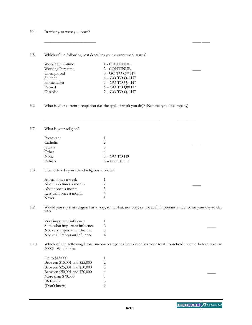## H4. In what year were you born?

H5. Which of the following best describes your current work status?

| Working Full-time | 1 - CONTINUE    |
|-------------------|-----------------|
| Working Part-time | 2 - CONTINUE    |
| Unemployed        | 3 - GO TO Q# H7 |
| Student           | $4 - GOTOQ#H7$  |
| Homemaker         | $5 - GOTOQ#H7$  |
| Retired           | $6 - GOTOQ#H7$  |
| Disabled          | $7 - GOTOQ#H7$  |

H6. What is your current occupation (i.e. the type of work you do)? (Not the type of company)

\_\_\_\_\_\_\_\_\_\_\_\_\_\_\_\_\_\_\_\_\_\_\_\_\_\_\_\_\_\_\_\_\_\_\_\_\_\_\_\_\_\_\_\_\_\_\_\_\_\_\_\_\_\_\_\_ \_\_\_\_ \_\_\_\_

\_\_\_\_\_\_\_\_\_\_\_\_\_\_\_\_\_\_\_\_\_\_\_\_\_ \_\_\_\_ \_\_\_\_

# H7. What is your religion?

| Protestant |               |
|------------|---------------|
| Catholic   |               |
| Jewish     | $\mathcal{R}$ |
| Other      |               |
| None       | $5 - GOTOH9$  |
| Refused    | 8 -- GO TO H9 |

## H8. How often do you attend religious services?

| At least once a week    |  |
|-------------------------|--|
| About 2-3 times a month |  |
| About once a month      |  |
| Less than once a month  |  |
| Never                   |  |

H9. Would you say that religion has a very, somewhat, not very, or not at all important influence on your day-to-day life?

| Very important influence       |  |  |
|--------------------------------|--|--|
| Somewhat important influence   |  |  |
| Not very important influence   |  |  |
| Not at all important influence |  |  |

H10. Which of the following broad income categories best describes your total household income before taxes in 2000? Would it be:

| Up to $$15,000$               |   |  |  |
|-------------------------------|---|--|--|
| Between \$15,001 and \$25,000 |   |  |  |
| Between \$25,001 and \$50,000 |   |  |  |
| Between \$50,001 and \$70,000 |   |  |  |
| More than $$70,000$           |   |  |  |
| (Refused)                     | 8 |  |  |
| (Don't know)                  |   |  |  |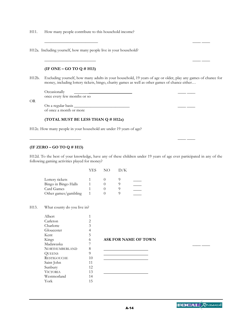H11. How many people contribute to this household income?

H12a. Including yourself, how many people live in your household?

# **(IF ONE – GO TO Q # H13)**

H12b. Excluding yourself, how many adults in your household, 19 years of age or older, play any games of chance for money, including lottery tickets, bingo, charity games as well as other games of chance either…

\_\_\_\_\_\_\_\_\_\_\_\_\_\_\_\_\_\_\_\_\_\_\_\_\_\_ \_\_\_\_ \_\_\_\_

\_\_\_\_\_\_\_\_\_\_\_\_\_\_\_\_\_\_\_\_\_\_\_\_\_ \_\_\_\_ \_\_\_\_

Occasionally once every few months or so

OR

On a regular basis \_ of once a month or more

#### **(TOTAL MUST BE LESS THAN Q # H12a)**

H12c. How many people in your household are under 19 years of age?

# **(IF ZERO – GO TO Q # H13)**

H12d. To the best of your knowledge, have any of these children under 19 years of age ever participated in any of the following gaming activities played for money?

\_\_\_\_\_\_\_\_\_\_\_\_\_\_\_\_\_\_\_\_\_\_\_\_\_ \_\_\_\_ \_\_\_\_

|                      | YES. | NO. | D/K |  |
|----------------------|------|-----|-----|--|
| Lottery tickets      |      |     |     |  |
| Bingo in Bingo Halls |      |     |     |  |
| Card Games           |      |     |     |  |
| Other games/gambling |      |     |     |  |

### H13. What county do you live in?

| Albert<br>Carleton    | 1<br>2 |                             |
|-----------------------|--------|-----------------------------|
| Charlotte             | 3      |                             |
| Gloucester            | 4      |                             |
| Kent                  | 5      |                             |
| Kings                 | 6      | <b>ASK FOR NAME OF TOWN</b> |
| Madawaska             | ⇁      |                             |
| <b>NORTHUMBERLAND</b> | 8      |                             |
| <b>QUEENS</b>         | 9      |                             |
| <b>RESTIGOUCHE</b>    | 10     |                             |
| Saint John            | 11     |                             |
| Sunbury               | 12     |                             |
| <b>VICTORIA</b>       | 13     |                             |
| Westmorland           | 14     |                             |
| York                  | 15     |                             |

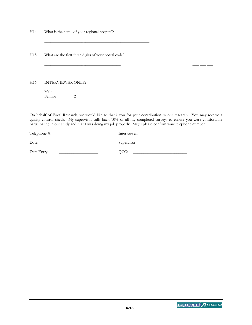H14. What is the name of your regional hospital?

H15. What are the first three digits of your postal code?

\_\_\_\_\_\_\_\_\_\_\_\_\_\_\_\_\_\_\_\_\_\_\_\_\_\_\_\_\_\_\_\_\_\_\_\_\_\_\_\_\_\_\_\_\_\_\_\_\_\_\_

H16. INTERVIEWER ONLY:

Male 1<br>Female 2 Female  $2$ 

On behalf of Focal Research, we would like to thank you for your contribution to our research. You may receive a quality control check. My supervisor calls back 10% of all my completed surveys to ensure you were comfortable participating in our study and that I was doing my job properly. May I please confirm your telephone number?

\_\_\_\_\_\_\_\_\_\_\_\_\_\_\_\_\_\_\_\_\_\_\_\_\_\_\_\_\_\_\_\_\_\_\_\_\_ \_\_\_ \_\_\_ \_\_\_

| Telephone #: | Interviewer: |
|--------------|--------------|
| Date:        | Supervisor:  |
| Data Entry:  | OCC:         |



 $\overline{\phantom{a}}$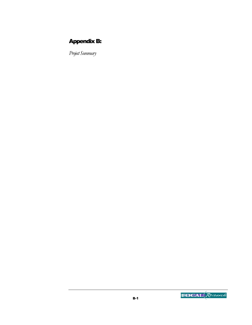# Appendix B:

*Project Summary*

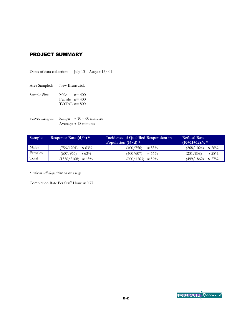# PROJECT SUMMARY

Dates of data collection: July 13 – August 13/ 01

Area Sampled: New Brunswick

Sample Size: Male  $n=400$ Female  $n=400$ TOTAL n= 800

Survey Length: Range:  $\approx 10 - 60$  minutes Average: ≈ 18 minutes

| Sample: | Response Rate $(d/b)$ *       | Incidence of Qualified Respondent in<br>Population $(14/d)$ * | <b>Refusal Rate</b><br>$(10+11+12)/c$ * |  |
|---------|-------------------------------|---------------------------------------------------------------|-----------------------------------------|--|
| Males   | 756/1201)                     | (400/756)                                                     | (268/1024)                              |  |
|         | $\approx 63\%$                | $\approx 53\%$                                                | $\approx 26\%$                          |  |
| Females | (607/967)                     | (400/607)                                                     | (231/838)                               |  |
|         | $\approx 63\%$                | $\approx 66\%$                                                | $\approx 28\%$                          |  |
| Total   | (1356/2168)<br>$\approx 63\%$ | $(800/1363) \approx 59\%$                                     | (499/1862)<br>$\approx 27\%$            |  |

\* *refer to call disposition on next page*

Completion Rate Per Staff Hour: ≈ 0.77